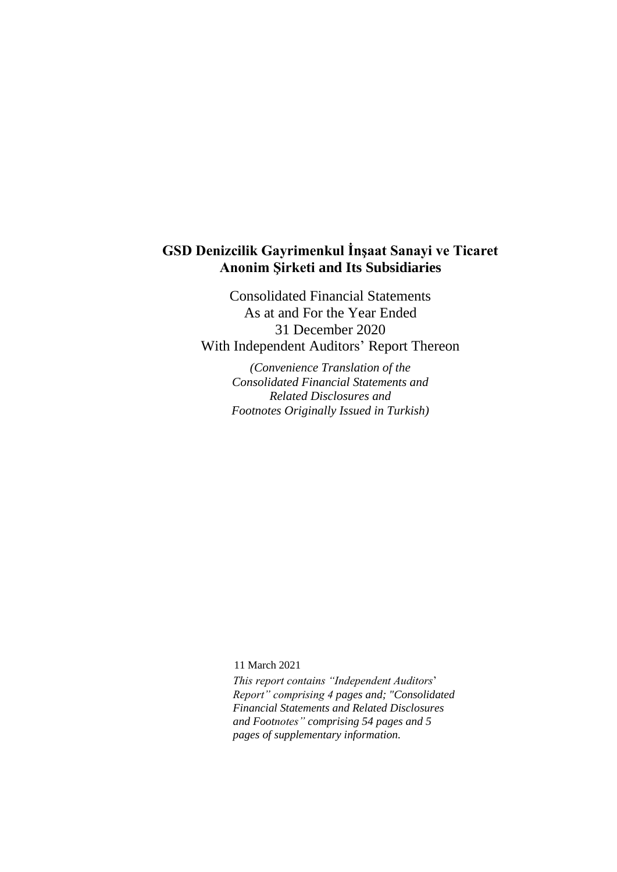# **GSD Denizcilik Gayrimenkul İnşaat Sanayi ve Ticaret Anonim Şirketi and Its Subsidiaries**

Consolidated Financial Statements As at and For the Year Ended 31 December 2020 With Independent Auditors' Report Thereon

> *(Convenience Translation of the Consolidated Financial Statements and Related Disclosures and Footnotes Originally Issued in Turkish)*

11 March 2021

*This report contains "Independent Auditors*' *Report" comprising 4 pages and; "Consolidated Financial Statements and Related Disclosures and Footnotes" comprising 54 pages and 5 pages of supplementary information.*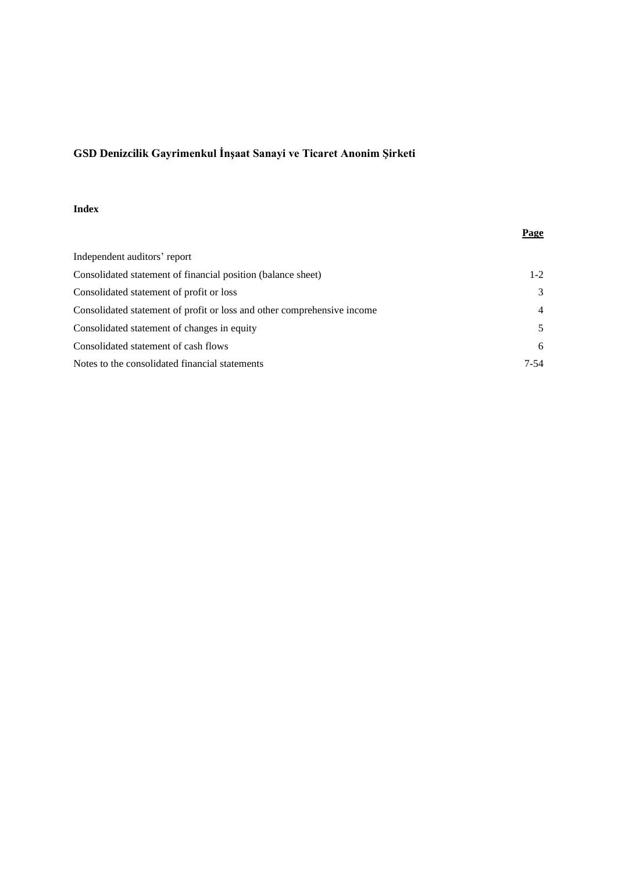# **Index**

|                                                                         | Page           |
|-------------------------------------------------------------------------|----------------|
| Independent auditors' report                                            |                |
| Consolidated statement of financial position (balance sheet)            | $1 - 2$        |
| Consolidated statement of profit or loss                                | $\mathcal{E}$  |
| Consolidated statement of profit or loss and other comprehensive income | $\overline{4}$ |
| Consolidated statement of changes in equity                             | 5              |
| Consolidated statement of cash flows                                    | 6              |
| Notes to the consolidated financial statements                          | $7 - 54$       |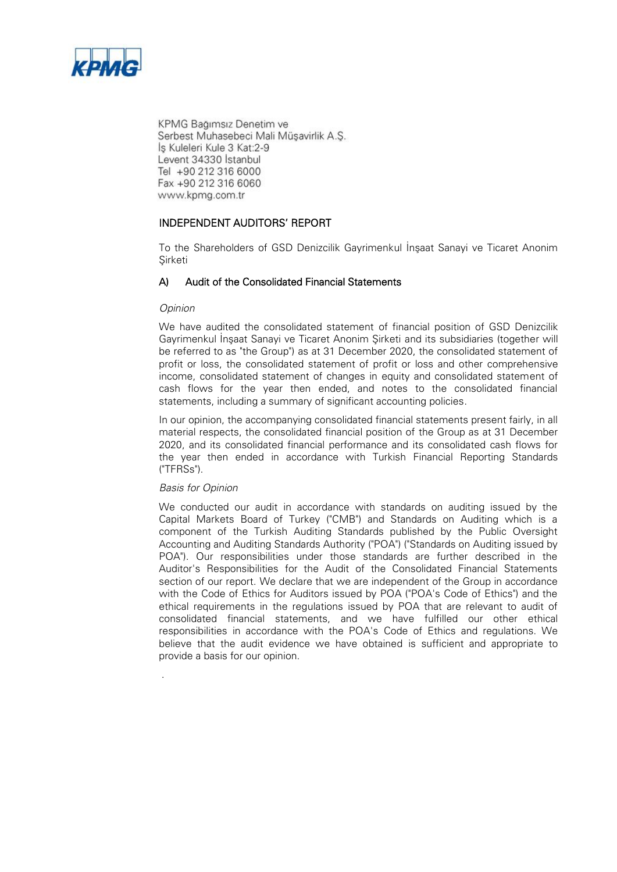

KPMG Bağımsız Denetim ve Serbest Muhasebeci Mali Müşavirlik A.Ş. ls Kuleleri Kule 3 Kat:2-9 Levent 34330 Istanbul Tel +90 212 316 6000 Fax +90 212 316 6060 www.kpmg.com.tr

# INDEPENDENT AUDITORS' REPORT

To the Shareholders of GSD Denizcilik Gayrimenkul İnşaat Sanayi ve Ticaret Anonim Şirketi

# A) Audit of the Consolidated Financial Statements

# *Opinion*

We have audited the consolidated statement of financial position of GSD Denizcilik Gayrimenkul İnşaat Sanayi ve Ticaret Anonim Şirketi and its subsidiaries (together will be referred to as "the Group") as at 31 December 2020, the consolidated statement of profit or loss, the consolidated statement of profit or loss and other comprehensive income, consolidated statement of changes in equity and consolidated statement of cash flows for the year then ended, and notes to the consolidated financial statements, including a summary of significant accounting policies.

In our opinion, the accompanying consolidated financial statements present fairly, in all material respects, the consolidated financial position of the Group as at 31 December 2020, and its consolidated financial performance and its consolidated cash flows for the year then ended in accordance with Turkish Financial Reporting Standards ("TFRSs").

# *Basis for Opinion*

.

We conducted our audit in accordance with standards on auditing issued by the Capital Markets Board of Turkey ("CMB") and Standards on Auditing which is a component of the Turkish Auditing Standards published by the Public Oversight Accounting and Auditing Standards Authority ("POA") ("Standards on Auditing issued by POA"). Our responsibilities under those standards are further described in the Auditor's Responsibilities for the Audit of the Consolidated Financial Statements section of our report. We declare that we are independent of the Group in accordance with the Code of Ethics for Auditors issued by POA ("POA's Code of Ethics") and the ethical requirements in the regulations issued by POA that are relevant to audit of consolidated financial statements, and we have fulfilled our other ethical responsibilities in accordance with the POA's Code of Ethics and regulations. We believe that the audit evidence we have obtained is sufficient and appropriate to provide a basis for our opinion.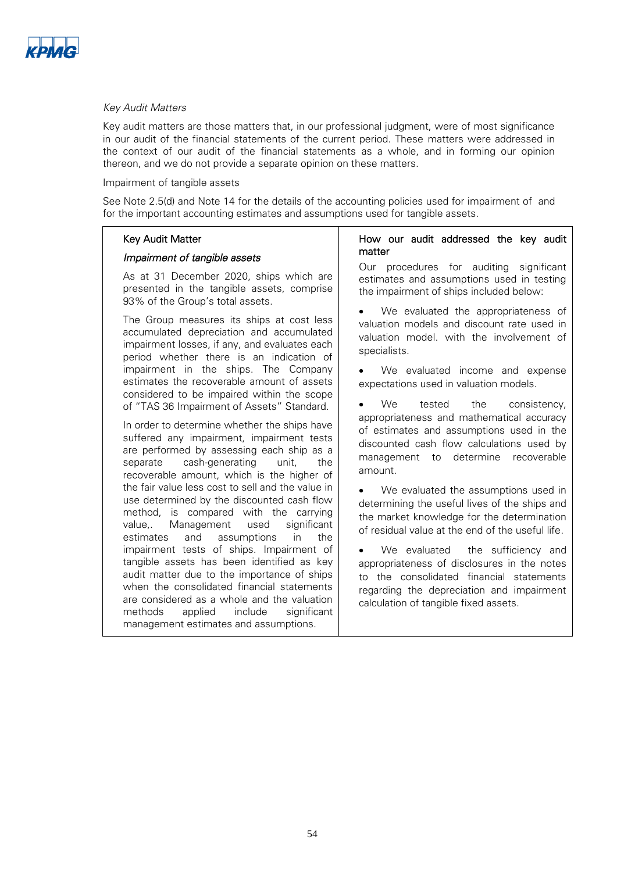

### *Key Audit Matters*

Key audit matters are those matters that, in our professional judgment, were of most significance in our audit of the financial statements of the current period. These matters were addressed in the context of our audit of the financial statements as a whole, and in forming our opinion thereon, and we do not provide a separate opinion on these matters.

Impairment of tangible assets

See Note 2.5(d) and Note 14 for the details of the accounting policies used for impairment of and for the important accounting estimates and assumptions used for tangible assets.

# Key Audit Matter

### *Impairment of tangible assets*

As at 31 December 2020, ships which are presented in the tangible assets, comprise 93% of the Group's total assets.

The Group measures its ships at cost less accumulated depreciation and accumulated impairment losses, if any, and evaluates each period whether there is an indication of impairment in the ships. The Company estimates the recoverable amount of assets considered to be impaired within the scope of "TAS 36 Impairment of Assets" Standard.

In order to determine whether the ships have suffered any impairment, impairment tests are performed by assessing each ship as a separate cash-generating unit, the recoverable amount, which is the higher of the fair value less cost to sell and the value in use determined by the discounted cash flow method, is compared with the carrying value,. Management used significant estimates and assumptions in the impairment tests of ships. Impairment of tangible assets has been identified as key audit matter due to the importance of ships when the consolidated financial statements are considered as a whole and the valuation<br>methods a applied include significant methods applied include significant management estimates and assumptions.

# How our audit addressed the key audit matter

Our procedures for auditing significant estimates and assumptions used in testing the impairment of ships included below:

We evaluated the appropriateness of valuation models and discount rate used in valuation model. with the involvement of specialists.

We evaluated income and expense expectations used in valuation models.

We tested the consistency, appropriateness and mathematical accuracy of estimates and assumptions used in the discounted cash flow calculations used by management to determine recoverable amount.

We evaluated the assumptions used in determining the useful lives of the ships and the market knowledge for the determination of residual value at the end of the useful life.

We evaluated the sufficiency and appropriateness of disclosures in the notes to the consolidated financial statements regarding the depreciation and impairment calculation of tangible fixed assets.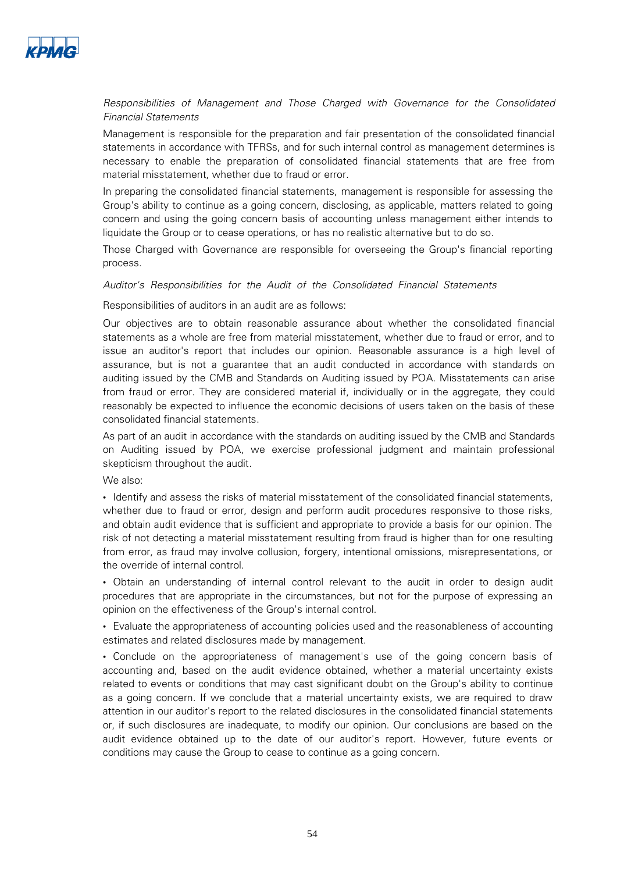

# *Responsibilities of Management and Those Charged with Governance for the Consolidated Financial Statements*

Management is responsible for the preparation and fair presentation of the consolidated financial statements in accordance with TFRSs, and for such internal control as management determines is necessary to enable the preparation of consolidated financial statements that are free from material misstatement, whether due to fraud or error.

In preparing the consolidated financial statements, management is responsible for assessing the Group's ability to continue as a going concern, disclosing, as applicable, matters related to going concern and using the going concern basis of accounting unless management either intends to liquidate the Group or to cease operations, or has no realistic alternative but to do so.

Those Charged with Governance are responsible for overseeing the Group's financial reporting process.

# *Auditor's Responsibilities for the Audit of the Consolidated Financial Statements*

Responsibilities of auditors in an audit are as follows:

Our objectives are to obtain reasonable assurance about whether the consolidated financial statements as a whole are free from material misstatement, whether due to fraud or error, and to issue an auditor's report that includes our opinion. Reasonable assurance is a high level of assurance, but is not a guarantee that an audit conducted in accordance with standards on auditing issued by the CMB and Standards on Auditing issued by POA. Misstatements can arise from fraud or error. They are considered material if, individually or in the aggregate, they could reasonably be expected to influence the economic decisions of users taken on the basis of these consolidated financial statements.

As part of an audit in accordance with the standards on auditing issued by the CMB and Standards on Auditing issued by POA, we exercise professional judgment and maintain professional skepticism throughout the audit.

We also:

• Identify and assess the risks of material misstatement of the consolidated financial statements, whether due to fraud or error, design and perform audit procedures responsive to those risks, and obtain audit evidence that is sufficient and appropriate to provide a basis for our opinion. The risk of not detecting a material misstatement resulting from fraud is higher than for one resulting from error, as fraud may involve collusion, forgery, intentional omissions, misrepresentations, or the override of internal control.

• Obtain an understanding of internal control relevant to the audit in order to design audit procedures that are appropriate in the circumstances, but not for the purpose of expressing an opinion on the effectiveness of the Group's internal control.

• Evaluate the appropriateness of accounting policies used and the reasonableness of accounting estimates and related disclosures made by management.

• Conclude on the appropriateness of management's use of the going concern basis of accounting and, based on the audit evidence obtained, whether a material uncertainty exists related to events or conditions that may cast significant doubt on the Group's ability to continue as a going concern. If we conclude that a material uncertainty exists, we are required to draw attention in our auditor's report to the related disclosures in the consolidated financial statements or, if such disclosures are inadequate, to modify our opinion. Our conclusions are based on the audit evidence obtained up to the date of our auditor's report. However, future events or conditions may cause the Group to cease to continue as a going concern.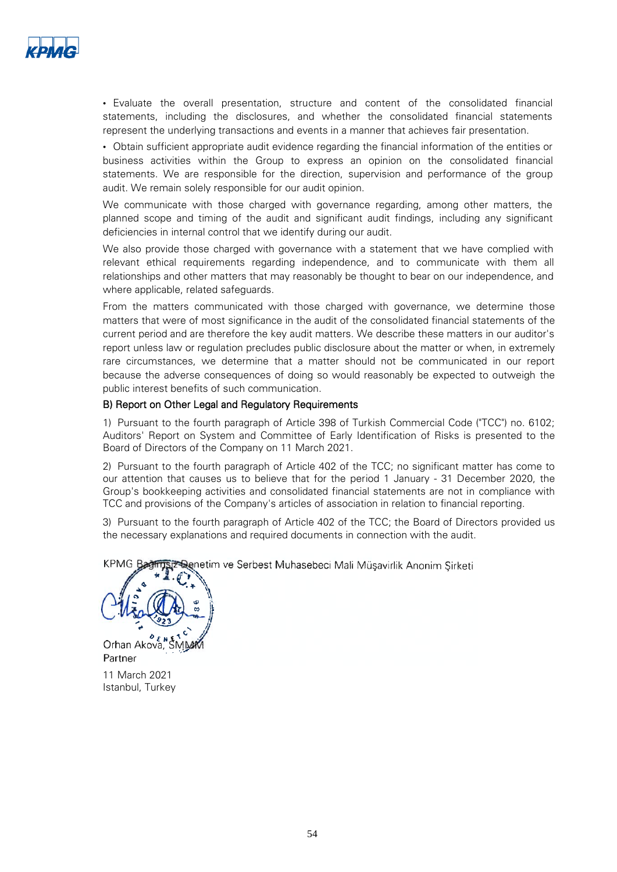

• Evaluate the overall presentation, structure and content of the consolidated financial statements, including the disclosures, and whether the consolidated financial statements represent the underlying transactions and events in a manner that achieves fair presentation.

• Obtain sufficient appropriate audit evidence regarding the financial information of the entities or business activities within the Group to express an opinion on the consolidated financial statements. We are responsible for the direction, supervision and performance of the group audit. We remain solely responsible for our audit opinion.

We communicate with those charged with governance regarding, among other matters, the planned scope and timing of the audit and significant audit findings, including any significant deficiencies in internal control that we identify during our audit.

We also provide those charged with governance with a statement that we have complied with relevant ethical requirements regarding independence, and to communicate with them all relationships and other matters that may reasonably be thought to bear on our independence, and where applicable, related safeguards.

From the matters communicated with those charged with governance, we determine those matters that were of most significance in the audit of the consolidated financial statements of the current period and are therefore the key audit matters. We describe these matters in our auditor's report unless law or regulation precludes public disclosure about the matter or when, in extremely rare circumstances, we determine that a matter should not be communicated in our report because the adverse consequences of doing so would reasonably be expected to outweigh the public interest benefits of such communication.

# B) Report on Other Legal and Regulatory Requirements

1) Pursuant to the fourth paragraph of Article 398 of Turkish Commercial Code ("TCC") no. 6102; Auditors' Report on System and Committee of Early Identification of Risks is presented to the Board of Directors of the Company on 11 March 2021.

2) Pursuant to the fourth paragraph of Article 402 of the TCC; no significant matter has come to our attention that causes us to believe that for the period 1 January - 31 December 2020, the Group's bookkeeping activities and consolidated financial statements are not in compliance with TCC and provisions of the Company's articles of association in relation to financial reporting.

3) Pursuant to the fourth paragraph of Article 402 of the TCC; the Board of Directors provided us the necessary explanations and required documents in connection with the audit.

**KPMG B Qenetim ve Serbest Muhasebeci Mali Müşavirlik Anonim Şirketi** 

Orhan Akov Partner 11 March 2021 Istanbul, Turkey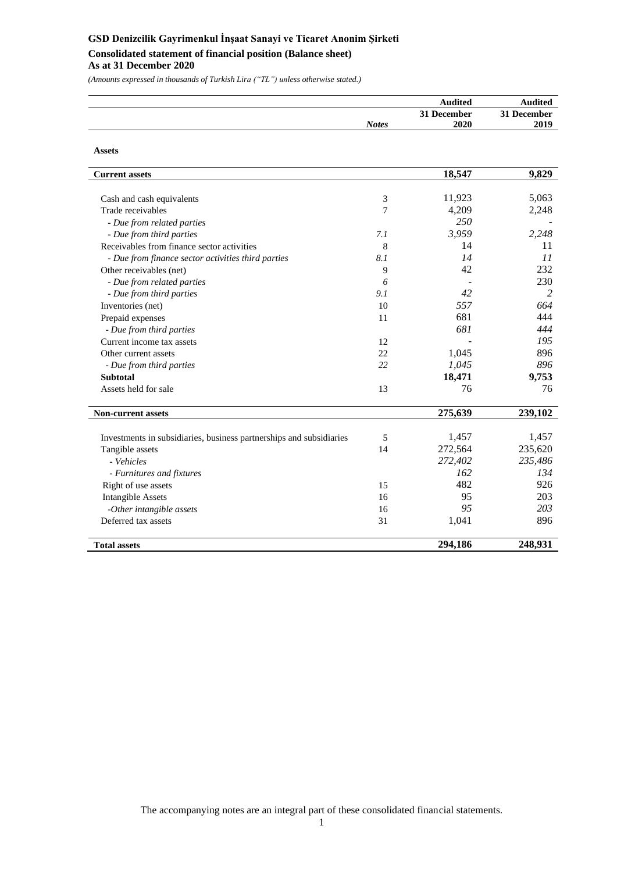# **GSD Denizcilik Gayrimenkul İnşaat Sanayi ve Ticaret Anonim Şirketi Consolidated statement of financial position (Balance sheet)**

# **As at 31 December 2020**

**Assets**

*(Amounts expressed in thousands of Turkish Lira ("TL") unless otherwise stated.)*

|                      |             | <b>Audited</b> |  |
|----------------------|-------------|----------------|--|
| 31 December          | 31 December |                |  |
| 2020<br><b>Notes</b> | 2019        |                |  |

| <b>Current assets</b>                                               |     | 18,547  | 9,829   |
|---------------------------------------------------------------------|-----|---------|---------|
|                                                                     |     |         |         |
| Cash and cash equivalents                                           | 3   | 11,923  | 5,063   |
| Trade receivables                                                   | 7   | 4.209   | 2,248   |
| - Due from related parties                                          |     | 250     |         |
| - Due from third parties                                            | 7.1 | 3,959   | 2,248   |
| Receivables from finance sector activities                          | 8   | 14      | 11      |
| - Due from finance sector activities third parties                  | 8.1 | 14      | 11      |
| Other receivables (net)                                             | 9   | 42      | 232     |
| - Due from related parties                                          | 6   |         | 230     |
| - Due from third parties                                            | 9.1 | 42      | 2       |
| Inventories (net)                                                   | 10  | 557     | 664     |
| Prepaid expenses                                                    | 11  | 681     | 444     |
| - Due from third parties                                            |     | 681     | 444     |
| Current income tax assets                                           | 12  |         | 195     |
| Other current assets                                                | 22  | 1,045   | 896     |
| - Due from third parties                                            | 22  | 1,045   | 896     |
| <b>Subtotal</b>                                                     |     | 18,471  | 9,753   |
| Assets held for sale                                                | 13  | 76      | 76      |
| <b>Non-current assets</b>                                           |     | 275,639 | 239,102 |
| Investments in subsidiaries, business partnerships and subsidiaries | 5   | 1,457   | 1,457   |
| Tangible assets                                                     | 14  | 272,564 | 235,620 |
| - Vehicles                                                          |     | 272,402 | 235,486 |
| - Furnitures and fixtures                                           |     | 162     | 134     |
| Right of use assets                                                 | 15  | 482     | 926     |
| <b>Intangible Assets</b>                                            | 16  | 95      | 203     |
| -Other intangible assets                                            | 16  | 95      | 203     |
| Deferred tax assets                                                 | 31  | 1,041   | 896     |
| <b>Total assets</b>                                                 |     | 294,186 | 248,931 |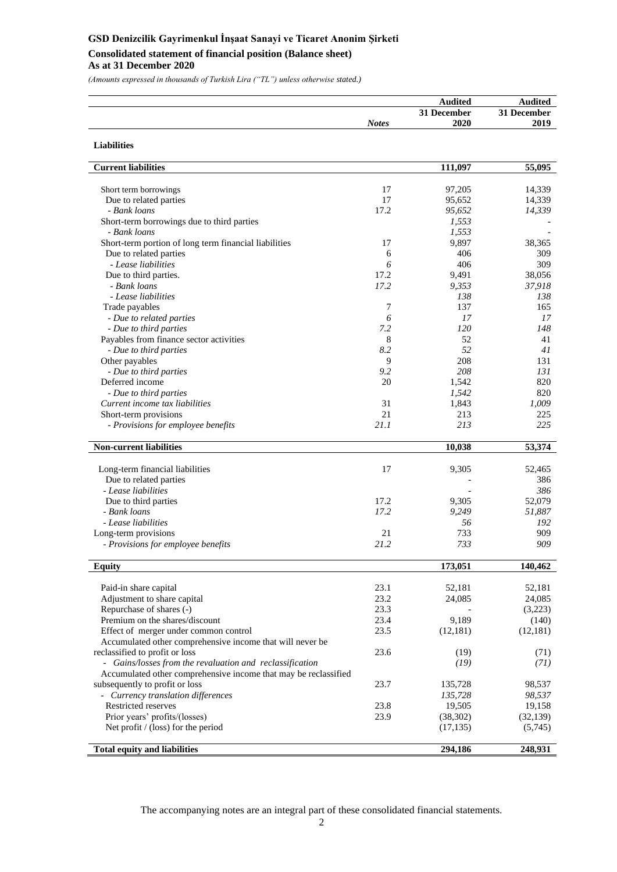# **GSD Denizcilik Gayrimenkul İnşaat Sanayi ve Ticaret Anonim Şirketi Consolidated statement of financial position (Balance sheet)**

# **As at 31 December 2020**

**Liabilities**

*(Amounts expressed in thousands of Turkish Lira ("TL") unless otherwise stated.)*

|              | <b>Audited</b> | <b>Audited</b> |
|--------------|----------------|----------------|
|              | 31 December    | 31 December    |
| <b>Notes</b> | 2020           | 2019           |
|              |                |                |

| <b>Current liabilities</b>                                      |      | 111,097   | 55,095    |
|-----------------------------------------------------------------|------|-----------|-----------|
|                                                                 |      |           |           |
| Short term borrowings                                           | 17   | 97,205    | 14,339    |
| Due to related parties                                          | 17   | 95,652    | 14,339    |
| - Bank loans                                                    | 17.2 | 95,652    | 14,339    |
| Short-term borrowings due to third parties                      |      | 1,553     |           |
| - Bank loans                                                    |      | 1,553     |           |
| Short-term portion of long term financial liabilities           | 17   | 9,897     | 38,365    |
| Due to related parties                                          | 6    | 406       | 309       |
| - Lease liabilities                                             | 6    | 406       | 309       |
| Due to third parties.                                           | 17.2 | 9,491     | 38,056    |
| - Bank loans                                                    | 17.2 | 9,353     | 37,918    |
| - Lease liabilities                                             |      | 138       | 138       |
| Trade payables                                                  | 7    | 137       | 165       |
| - Due to related parties                                        | 6    | 17        | 17        |
| - Due to third parties                                          | 7.2  | 120       | 148       |
| Payables from finance sector activities                         | 8    | 52        | 41        |
| - Due to third parties                                          | 8.2  | 52        | 41        |
| Other payables                                                  | 9    | 208       | 131       |
| - Due to third parties                                          | 9.2  | 208       | 131       |
| Deferred income                                                 | 20   | 1,542     | 820       |
| - Due to third parties                                          |      | 1,542     | 820       |
| Current income tax liabilities                                  | 31   | 1,843     | 1,009     |
| Short-term provisions                                           | 21   | 213       | 225       |
| - Provisions for employee benefits                              | 21.1 | 213       | 225       |
|                                                                 |      |           |           |
| <b>Non-current liabilities</b>                                  |      | 10,038    | 53,374    |
|                                                                 |      |           |           |
| Long-term financial liabilities                                 | 17   | 9,305     | 52,465    |
| Due to related parties                                          |      |           | 386       |
| - Lease liabilities                                             |      |           | 386       |
| Due to third parties                                            | 17.2 | 9,305     | 52,079    |
| - Bank loans                                                    | 17.2 | 9,249     | 51,887    |
| - Lease liabilities                                             |      | 56        | 192       |
| Long-term provisions                                            | 21   | 733       | 909       |
| - Provisions for employee benefits                              | 21.2 | 733       | 909       |
| <b>Equity</b>                                                   |      | 173,051   | 140,462   |
|                                                                 |      |           |           |
| Paid-in share capital                                           | 23.1 | 52,181    | 52,181    |
| Adjustment to share capital                                     | 23.2 | 24,085    | 24,085    |
| Repurchase of shares (-)                                        | 23.3 |           | (3,223)   |
| Premium on the shares/discount                                  | 23.4 | 9,189     | (140)     |
| Effect of merger under common control                           | 23.5 | (12,181)  | (12, 181) |
| Accumulated other comprehensive income that will never be       |      |           |           |
| reclassified to profit or loss                                  | 23.6 | (19)      | (71)      |
| - Gains/losses from the revaluation and reclassification        |      | (19)      | (71)      |
| Accumulated other comprehensive income that may be reclassified |      |           |           |
| subsequently to profit or loss                                  | 23.7 | 135,728   | 98,537    |
| - Currency translation differences                              |      | 135,728   | 98,537    |
| Restricted reserves                                             | 23.8 | 19,505    | 19,158    |
| Prior years' profits/(losses)                                   | 23.9 | (38, 302) | (32, 139) |
| Net profit $/$ (loss) for the period                            |      | (17, 135) | (5,745)   |
|                                                                 |      |           |           |
| <b>Total equity and liabilities</b>                             |      | 294,186   | 248,931   |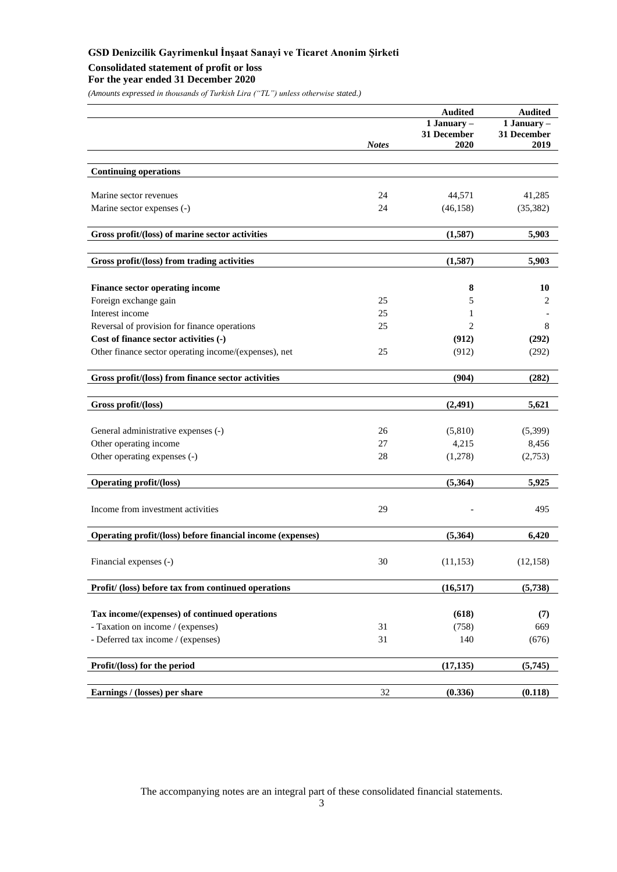# **Consolidated statement of profit or loss**

**For the year ended 31 December 2020**

*(Amounts expressed in thousands of Turkish Lira ("TL") unless otherwise stated.)*

|                                                            |              | Audited                    | <b>Audited</b>           |
|------------------------------------------------------------|--------------|----------------------------|--------------------------|
|                                                            |              | 1 January -<br>31 December | $\overline{1}$ January – |
|                                                            | <b>Notes</b> | 2020                       | 31 December<br>2019      |
|                                                            |              |                            |                          |
| <b>Continuing operations</b>                               |              |                            |                          |
| Marine sector revenues                                     | 24           | 44,571                     | 41,285                   |
| Marine sector expenses (-)                                 | 24           | (46, 158)                  | (35, 382)                |
|                                                            |              |                            |                          |
| Gross profit/(loss) of marine sector activities            |              | (1,587)                    | 5,903                    |
| Gross profit/(loss) from trading activities                |              | (1,587)                    | 5,903                    |
|                                                            |              | 8                          | 10                       |
| Finance sector operating income<br>Foreign exchange gain   | 25           | 5                          | 2                        |
| Interest income                                            | 25           | 1                          |                          |
| Reversal of provision for finance operations               | 25           | 2                          | 8                        |
| Cost of finance sector activities (-)                      |              | (912)                      | (292)                    |
| Other finance sector operating income/(expenses), net      | 25           | (912)                      | (292)                    |
|                                                            |              |                            |                          |
| Gross profit/(loss) from finance sector activities         |              | (904)                      | (282)                    |
| Gross profit/(loss)                                        |              | (2, 491)                   | 5,621                    |
|                                                            |              |                            |                          |
| General administrative expenses (-)                        | 26           | (5,810)                    | (5,399)                  |
| Other operating income                                     | 27           | 4,215                      | 8,456                    |
| Other operating expenses (-)                               | 28           | (1,278)                    | (2,753)                  |
| <b>Operating profit/(loss)</b>                             |              | (5,364)                    | 5,925                    |
|                                                            |              |                            |                          |
| Income from investment activities                          | 29           |                            | 495                      |
| Operating profit/(loss) before financial income (expenses) |              | (5,364)                    | 6,420                    |
| Financial expenses (-)                                     | 30           | (11, 153)                  | (12, 158)                |
|                                                            |              |                            |                          |
| Profit/ (loss) before tax from continued operations        |              | (16, 517)                  | (5,738)                  |
| Tax income/(expenses) of continued operations              |              | (618)                      | (7)                      |
| - Taxation on income / (expenses)                          | 31           | (758)                      | 669                      |
| - Deferred tax income / (expenses)                         | 31           | 140                        | (676)                    |
| Profit/(loss) for the period                               |              |                            |                          |
|                                                            |              | (17, 135)                  | (5,745)                  |
| Earnings / (losses) per share                              | 32           | (0.336)                    | (0.118)                  |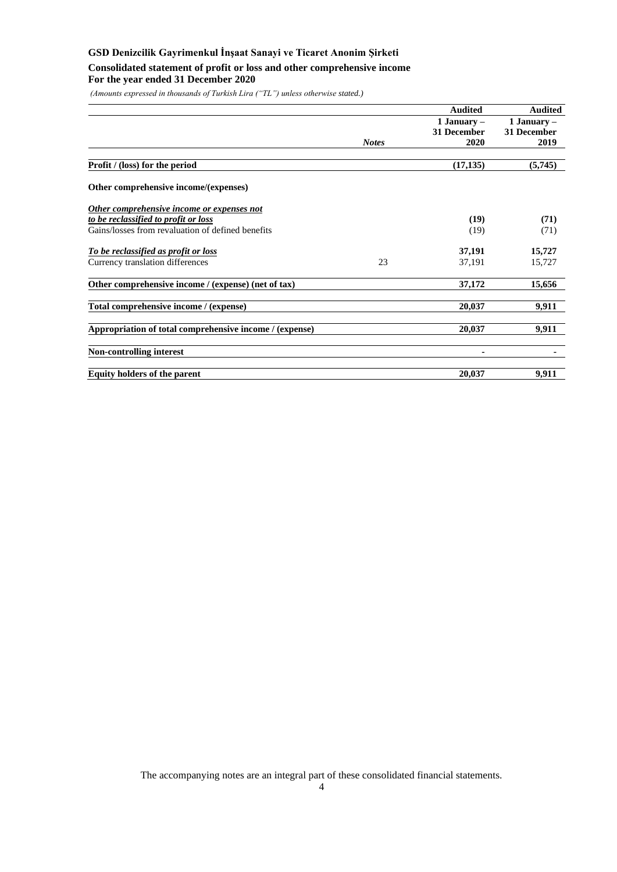# **GSD Denizcilik Gayrimenkul İnşaat Sanayi ve Ticaret Anonim Şirketi Consolidated statement of profit or loss and other comprehensive income For the year ended 31 December 2020**

*(Amounts expressed in thousands of Turkish Lira ("TL") unless otherwise stated.)*

|                                                         |              | <b>Audited</b> | <b>Audited</b> |
|---------------------------------------------------------|--------------|----------------|----------------|
|                                                         |              | 1 January $-$  | 1 January $-$  |
|                                                         |              | 31 December    | 31 December    |
|                                                         | <b>Notes</b> | 2020           | 2019           |
| Profit / (loss) for the period                          |              | (17, 135)      | (5,745)        |
| Other comprehensive income/(expenses)                   |              |                |                |
| Other comprehensive income or expenses not              |              |                |                |
| to be reclassified to profit or loss                    |              | (19)           | (71)           |
| Gains/losses from revaluation of defined benefits       |              | (19)           | (71)           |
| To be reclassified as profit or loss                    |              | 37,191         | 15,727         |
| Currency translation differences                        | 23           | 37,191         | 15,727         |
| Other comprehensive income / (expense) (net of tax)     |              | 37,172         | 15,656         |
| Total comprehensive income / (expense)                  |              | 20,037         | 9.911          |
| Appropriation of total comprehensive income / (expense) |              | 20,037         | 9,911          |
| <b>Non-controlling interest</b>                         |              |                |                |
| <b>Equity holders of the parent</b>                     |              | 20,037         | 9,911          |
|                                                         |              |                |                |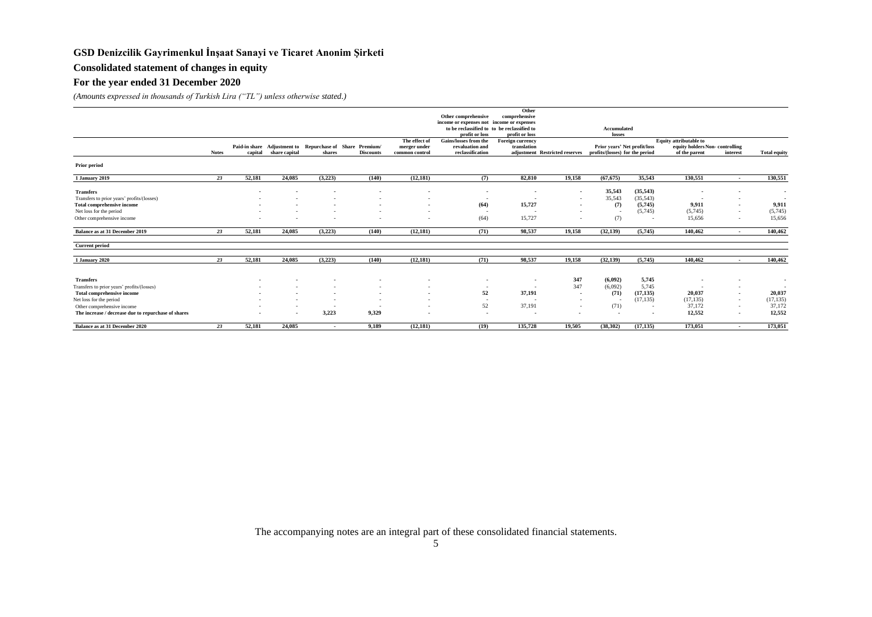# **Consolidated statement of changes in equity**

# **For the year ended 31 December 2020**

*(Amounts expressed in thousands of Turkish Lira ("TL") unless otherwise stated.)*

|                                                     |              |                          |                          |         |                                                          |                          |                                             | Other                   |                                |                                 |                          |                                |                          |                     |
|-----------------------------------------------------|--------------|--------------------------|--------------------------|---------|----------------------------------------------------------|--------------------------|---------------------------------------------|-------------------------|--------------------------------|---------------------------------|--------------------------|--------------------------------|--------------------------|---------------------|
|                                                     |              |                          |                          |         |                                                          |                          | Other comprehensive                         | comprehensive           |                                |                                 |                          |                                |                          |                     |
|                                                     |              |                          |                          |         |                                                          |                          | income or expenses not income or expenses   |                         |                                |                                 |                          |                                |                          |                     |
|                                                     |              |                          |                          |         |                                                          |                          | to be reclassified to to be reclassified to |                         |                                | Accumulated                     |                          |                                |                          |                     |
|                                                     |              |                          |                          |         |                                                          |                          | profit or loss                              | profit or loss          |                                | losses                          |                          |                                |                          |                     |
|                                                     |              |                          |                          |         |                                                          | The effect of            | Gains/losses from the                       | <b>Foreign currency</b> |                                |                                 |                          | <b>Equity attributable to</b>  |                          |                     |
|                                                     |              |                          |                          |         | Paid-in share Adjustment to Repurchase of Share Premium/ | merger under             | revaluation and                             | translation             |                                | Prior years' Net profit/loss    |                          | equity holders Non-controlling |                          |                     |
|                                                     | <b>Notes</b> | capital                  | share capital            | shares  | <b>Discounts</b>                                         | common control           | reclassification                            |                         | adjustment Restricted reserves | profits/(losses) for the period |                          | of the parent                  | interest                 | <b>Total equity</b> |
| Prior period                                        |              |                          |                          |         |                                                          |                          |                                             |                         |                                |                                 |                          |                                |                          |                     |
| <b>1 January 2019</b>                               | 23           | 52,181                   | 24.085                   | (3,223) | (140)                                                    | (12.181)                 | (7)                                         | 82.810                  | 19,158                         | (67.675)                        | 35,543                   | 130,551                        | $\sim$                   | 130,551             |
| <b>Transfers</b>                                    |              | $\overline{\phantom{a}}$ |                          | $\sim$  |                                                          | $\overline{\phantom{a}}$ | $\overline{\phantom{a}}$                    | $\blacksquare$          | $\overline{\phantom{a}}$       | 35,543                          | (35, 543)                |                                | $\overline{\phantom{a}}$ | $\sim$              |
| Transfers to prior years' profits/(losses)          |              |                          |                          |         |                                                          | $\overline{\phantom{a}}$ | $\overline{\phantom{a}}$                    | $\sim$                  | $\sim$                         | 35,543                          | (35,543)                 | . —                            | $\overline{\phantom{a}}$ | $\sim$ $-$          |
| <b>Total comprehensive income</b>                   |              |                          |                          |         |                                                          | $\overline{\phantom{a}}$ | (64)                                        | 15,727                  | $\sim$                         | (7)                             | (5,745)                  | 9.911                          | $\overline{\phantom{a}}$ | 9,911               |
| Net loss for the period                             |              |                          |                          |         |                                                          | ٠                        | $\overline{\phantom{a}}$                    |                         |                                | $\overline{\phantom{a}}$        | (5,745)                  | (5,745)                        | $\overline{\phantom{a}}$ | (5,745)             |
| Other comprehensive income                          |              |                          |                          |         |                                                          |                          | (64)                                        | 15,727                  | $\overline{\phantom{a}}$       | (7)                             | $\sim$                   | 15.656                         | $\overline{\phantom{a}}$ | 15,656              |
| Balance as at 31 December 2019                      | 23           | 52,181                   | 24,085                   | (3,223) | (140)                                                    | (12, 181)                | (71)                                        | 98,537                  | 19,158                         | (32, 139)                       | (5,745)                  | 140,462                        | $\overline{\phantom{a}}$ | 140,462             |
| <b>Current period</b>                               |              |                          |                          |         |                                                          |                          |                                             |                         |                                |                                 |                          |                                |                          |                     |
| 1 January 2020                                      | 23           | 52,181                   | 24,085                   | (3,223) | (140)                                                    | (12, 181)                | (71)                                        | 98,537                  | 19,158                         | (32, 139)                       | (5,745)                  | 140,462                        | $\overline{\phantom{a}}$ | 140,462             |
| <b>Transfers</b>                                    |              | $\overline{\phantom{a}}$ |                          |         |                                                          |                          | $\blacksquare$                              | $\blacksquare$          | 347                            | (6,092)                         | 5,745                    |                                | $\overline{\phantom{a}}$ | $\sim$              |
| Transfers to prior years' profits/(losses)          |              | $\sim$                   |                          |         |                                                          | $\overline{\phantom{a}}$ | $\sim$                                      | $\sim$                  | 347                            | (6,092)                         | 5,745                    | $\sim$                         | $\overline{\phantom{a}}$ | $\sim$ $-$          |
| <b>Total comprehensive income</b>                   |              | $\overline{\phantom{a}}$ |                          |         |                                                          | $\overline{\phantom{a}}$ | 52                                          | 37,191                  | $\overline{\phantom{a}}$       | (71)                            | (17, 135)                | 20,037                         | $\sim$                   | 20,037              |
| Net loss for the period                             |              |                          |                          |         |                                                          |                          |                                             |                         | $\overline{\phantom{a}}$       | $\sim$                          | (17, 135)                | (17, 135)                      | $\overline{\phantom{a}}$ | (17, 135)           |
| Other comprehensive income                          |              |                          |                          |         |                                                          |                          | 52                                          | 37,191                  |                                | (71)                            | $\overline{\phantom{a}}$ | 37,172                         | $\overline{\phantom{a}}$ | 37,172              |
| The increase / decrease due to repurchase of shares |              |                          | $\overline{\phantom{a}}$ | 3,223   | 9.329                                                    |                          | $\overline{\phantom{a}}$                    |                         | ۰                              |                                 | $\sim$                   | 12,552                         | $\overline{\phantom{a}}$ | 12,552              |
| Balance as at 31 December 2020                      | 23           | 52.181                   | 24,085                   | $\sim$  | 9.189                                                    | (12.181)                 | (19)                                        | 135.728                 | 19.505                         | (38,302)                        | (17, 135)                | 173.051                        | $\overline{\phantom{a}}$ | 173,051             |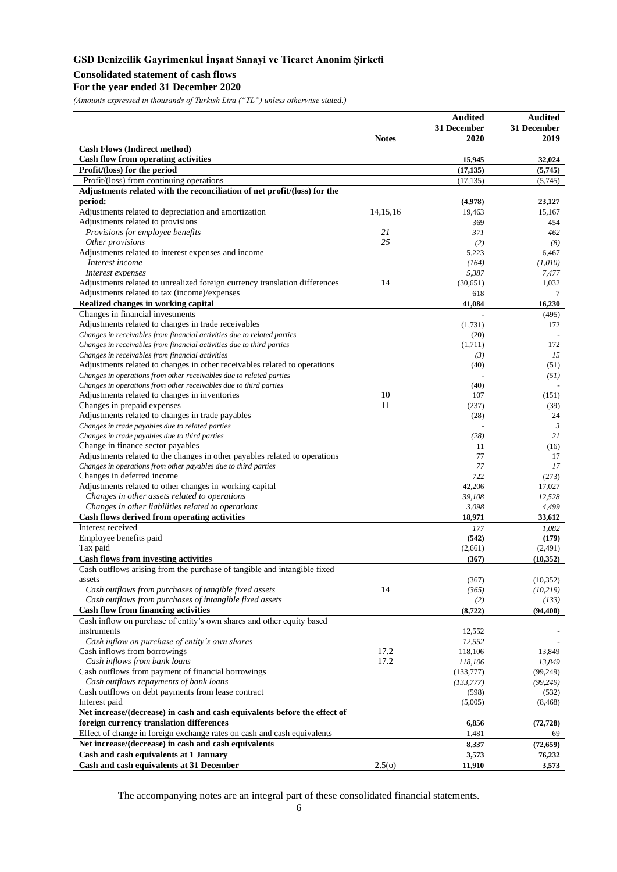# **Consolidated statement of cash flows**

# **For the year ended 31 December 2020**

*(Amounts expressed in thousands of Turkish Lira ("TL") unless otherwise stated.)*

|                                                                                                                                                  |              | <b>Audited</b>     | <b>Audited</b>   |
|--------------------------------------------------------------------------------------------------------------------------------------------------|--------------|--------------------|------------------|
|                                                                                                                                                  |              | 31 December        | 31 December      |
|                                                                                                                                                  | <b>Notes</b> | 2020               | 2019             |
| <b>Cash Flows (Indirect method)</b>                                                                                                              |              |                    |                  |
| <b>Cash flow from operating activities</b>                                                                                                       |              | 15,945             | 32,024           |
| Profit/(loss) for the period                                                                                                                     |              | (17, 135)          | (5,745)          |
| Profit/(loss) from continuing operations<br>Adjustments related with the reconciliation of net profit/(loss) for the                             |              | (17, 135)          | (5,745)          |
| period:                                                                                                                                          |              | (4,978)            | 23,127           |
| Adjustments related to depreciation and amortization                                                                                             | 14,15,16     | 19,463             | 15,167           |
| Adjustments related to provisions                                                                                                                |              | 369                | 454              |
| Provisions for employee benefits                                                                                                                 | 21           | 371                | 462              |
| Other provisions                                                                                                                                 | 25           | (2)                | (8)              |
| Adjustments related to interest expenses and income                                                                                              |              | 5,223              | 6,467            |
| Interest income                                                                                                                                  |              | (164)              | (1,010)          |
| Interest expenses                                                                                                                                |              | 5,387              | 7,477            |
| Adjustments related to unrealized foreign currency translation differences                                                                       | 14           | (30,651)           | 1,032            |
| Adjustments related to tax (income)/expenses                                                                                                     |              | 618                | 7                |
| Realized changes in working capital                                                                                                              |              | 41,084             | 16,230           |
| Changes in financial investments                                                                                                                 |              | $\overline{a}$     | (495)            |
| Adjustments related to changes in trade receivables                                                                                              |              | (1,731)            | 172              |
| Changes in receivables from financial activities due to related parties<br>Changes in receivables from financial activities due to third parties |              | (20)<br>(1,711)    | 172              |
| Changes in receivables from financial activities                                                                                                 |              | (3)                | 15               |
| Adjustments related to changes in other receivables related to operations                                                                        |              | (40)               | (51)             |
| Changes in operations from other receivables due to related parties                                                                              |              |                    | (51)             |
| Changes in operations from other receivables due to third parties                                                                                |              | (40)               |                  |
| Adjustments related to changes in inventories                                                                                                    | 10           | 107                | (151)            |
| Changes in prepaid expenses                                                                                                                      | 11           | (237)              | (39)             |
| Adjustments related to changes in trade payables                                                                                                 |              | (28)               | 24               |
| Changes in trade payables due to related parties                                                                                                 |              |                    | $\mathfrak{Z}$   |
| Changes in trade payables due to third parties                                                                                                   |              | (28)               | 21               |
| Change in finance sector payables                                                                                                                |              | 11                 | (16)             |
| Adjustments related to the changes in other payables related to operations                                                                       |              | 77                 | 17               |
| Changes in operations from other payables due to third parties<br>Changes in deferred income                                                     |              | 77<br>722          | 17               |
| Adjustments related to other changes in working capital                                                                                          |              | 42,206             | (273)<br>17,027  |
| Changes in other assets related to operations                                                                                                    |              | 39,108             | 12,528           |
| Changes in other liabilities related to operations                                                                                               |              | 3,098              | 4,499            |
| Cash flows derived from operating activities                                                                                                     |              | 18,971             | 33,612           |
| Interest received                                                                                                                                |              | 177                | 1,082            |
| Employee benefits paid                                                                                                                           |              | (542)              | (179)            |
| Tax paid                                                                                                                                         |              | (2,661)            | (2,491)          |
| <b>Cash flows from investing activities</b>                                                                                                      |              | (367)              | (10, 352)        |
| Cash outflows arising from the purchase of tangible and intangible fixed                                                                         |              |                    |                  |
| assets                                                                                                                                           |              | (367)              | (10, 352)        |
| Cash outflows from purchases of tangible fixed assets                                                                                            | 14           | (365)              | (10, 219)        |
| Cash outflows from purchases of intangible fixed assets                                                                                          |              | (2)                | (133)            |
| <b>Cash flow from financing activities</b>                                                                                                       |              | (8,722)            | (94, 400)        |
| Cash inflow on purchase of entity's own shares and other equity based                                                                            |              |                    |                  |
| instruments                                                                                                                                      |              | 12,552             |                  |
| Cash inflow on purchase of entity's own shares<br>Cash inflows from borrowings                                                                   | 17.2         | 12,552             |                  |
| Cash inflows from bank loans                                                                                                                     | 17.2         | 118,106<br>118,106 | 13,849<br>13,849 |
| Cash outflows from payment of financial borrowings                                                                                               |              | (133, 777)         | (99,249)         |
| Cash outflows repayments of bank loans                                                                                                           |              | (133, 777)         | (99,249)         |
| Cash outflows on debt payments from lease contract                                                                                               |              | (598)              | (532)            |
| Interest paid                                                                                                                                    |              | (5,005)            | (8, 468)         |
| Net increase/(decrease) in cash and cash equivalents before the effect of                                                                        |              |                    |                  |
| foreign currency translation differences                                                                                                         |              | 6,856              | (72, 728)        |
| Effect of change in foreign exchange rates on cash and cash equivalents                                                                          |              | 1,481              | 69               |
| Net increase/(decrease) in cash and cash equivalents                                                                                             |              | 8,337              | (72, 659)        |
| Cash and cash equivalents at 1 January                                                                                                           |              | 3,573              | 76,232           |
| Cash and cash equivalents at 31 December                                                                                                         | 2.5(0)       | 11,910             | 3,573            |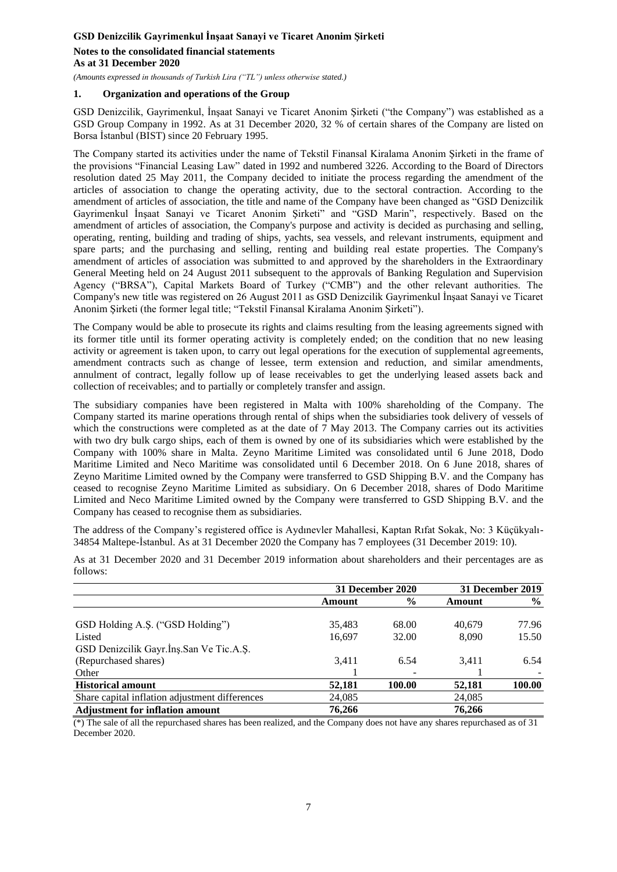**Notes to the consolidated financial statements As at 31 December 2020**

*(Amounts expressed in thousands of Turkish Lira ("TL") unless otherwise stated.)*

#### **1. Organization and operations of the Group**

GSD Denizcilik, Gayrimenkul, İnşaat Sanayi ve Ticaret Anonim Şirketi ("the Company") was established as a GSD Group Company in 1992. As at 31 December 2020, 32 % of certain shares of the Company are listed on Borsa İstanbul (BIST) since 20 February 1995.

The Company started its activities under the name of Tekstil Finansal Kiralama Anonim Şirketi in the frame of the provisions "Financial Leasing Law" dated in 1992 and numbered 3226. According to the Board of Directors resolution dated 25 May 2011, the Company decided to initiate the process regarding the amendment of the articles of association to change the operating activity, due to the sectoral contraction. According to the amendment of articles of association, the title and name of the Company have been changed as "GSD Denizcilik Gayrimenkul İnşaat Sanayi ve Ticaret Anonim Şirketi" and "GSD Marin", respectively. Based on the amendment of articles of association, the Company's purpose and activity is decided as purchasing and selling, operating, renting, building and trading of ships, yachts, sea vessels, and relevant instruments, equipment and spare parts; and the purchasing and selling, renting and building real estate properties. The Company's amendment of articles of association was submitted to and approved by the shareholders in the Extraordinary General Meeting held on 24 August 2011 subsequent to the approvals of Banking Regulation and Supervision Agency ("BRSA"), Capital Markets Board of Turkey ("CMB") and the other relevant authorities. The Company's new title was registered on 26 August 2011 as GSD Denizcilik Gayrimenkul İnşaat Sanayi ve Ticaret Anonim Şirketi (the former legal title; "Tekstil Finansal Kiralama Anonim Şirketi").

The Company would be able to prosecute its rights and claims resulting from the leasing agreements signed with its former title until its former operating activity is completely ended; on the condition that no new leasing activity or agreement is taken upon, to carry out legal operations for the execution of supplemental agreements, amendment contracts such as change of lessee, term extension and reduction, and similar amendments, annulment of contract, legally follow up of lease receivables to get the underlying leased assets back and collection of receivables; and to partially or completely transfer and assign.

The subsidiary companies have been registered in Malta with 100% shareholding of the Company. The Company started its marine operations through rental of ships when the subsidiaries took delivery of vessels of which the constructions were completed as at the date of 7 May 2013. The Company carries out its activities with two dry bulk cargo ships, each of them is owned by one of its subsidiaries which were established by the Company with 100% share in Malta. Zeyno Maritime Limited was consolidated until 6 June 2018, Dodo Maritime Limited and Neco Maritime was consolidated until 6 December 2018. On 6 June 2018, shares of Zeyno Maritime Limited owned by the Company were transferred to GSD Shipping B.V. and the Company has ceased to recognise Zeyno Maritime Limited as subsidiary. On 6 December 2018, shares of Dodo Maritime Limited and Neco Maritime Limited owned by the Company were transferred to GSD Shipping B.V. and the Company has ceased to recognise them as subsidiaries.

The address of the Company's registered office is Aydınevler Mahallesi, Kaptan Rıfat Sokak, No: 3 Küçükyalı-34854 Maltepe-İstanbul. As at 31 December 2020 the Company has 7 employees (31 December 2019: 10).

|                                                | 31 December 2020 |               | 31 December 2019 |        |  |
|------------------------------------------------|------------------|---------------|------------------|--------|--|
|                                                | Amount           | $\frac{6}{9}$ | Amount           | $\%$   |  |
| GSD Holding A.S. ("GSD Holding")               | 35,483           | 68.00         | 40,679           | 77.96  |  |
| Listed                                         | 16,697           | 32.00         | 8.090            | 15.50  |  |
| GSD Denizcilik Gayr.Ins.San Ve Tic.A.Ş.        |                  |               |                  |        |  |
| (Repurchased shares)                           | 3.411            | 6.54          | 3.411            | 6.54   |  |
| Other                                          |                  |               |                  |        |  |
| <b>Historical amount</b>                       | 52,181           | 100.00        | 52,181           | 100.00 |  |
| Share capital inflation adjustment differences | 24,085           |               | 24,085           |        |  |
| <b>Adjustment for inflation amount</b>         | 76,266           |               | 76,266           |        |  |

As at 31 December 2020 and 31 December 2019 information about shareholders and their percentages are as follows:

(\*) The sale of all the repurchased shares has been realized, and the Company does not have any shares repurchased as of 31 December 2020.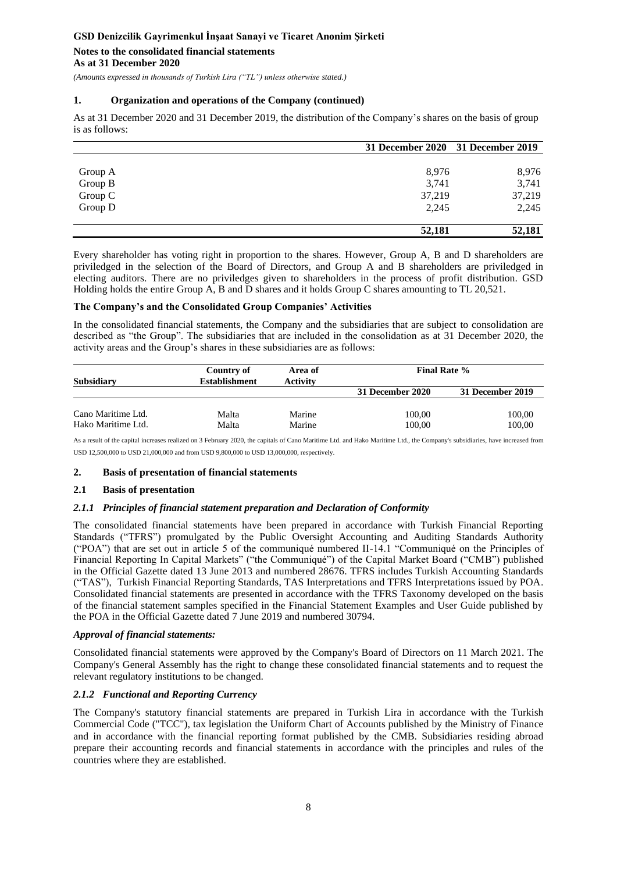**Notes to the consolidated financial statements As at 31 December 2020**

*(Amounts expressed in thousands of Turkish Lira ("TL") unless otherwise stated.)*

#### **1. Organization and operations of the Company (continued)**

As at 31 December 2020 and 31 December 2019, the distribution of the Company's shares on the basis of group is as follows:

|         | 31 December 2020 31 December 2019 |        |
|---------|-----------------------------------|--------|
|         |                                   |        |
| Group A | 8,976                             | 8,976  |
| Group B | 3,741                             | 3,741  |
| Group C | 37,219                            | 37,219 |
| Group D | 2,245                             | 2,245  |
|         | 52,181                            | 52,181 |

Every shareholder has voting right in proportion to the shares. However, Group A, B and D shareholders are priviledged in the selection of the Board of Directors, and Group A and B shareholders are priviledged in electing auditors. There are no priviledges given to shareholders in the process of profit distribution. GSD Holding holds the entire Group A, B and D shares and it holds Group C shares amounting to TL 20,521.

### **The Company's and the Consolidated Group Companies' Activities**

In the consolidated financial statements, the Company and the subsidiaries that are subject to consolidation are described as "the Group". The subsidiaries that are included in the consolidation as at 31 December 2020, the activity areas and the Group's shares in these subsidiaries are as follows:

| <b>Subsidiary</b>                        | Country of<br><b>Establishment</b> | Area of<br>Activity | <b>Final Rate %</b> |                  |
|------------------------------------------|------------------------------------|---------------------|---------------------|------------------|
|                                          |                                    |                     | 31 December 2020    | 31 December 2019 |
| Cano Maritime Ltd.<br>Hako Maritime Ltd. | Malta<br>Malta                     | Marine<br>Marine    | 100,00<br>100.00    | 100,00<br>100.00 |

As a result of the capital increases realized on 3 February 2020, the capitals of Cano Maritime Ltd. and Hako Maritime Ltd., the Company's subsidiaries, have increased from USD 12,500,000 to USD 21,000,000 and from USD 9,800,000 to USD 13,000,000, respectively.

#### **2. Basis of presentation of financial statements**

#### **2.1 Basis of presentation**

#### *2.1.1 Principles of financial statement preparation and Declaration of Conformity*

The consolidated financial statements have been prepared in accordance with Turkish Financial Reporting Standards ("TFRS") promulgated by the Public Oversight Accounting and Auditing Standards Authority ("POA") that are set out in article 5 of the communiqué numbered II-14.1 "Communiqué on the Principles of Financial Reporting In Capital Markets" ("the Communiqué") of the Capital Market Board ("CMB") published in the Official Gazette dated 13 June 2013 and numbered 28676. TFRS includes Turkish Accounting Standards ("TAS"), Turkish Financial Reporting Standards, TAS Interpretations and TFRS Interpretations issued by POA. Consolidated financial statements are presented in accordance with the TFRS Taxonomy developed on the basis of the financial statement samples specified in the Financial Statement Examples and User Guide published by the POA in the Official Gazette dated 7 June 2019 and numbered 30794.

#### *Approval of financial statements:*

Consolidated financial statements were approved by the Company's Board of Directors on 11 March 2021. The Company's General Assembly has the right to change these consolidated financial statements and to request the relevant regulatory institutions to be changed.

### *2.1.2 Functional and Reporting Currency*

The Company's statutory financial statements are prepared in Turkish Lira in accordance with the Turkish Commercial Code ("TCC"), tax legislation the Uniform Chart of Accounts published by the Ministry of Finance and in accordance with the financial reporting format published by the CMB. Subsidiaries residing abroad prepare their accounting records and financial statements in accordance with the principles and rules of the countries where they are established.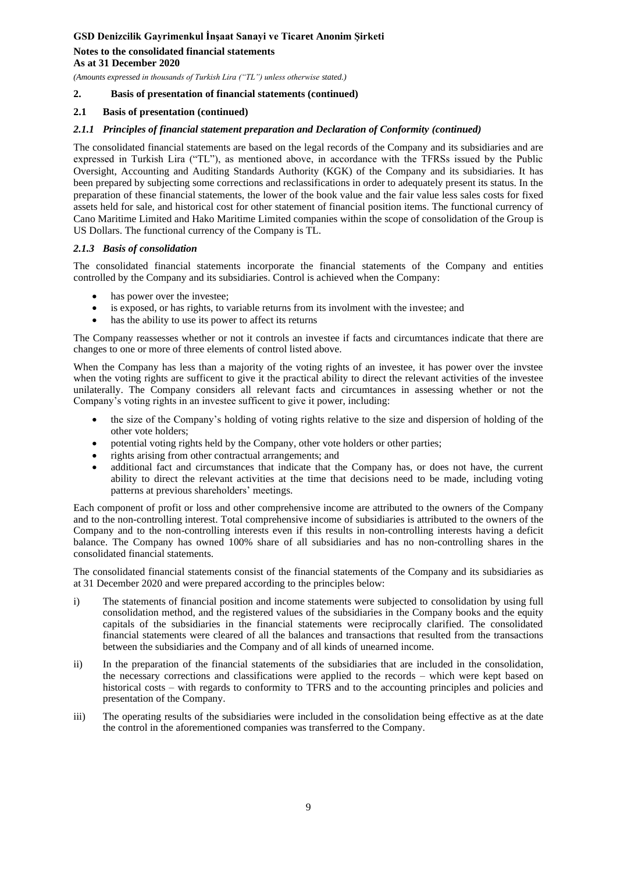**Notes to the consolidated financial statements As at 31 December 2020**

*(Amounts expressed in thousands of Turkish Lira ("TL") unless otherwise stated.)*

#### **2. Basis of presentation of financial statements (continued)**

#### **2.1 Basis of presentation (continued)**

#### *2.1.1 Principles of financial statement preparation and Declaration of Conformity (continued)*

The consolidated financial statements are based on the legal records of the Company and its subsidiaries and are expressed in Turkish Lira ("TL"), as mentioned above, in accordance with the TFRSs issued by the Public Oversight, Accounting and Auditing Standards Authority (KGK) of the Company and its subsidiaries. It has been prepared by subjecting some corrections and reclassifications in order to adequately present its status. In the preparation of these financial statements, the lower of the book value and the fair value less sales costs for fixed assets held for sale, and historical cost for other statement of financial position items. The functional currency of Cano Maritime Limited and Hako Maritime Limited companies within the scope of consolidation of the Group is US Dollars. The functional currency of the Company is TL.

#### *2.1.3 Basis of consolidation*

The consolidated financial statements incorporate the financial statements of the Company and entities controlled by the Company and its subsidiaries. Control is achieved when the Company:

- has power over the investee;
- is exposed, or has rights, to variable returns from its involment with the investee; and
- has the ability to use its power to affect its returns

The Company reassesses whether or not it controls an investee if facts and circumtances indicate that there are changes to one or more of three elements of control listed above.

When the Company has less than a majority of the voting rights of an investee, it has power over the invstee when the voting rights are sufficent to give it the practical ability to direct the relevant activities of the investee unilaterally. The Company considers all relevant facts and circumtances in assessing whether or not the Company's voting rights in an investee sufficent to give it power, including:

- the size of the Company's holding of voting rights relative to the size and dispersion of holding of the other vote holders;
- potential voting rights held by the Company, other vote holders or other parties;
- rights arising from other contractual arrangements; and
- additional fact and circumstances that indicate that the Company has, or does not have, the current ability to direct the relevant activities at the time that decisions need to be made, including voting patterns at previous shareholders' meetings.

Each component of profit or loss and other comprehensive income are attributed to the owners of the Company and to the non-controlling interest. Total comprehensive income of subsidiaries is attributed to the owners of the Company and to the non-controlling interests even if this results in non-controlling interests having a deficit balance. The Company has owned 100% share of all subsidiaries and has no non-controlling shares in the consolidated financial statements.

The consolidated financial statements consist of the financial statements of the Company and its subsidiaries as at 31 December 2020 and were prepared according to the principles below:

- i) The statements of financial position and income statements were subjected to consolidation by using full consolidation method, and the registered values of the subsidiaries in the Company books and the equity capitals of the subsidiaries in the financial statements were reciprocally clarified. The consolidated financial statements were cleared of all the balances and transactions that resulted from the transactions between the subsidiaries and the Company and of all kinds of unearned income.
- ii) In the preparation of the financial statements of the subsidiaries that are included in the consolidation, the necessary corrections and classifications were applied to the records – which were kept based on historical costs – with regards to conformity to TFRS and to the accounting principles and policies and presentation of the Company.
- iii) The operating results of the subsidiaries were included in the consolidation being effective as at the date the control in the aforementioned companies was transferred to the Company.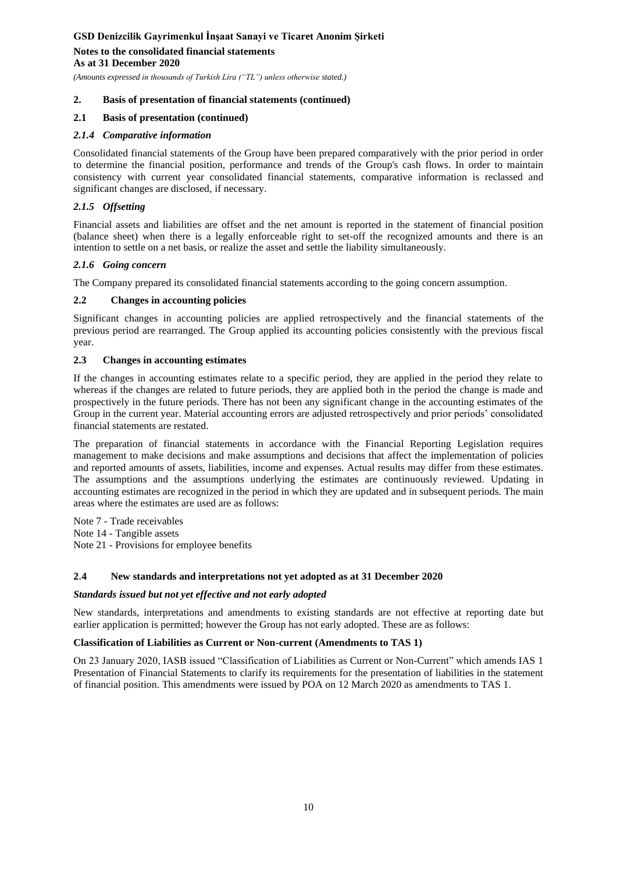# **Notes to the consolidated financial statements As at 31 December 2020**

*(Amounts expressed in thousands of Turkish Lira ("TL") unless otherwise stated.)*

### **2. Basis of presentation of financial statements (continued)**

### **2.1 Basis of presentation (continued)**

#### *2.1.4 Comparative information*

Consolidated financial statements of the Group have been prepared comparatively with the prior period in order to determine the financial position, performance and trends of the Group's cash flows. In order to maintain consistency with current year consolidated financial statements, comparative information is reclassed and significant changes are disclosed, if necessary.

### *2.1.5 Offsetting*

Financial assets and liabilities are offset and the net amount is reported in the statement of financial position (balance sheet) when there is a legally enforceable right to set-off the recognized amounts and there is an intention to settle on a net basis, or realize the asset and settle the liability simultaneously.

#### *2.1.6 Going concern*

The Company prepared its consolidated financial statements according to the going concern assumption.

#### **2.2 Changes in accounting policies**

Significant changes in accounting policies are applied retrospectively and the financial statements of the previous period are rearranged. The Group applied its accounting policies consistently with the previous fiscal year.

#### **2.3 Changes in accounting estimates**

If the changes in accounting estimates relate to a specific period, they are applied in the period they relate to whereas if the changes are related to future periods, they are applied both in the period the change is made and prospectively in the future periods. There has not been any significant change in the accounting estimates of the Group in the current year. Material accounting errors are adjusted retrospectively and prior periods' consolidated financial statements are restated.

The preparation of financial statements in accordance with the Financial Reporting Legislation requires management to make decisions and make assumptions and decisions that affect the implementation of policies and reported amounts of assets, liabilities, income and expenses. Actual results may differ from these estimates. The assumptions and the assumptions underlying the estimates are continuously reviewed. Updating in accounting estimates are recognized in the period in which they are updated and in subsequent periods. The main areas where the estimates are used are as follows:

Note 7 - Trade receivables Note 14 - Tangible assets Note 21 - Provisions for employee benefits

### **2**.**4 New standards and interpretations not yet adopted as at 31 December 2020**

#### *Standards issued but not yet effective and not early adopted*

New standards, interpretations and amendments to existing standards are not effective at reporting date but earlier application is permitted; however the Group has not early adopted. These are as follows:

#### **Classification of Liabilities as Current or Non-current (Amendments to TAS 1)**

On 23 January 2020, IASB issued "Classification of Liabilities as Current or Non-Current" which amends IAS 1 Presentation of Financial Statements to clarify its requirements for the presentation of liabilities in the statement of financial position. This amendments were issued by POA on 12 March 2020 as amendments to TAS 1.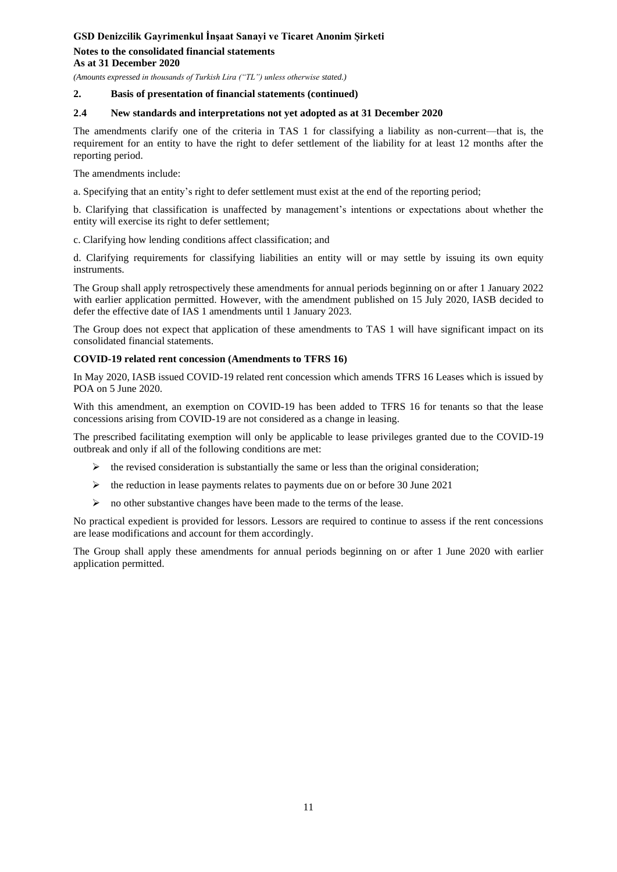**Notes to the consolidated financial statements As at 31 December 2020**

*(Amounts expressed in thousands of Turkish Lira ("TL") unless otherwise stated.)*

#### **2. Basis of presentation of financial statements (continued)**

#### **2**.**4 New standards and interpretations not yet adopted as at 31 December 2020**

The amendments clarify one of the criteria in TAS 1 for classifying a liability as non-current—that is, the requirement for an entity to have the right to defer settlement of the liability for at least 12 months after the reporting period.

The amendments include:

a. Specifying that an entity's right to defer settlement must exist at the end of the reporting period;

b. Clarifying that classification is unaffected by management's intentions or expectations about whether the entity will exercise its right to defer settlement;

c. Clarifying how lending conditions affect classification; and

d. Clarifying requirements for classifying liabilities an entity will or may settle by issuing its own equity **instruments** 

The Group shall apply retrospectively these amendments for annual periods beginning on or after 1 January 2022 with earlier application permitted. However, with the amendment published on 15 July 2020, IASB decided to defer the effective date of IAS 1 amendments until 1 January 2023.

The Group does not expect that application of these amendments to TAS 1 will have significant impact on its consolidated financial statements.

#### **COVID-19 related rent concession (Amendments to TFRS 16)**

In May 2020, IASB issued COVID-19 related rent concession which amends TFRS 16 Leases which is issued by POA on 5 June 2020.

With this amendment, an exemption on COVID-19 has been added to TFRS 16 for tenants so that the lease concessions arising from COVID-19 are not considered as a change in leasing.

The prescribed facilitating exemption will only be applicable to lease privileges granted due to the COVID-19 outbreak and only if all of the following conditions are met:

- $\triangleright$  the revised consideration is substantially the same or less than the original consideration;
- ➢ the reduction in lease payments relates to payments due on or before 30 June 2021
- ➢ no other substantive changes have been made to the terms of the lease.

No practical expedient is provided for lessors. Lessors are required to continue to assess if the rent concessions are lease modifications and account for them accordingly.

The Group shall apply these amendments for annual periods beginning on or after 1 June 2020 with earlier application permitted.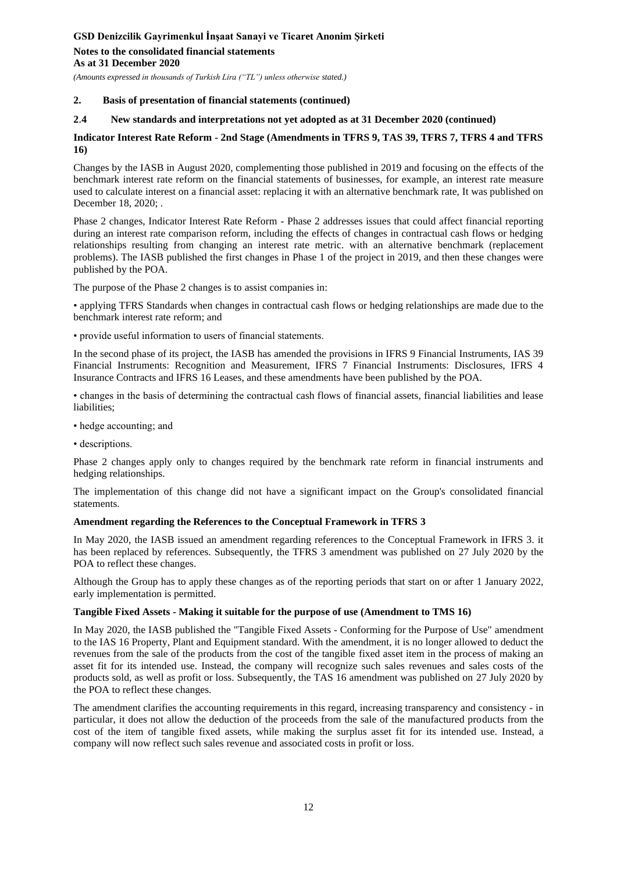**Notes to the consolidated financial statements As at 31 December 2020**

*(Amounts expressed in thousands of Turkish Lira ("TL") unless otherwise stated.)*

#### **2. Basis of presentation of financial statements (continued)**

#### **2**.**4 New standards and interpretations not yet adopted as at 31 December 2020 (continued)**

### **Indicator Interest Rate Reform - 2nd Stage (Amendments in TFRS 9, TAS 39, TFRS 7, TFRS 4 and TFRS 16)**

Changes by the IASB in August 2020, complementing those published in 2019 and focusing on the effects of the benchmark interest rate reform on the financial statements of businesses, for example, an interest rate measure used to calculate interest on a financial asset: replacing it with an alternative benchmark rate, It was published on December 18, 2020; .

Phase 2 changes, Indicator Interest Rate Reform - Phase 2 addresses issues that could affect financial reporting during an interest rate comparison reform, including the effects of changes in contractual cash flows or hedging relationships resulting from changing an interest rate metric. with an alternative benchmark (replacement problems). The IASB published the first changes in Phase 1 of the project in 2019, and then these changes were published by the POA.

The purpose of the Phase 2 changes is to assist companies in:

• applying TFRS Standards when changes in contractual cash flows or hedging relationships are made due to the benchmark interest rate reform; and

• provide useful information to users of financial statements.

In the second phase of its project, the IASB has amended the provisions in IFRS 9 Financial Instruments, IAS 39 Financial Instruments: Recognition and Measurement, IFRS 7 Financial Instruments: Disclosures, IFRS 4 Insurance Contracts and IFRS 16 Leases, and these amendments have been published by the POA.

• changes in the basis of determining the contractual cash flows of financial assets, financial liabilities and lease liabilities;

• hedge accounting; and

• descriptions.

Phase 2 changes apply only to changes required by the benchmark rate reform in financial instruments and hedging relationships.

The implementation of this change did not have a significant impact on the Group's consolidated financial statements.

#### **Amendment regarding the References to the Conceptual Framework in TFRS 3**

In May 2020, the IASB issued an amendment regarding references to the Conceptual Framework in IFRS 3. it has been replaced by references. Subsequently, the TFRS 3 amendment was published on 27 July 2020 by the POA to reflect these changes.

Although the Group has to apply these changes as of the reporting periods that start on or after 1 January 2022, early implementation is permitted.

#### **Tangible Fixed Assets - Making it suitable for the purpose of use (Amendment to TMS 16)**

In May 2020, the IASB published the "Tangible Fixed Assets - Conforming for the Purpose of Use" amendment to the IAS 16 Property, Plant and Equipment standard. With the amendment, it is no longer allowed to deduct the revenues from the sale of the products from the cost of the tangible fixed asset item in the process of making an asset fit for its intended use. Instead, the company will recognize such sales revenues and sales costs of the products sold, as well as profit or loss. Subsequently, the TAS 16 amendment was published on 27 July 2020 by the POA to reflect these changes.

The amendment clarifies the accounting requirements in this regard, increasing transparency and consistency - in particular, it does not allow the deduction of the proceeds from the sale of the manufactured products from the cost of the item of tangible fixed assets, while making the surplus asset fit for its intended use. Instead, a company will now reflect such sales revenue and associated costs in profit or loss.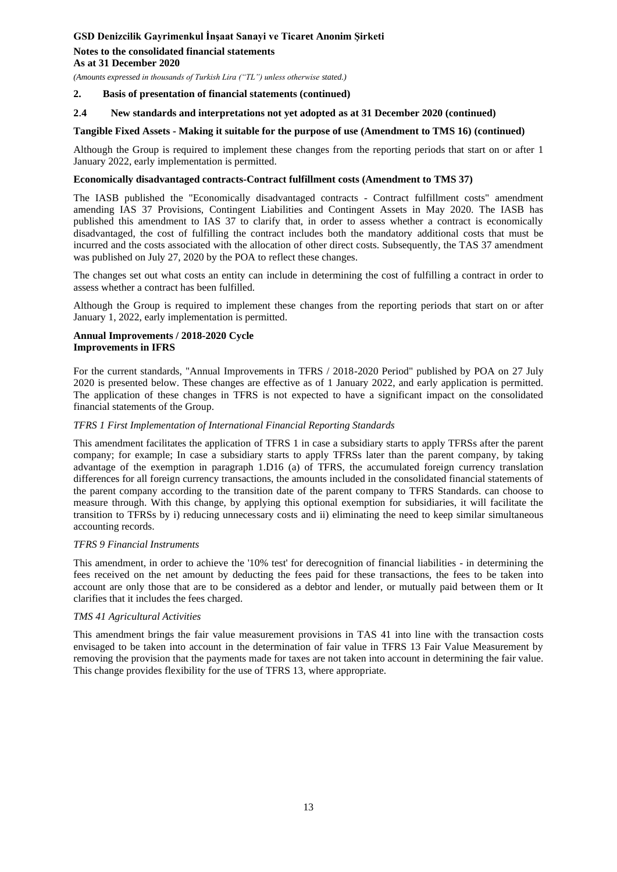**Notes to the consolidated financial statements As at 31 December 2020**

*(Amounts expressed in thousands of Turkish Lira ("TL") unless otherwise stated.)*

#### **2. Basis of presentation of financial statements (continued)**

#### **2**.**4 New standards and interpretations not yet adopted as at 31 December 2020 (continued)**

#### **Tangible Fixed Assets - Making it suitable for the purpose of use (Amendment to TMS 16) (continued)**

Although the Group is required to implement these changes from the reporting periods that start on or after 1 January 2022, early implementation is permitted.

#### **Economically disadvantaged contracts-Contract fulfillment costs (Amendment to TMS 37)**

The IASB published the "Economically disadvantaged contracts - Contract fulfillment costs" amendment amending IAS 37 Provisions, Contingent Liabilities and Contingent Assets in May 2020. The IASB has published this amendment to IAS 37 to clarify that, in order to assess whether a contract is economically disadvantaged, the cost of fulfilling the contract includes both the mandatory additional costs that must be incurred and the costs associated with the allocation of other direct costs. Subsequently, the TAS 37 amendment was published on July 27, 2020 by the POA to reflect these changes.

The changes set out what costs an entity can include in determining the cost of fulfilling a contract in order to assess whether a contract has been fulfilled.

Although the Group is required to implement these changes from the reporting periods that start on or after January 1, 2022, early implementation is permitted.

### **Annual Improvements / 2018-2020 Cycle Improvements in IFRS**

For the current standards, "Annual Improvements in TFRS / 2018-2020 Period" published by POA on 27 July 2020 is presented below. These changes are effective as of 1 January 2022, and early application is permitted. The application of these changes in TFRS is not expected to have a significant impact on the consolidated financial statements of the Group.

### *TFRS 1 First Implementation of International Financial Reporting Standards*

This amendment facilitates the application of TFRS 1 in case a subsidiary starts to apply TFRSs after the parent company; for example; In case a subsidiary starts to apply TFRSs later than the parent company, by taking advantage of the exemption in paragraph 1.D16 (a) of TFRS, the accumulated foreign currency translation differences for all foreign currency transactions, the amounts included in the consolidated financial statements of the parent company according to the transition date of the parent company to TFRS Standards. can choose to measure through. With this change, by applying this optional exemption for subsidiaries, it will facilitate the transition to TFRSs by i) reducing unnecessary costs and ii) eliminating the need to keep similar simultaneous accounting records.

#### *TFRS 9 Financial Instruments*

This amendment, in order to achieve the '10% test' for derecognition of financial liabilities - in determining the fees received on the net amount by deducting the fees paid for these transactions, the fees to be taken into account are only those that are to be considered as a debtor and lender, or mutually paid between them or It clarifies that it includes the fees charged.

#### *TMS 41 Agricultural Activities*

This amendment brings the fair value measurement provisions in TAS 41 into line with the transaction costs envisaged to be taken into account in the determination of fair value in TFRS 13 Fair Value Measurement by removing the provision that the payments made for taxes are not taken into account in determining the fair value. This change provides flexibility for the use of TFRS 13, where appropriate.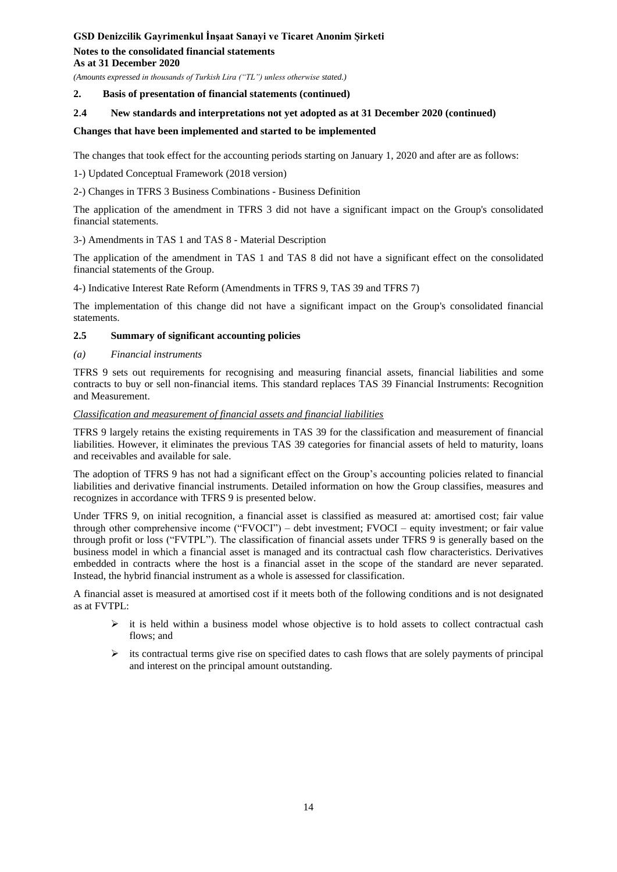### **Notes to the consolidated financial statements As at 31 December 2020**

*(Amounts expressed in thousands of Turkish Lira ("TL") unless otherwise stated.)*

#### **2. Basis of presentation of financial statements (continued)**

# **2**.**4 New standards and interpretations not yet adopted as at 31 December 2020 (continued)**

### **Changes that have been implemented and started to be implemented**

The changes that took effect for the accounting periods starting on January 1, 2020 and after are as follows:

1-) Updated Conceptual Framework (2018 version)

2-) Changes in TFRS 3 Business Combinations - Business Definition

The application of the amendment in TFRS 3 did not have a significant impact on the Group's consolidated financial statements.

3-) Amendments in TAS 1 and TAS 8 - Material Description

The application of the amendment in TAS 1 and TAS 8 did not have a significant effect on the consolidated financial statements of the Group.

4-) Indicative Interest Rate Reform (Amendments in TFRS 9, TAS 39 and TFRS 7)

The implementation of this change did not have a significant impact on the Group's consolidated financial statements.

### **2.5 Summary of significant accounting policies**

### *(a) Financial instruments*

TFRS 9 sets out requirements for recognising and measuring financial assets, financial liabilities and some contracts to buy or sell non-financial items. This standard replaces TAS 39 Financial Instruments: Recognition and Measurement.

### *Classification and measurement of financial assets and financial liabilities*

TFRS 9 largely retains the existing requirements in TAS 39 for the classification and measurement of financial liabilities. However, it eliminates the previous TAS 39 categories for financial assets of held to maturity, loans and receivables and available for sale.

The adoption of TFRS 9 has not had a significant effect on the Group's accounting policies related to financial liabilities and derivative financial instruments. Detailed information on how the Group classifies, measures and recognizes in accordance with TFRS 9 is presented below.

Under TFRS 9, on initial recognition, a financial asset is classified as measured at: amortised cost; fair value through other comprehensive income ("FVOCI") – debt investment; FVOCI – equity investment; or fair value through profit or loss ("FVTPL"). The classification of financial assets under TFRS 9 is generally based on the business model in which a financial asset is managed and its contractual cash flow characteristics. Derivatives embedded in contracts where the host is a financial asset in the scope of the standard are never separated. Instead, the hybrid financial instrument as a whole is assessed for classification.

A financial asset is measured at amortised cost if it meets both of the following conditions and is not designated as at FVTPL:

- $\triangleright$  it is held within a business model whose objective is to hold assets to collect contractual cash flows; and
- $\triangleright$  its contractual terms give rise on specified dates to cash flows that are solely payments of principal and interest on the principal amount outstanding.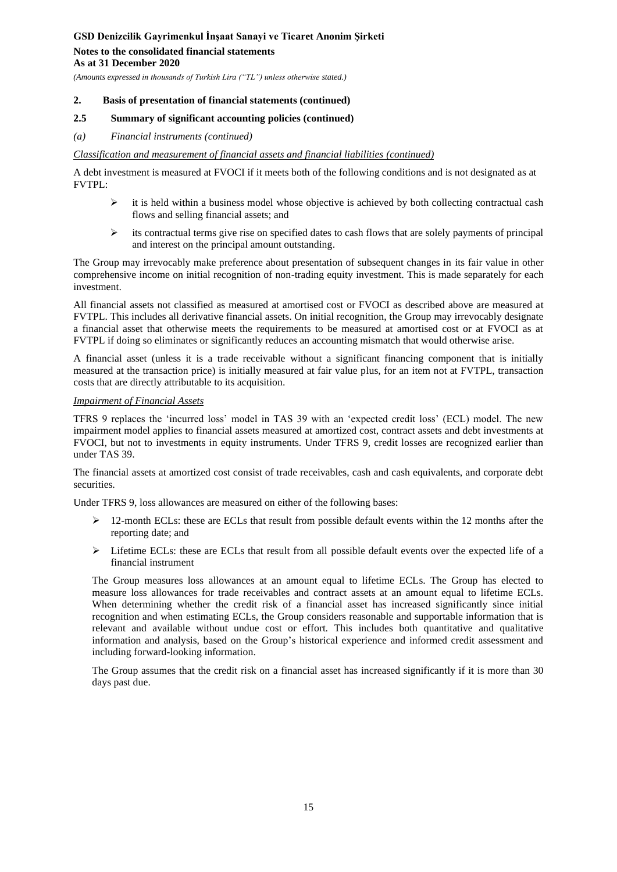**Notes to the consolidated financial statements As at 31 December 2020**

*(Amounts expressed in thousands of Turkish Lira ("TL") unless otherwise stated.)*

### **2. Basis of presentation of financial statements (continued)**

#### **2.5 Summary of significant accounting policies (continued)**

*(a) Financial instruments (continued)*

#### *Classification and measurement of financial assets and financial liabilities (continued)*

A debt investment is measured at FVOCI if it meets both of the following conditions and is not designated as at FVTPL:

- $\triangleright$  it is held within a business model whose objective is achieved by both collecting contractual cash flows and selling financial assets; and
- $\triangleright$  its contractual terms give rise on specified dates to cash flows that are solely payments of principal and interest on the principal amount outstanding.

The Group may irrevocably make preference about presentation of subsequent changes in its fair value in other comprehensive income on initial recognition of non-trading equity investment. This is made separately for each investment.

All financial assets not classified as measured at amortised cost or FVOCI as described above are measured at FVTPL. This includes all derivative financial assets. On initial recognition, the Group may irrevocably designate a financial asset that otherwise meets the requirements to be measured at amortised cost or at FVOCI as at FVTPL if doing so eliminates or significantly reduces an accounting mismatch that would otherwise arise.

A financial asset (unless it is a trade receivable without a significant financing component that is initially measured at the transaction price) is initially measured at fair value plus, for an item not at FVTPL, transaction costs that are directly attributable to its acquisition.

#### *Impairment of Financial Assets*

TFRS 9 replaces the 'incurred loss' model in TAS 39 with an 'expected credit loss' (ECL) model. The new impairment model applies to financial assets measured at amortized cost, contract assets and debt investments at FVOCI, but not to investments in equity instruments. Under TFRS 9, credit losses are recognized earlier than under TAS 39.

The financial assets at amortized cost consist of trade receivables, cash and cash equivalents, and corporate debt securities.

Under TFRS 9, loss allowances are measured on either of the following bases:

- $\triangleright$  12-month ECLs: these are ECLs that result from possible default events within the 12 months after the reporting date; and
- ➢ Lifetime ECLs: these are ECLs that result from all possible default events over the expected life of a financial instrument

The Group measures loss allowances at an amount equal to lifetime ECLs. The Group has elected to measure loss allowances for trade receivables and contract assets at an amount equal to lifetime ECLs. When determining whether the credit risk of a financial asset has increased significantly since initial recognition and when estimating ECLs, the Group considers reasonable and supportable information that is relevant and available without undue cost or effort. This includes both quantitative and qualitative information and analysis, based on the Group's historical experience and informed credit assessment and including forward-looking information.

The Group assumes that the credit risk on a financial asset has increased significantly if it is more than 30 days past due.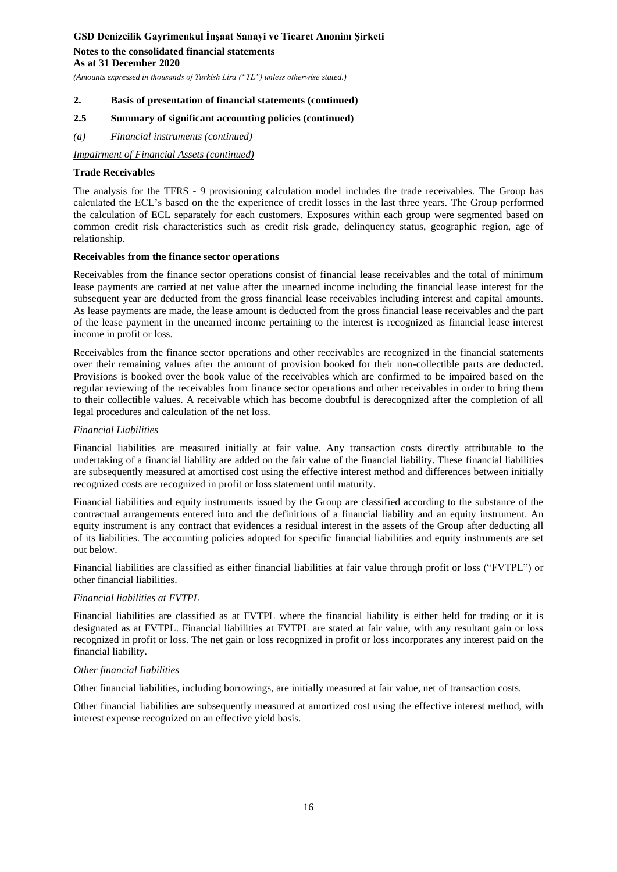# **Notes to the consolidated financial statements As at 31 December 2020**

*(Amounts expressed in thousands of Turkish Lira ("TL") unless otherwise stated.)*

## **2. Basis of presentation of financial statements (continued)**

# **2.5 Summary of significant accounting policies (continued)**

*(a) Financial instruments (continued)*

# *Impairment of Financial Assets (continued)*

### **Trade Receivables**

The analysis for the TFRS - 9 provisioning calculation model includes the trade receivables. The Group has calculated the ECL's based on the the experience of credit losses in the last three years. The Group performed the calculation of ECL separately for each customers. Exposures within each group were segmented based on common credit risk characteristics such as credit risk grade, delinquency status, geographic region, age of relationship.

### **Receivables from the finance sector operations**

Receivables from the finance sector operations consist of financial lease receivables and the total of minimum lease payments are carried at net value after the unearned income including the financial lease interest for the subsequent year are deducted from the gross financial lease receivables including interest and capital amounts. As lease payments are made, the lease amount is deducted from the gross financial lease receivables and the part of the lease payment in the unearned income pertaining to the interest is recognized as financial lease interest income in profit or loss.

Receivables from the finance sector operations and other receivables are recognized in the financial statements over their remaining values after the amount of provision booked for their non-collectible parts are deducted. Provisions is booked over the book value of the receivables which are confirmed to be impaired based on the regular reviewing of the receivables from finance sector operations and other receivables in order to bring them to their collectible values. A receivable which has become doubtful is derecognized after the completion of all legal procedures and calculation of the net loss.

# *Financial Liabilities*

Financial liabilities are measured initially at fair value. Any transaction costs directly attributable to the undertaking of a financial liability are added on the fair value of the financial liability. These financial liabilities are subsequently measured at amortised cost using the effective interest method and differences between initially recognized costs are recognized in profit or loss statement until maturity.

Financial liabilities and equity instruments issued by the Group are classified according to the substance of the contractual arrangements entered into and the definitions of a financial liability and an equity instrument. An equity instrument is any contract that evidences a residual interest in the assets of the Group after deducting all of its liabilities. The accounting policies adopted for specific financial liabilities and equity instruments are set out below.

Financial liabilities are classified as either financial liabilities at fair value through profit or loss ("FVTPL") or other financial liabilities.

# *Financial liabilities at FVTPL*

Financial liabilities are classified as at FVTPL where the financial liability is either held for trading or it is designated as at FVTPL. Financial liabilities at FVTPL are stated at fair value, with any resultant gain or loss recognized in profit or loss. The net gain or loss recognized in profit or loss incorporates any interest paid on the financial liability.

# *Other financial Iiabilities*

Other financial liabilities, including borrowings, are initially measured at fair value, net of transaction costs.

Other financial liabilities are subsequently measured at amortized cost using the effective interest method, with interest expense recognized on an effective yield basis.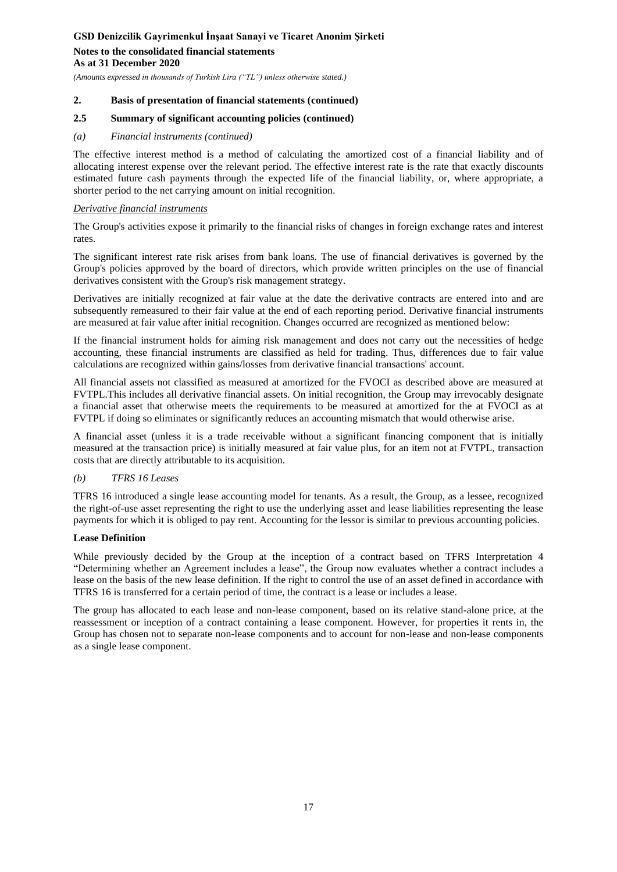# **Notes to the consolidated financial statements As at 31 December 2020**

*(Amounts expressed in thousands of Turkish Lira ("TL") unless otherwise stated.)*

#### **2. Basis of presentation of financial statements (continued)**

#### **2.5 Summary of significant accounting policies (continued)**

#### *(a) Financial instruments (continued)*

The effective interest method is a method of calculating the amortized cost of a financial liability and of allocating interest expense over the relevant period. The effective interest rate is the rate that exactly discounts estimated future cash payments through the expected life of the financial liability, or, where appropriate, a shorter period to the net carrying amount on initial recognition.

#### *Derivative financial instruments*

The Group's activities expose it primarily to the financial risks of changes in foreign exchange rates and interest rates.

The significant interest rate risk arises from bank loans. The use of financial derivatives is governed by the Group's policies approved by the board of directors, which provide written principles on the use of financial derivatives consistent with the Group's risk management strategy.

Derivatives are initially recognized at fair value at the date the derivative contracts are entered into and are subsequently remeasured to their fair value at the end of each reporting period. Derivative financial instruments are measured at fair value after initial recognition. Changes occurred are recognized as mentioned below:

If the financial instrument holds for aiming risk management and does not carry out the necessities of hedge accounting, these financial instruments are classified as held for trading. Thus, differences due to fair value calculations are recognized within gains/losses from derivative financial transactions' account.

All financial assets not classified as measured at amortized for the FVOCI as described above are measured at FVTPL.This includes all derivative financial assets. On initial recognition, the Group may irrevocably designate a financial asset that otherwise meets the requirements to be measured at amortized for the at FVOCI as at FVTPL if doing so eliminates or significantly reduces an accounting mismatch that would otherwise arise.

A financial asset (unless it is a trade receivable without a significant financing component that is initially measured at the transaction price) is initially measured at fair value plus, for an item not at FVTPL, transaction costs that are directly attributable to its acquisition.

### *(b) TFRS 16 Leases*

TFRS 16 introduced a single lease accounting model for tenants. As a result, the Group, as a lessee, recognized the right-of-use asset representing the right to use the underlying asset and lease liabilities representing the lease payments for which it is obliged to pay rent. Accounting for the lessor is similar to previous accounting policies.

#### **Lease Definition**

While previously decided by the Group at the inception of a contract based on TFRS Interpretation 4 "Determining whether an Agreement includes a lease", the Group now evaluates whether a contract includes a lease on the basis of the new lease definition. If the right to control the use of an asset defined in accordance with TFRS 16 is transferred for a certain period of time, the contract is a lease or includes a lease.

The group has allocated to each lease and non-lease component, based on its relative stand-alone price, at the reassessment or inception of a contract containing a lease component. However, for properties it rents in, the Group has chosen not to separate non-lease components and to account for non-lease and non-lease components as a single lease component.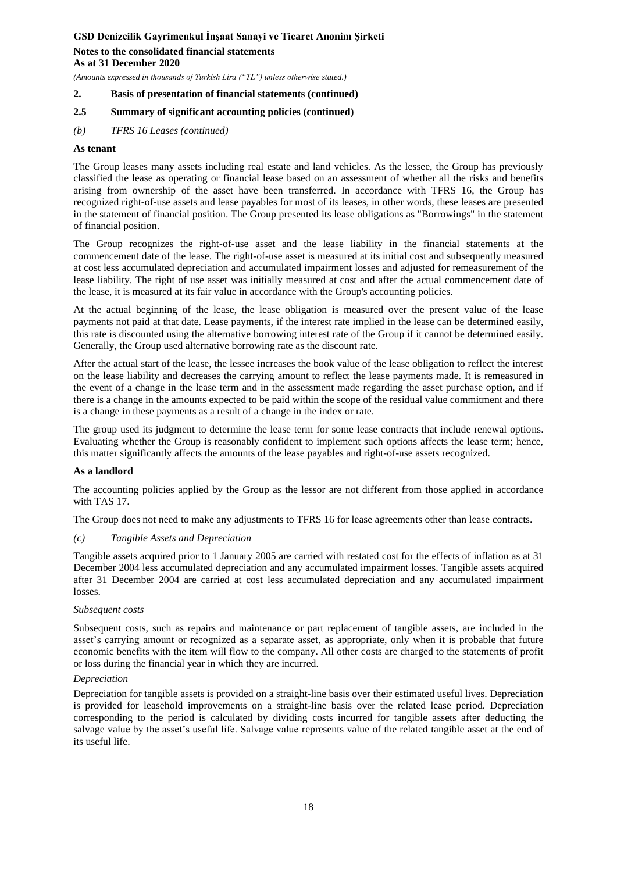**Notes to the consolidated financial statements As at 31 December 2020**

*(Amounts expressed in thousands of Turkish Lira ("TL") unless otherwise stated.)*

#### **2. Basis of presentation of financial statements (continued)**

# **2.5 Summary of significant accounting policies (continued)**

*(b) TFRS 16 Leases (continued)*

#### **As tenant**

The Group leases many assets including real estate and land vehicles. As the lessee, the Group has previously classified the lease as operating or financial lease based on an assessment of whether all the risks and benefits arising from ownership of the asset have been transferred. In accordance with TFRS 16, the Group has recognized right-of-use assets and lease payables for most of its leases, in other words, these leases are presented in the statement of financial position. The Group presented its lease obligations as "Borrowings" in the statement of financial position.

The Group recognizes the right-of-use asset and the lease liability in the financial statements at the commencement date of the lease. The right-of-use asset is measured at its initial cost and subsequently measured at cost less accumulated depreciation and accumulated impairment losses and adjusted for remeasurement of the lease liability. The right of use asset was initially measured at cost and after the actual commencement date of the lease, it is measured at its fair value in accordance with the Group's accounting policies.

At the actual beginning of the lease, the lease obligation is measured over the present value of the lease payments not paid at that date. Lease payments, if the interest rate implied in the lease can be determined easily, this rate is discounted using the alternative borrowing interest rate of the Group if it cannot be determined easily. Generally, the Group used alternative borrowing rate as the discount rate.

After the actual start of the lease, the lessee increases the book value of the lease obligation to reflect the interest on the lease liability and decreases the carrying amount to reflect the lease payments made. It is remeasured in the event of a change in the lease term and in the assessment made regarding the asset purchase option, and if there is a change in the amounts expected to be paid within the scope of the residual value commitment and there is a change in these payments as a result of a change in the index or rate.

The group used its judgment to determine the lease term for some lease contracts that include renewal options. Evaluating whether the Group is reasonably confident to implement such options affects the lease term; hence, this matter significantly affects the amounts of the lease payables and right-of-use assets recognized.

### **As a landlord**

The accounting policies applied by the Group as the lessor are not different from those applied in accordance with TAS 17.

The Group does not need to make any adjustments to TFRS 16 for lease agreements other than lease contracts.

### *(c) Tangible Assets and Depreciation*

Tangible assets acquired prior to 1 January 2005 are carried with restated cost for the effects of inflation as at 31 December 2004 less accumulated depreciation and any accumulated impairment losses. Tangible assets acquired after 31 December 2004 are carried at cost less accumulated depreciation and any accumulated impairment losses.

#### *Subsequent costs*

Subsequent costs, such as repairs and maintenance or part replacement of tangible assets, are included in the asset's carrying amount or recognized as a separate asset, as appropriate, only when it is probable that future economic benefits with the item will flow to the company. All other costs are charged to the statements of profit or loss during the financial year in which they are incurred.

### *Depreciation*

Depreciation for tangible assets is provided on a straight-line basis over their estimated useful lives. Depreciation is provided for leasehold improvements on a straight-line basis over the related lease period. Depreciation corresponding to the period is calculated by dividing costs incurred for tangible assets after deducting the salvage value by the asset's useful life. Salvage value represents value of the related tangible asset at the end of its useful life.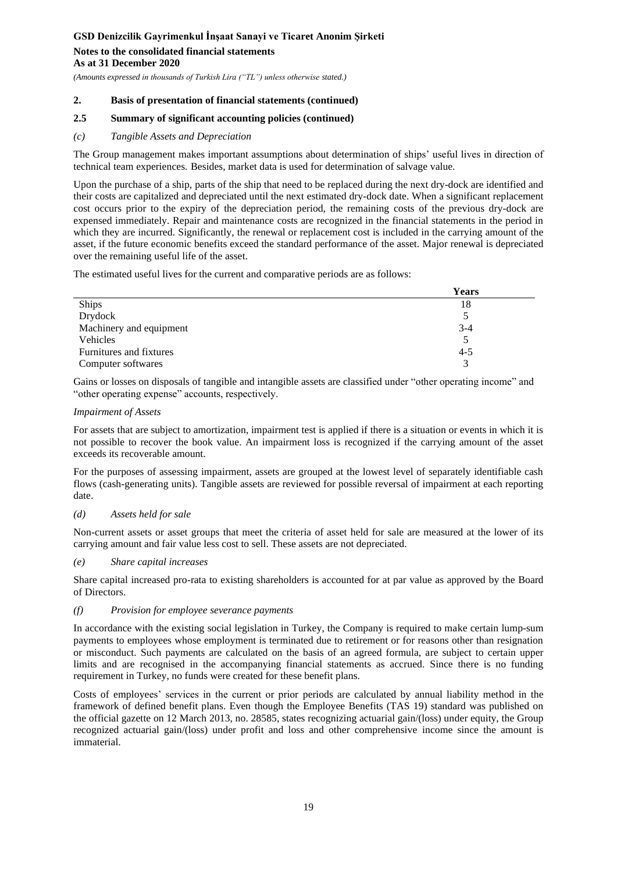# **Notes to the consolidated financial statements As at 31 December 2020**

*(Amounts expressed in thousands of Turkish Lira ("TL") unless otherwise stated.)*

## **2. Basis of presentation of financial statements (continued)**

# **2.5 Summary of significant accounting policies (continued)**

# *(c) Tangible Assets and Depreciation*

The Group management makes important assumptions about determination of ships' useful lives in direction of technical team experiences. Besides, market data is used for determination of salvage value.

Upon the purchase of a ship, parts of the ship that need to be replaced during the next dry-dock are identified and their costs are capitalized and depreciated until the next estimated dry-dock date. When a significant replacement cost occurs prior to the expiry of the depreciation period, the remaining costs of the previous dry-dock are expensed immediately. Repair and maintenance costs are recognized in the financial statements in the period in which they are incurred. Significantly, the renewal or replacement cost is included in the carrying amount of the asset, if the future economic benefits exceed the standard performance of the asset. Major renewal is depreciated over the remaining useful life of the asset.

The estimated useful lives for the current and comparative periods are as follows:

|                         | Years   |
|-------------------------|---------|
| Ships                   | 18      |
| Drydock                 |         |
| Machinery and equipment | $3-4$   |
| Vehicles                |         |
| Furnitures and fixtures | $4 - 5$ |
| Computer softwares      |         |

Gains or losses on disposals of tangible and intangible assets are classified under "other operating income" and "other operating expense" accounts, respectively.

#### *Impairment of Assets*

For assets that are subject to amortization, impairment test is applied if there is a situation or events in which it is not possible to recover the book value. An impairment loss is recognized if the carrying amount of the asset exceeds its recoverable amount.

For the purposes of assessing impairment, assets are grouped at the lowest level of separately identifiable cash flows (cash-generating units). Tangible assets are reviewed for possible reversal of impairment at each reporting date.

### *(d) Assets held for sale*

Non-current assets or asset groups that meet the criteria of asset held for sale are measured at the lower of its carrying amount and fair value less cost to sell. These assets are not depreciated.

# *(e) Share capital increases*

Share capital increased pro-rata to existing shareholders is accounted for at par value as approved by the Board of Directors.

### *(f) Provision for employee severance payments*

In accordance with the existing social legislation in Turkey, the Company is required to make certain lump-sum payments to employees whose employment is terminated due to retirement or for reasons other than resignation or misconduct. Such payments are calculated on the basis of an agreed formula, are subject to certain upper limits and are recognised in the accompanying financial statements as accrued. Since there is no funding requirement in Turkey, no funds were created for these benefit plans.

Costs of employees' services in the current or prior periods are calculated by annual liability method in the framework of defined benefit plans. Even though the Employee Benefits (TAS 19) standard was published on the official gazette on 12 March 2013, no. 28585, states recognizing actuarial gain/(loss) under equity, the Group recognized actuarial gain/(loss) under profit and loss and other comprehensive income since the amount is immaterial.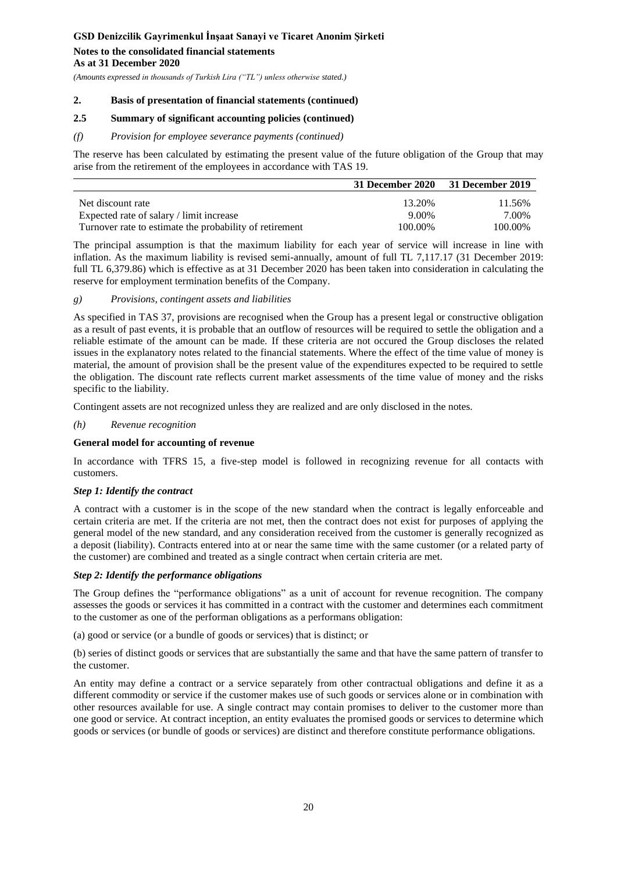# **Notes to the consolidated financial statements As at 31 December 2020**

*(Amounts expressed in thousands of Turkish Lira ("TL") unless otherwise stated.)*

# **2. Basis of presentation of financial statements (continued)**

# **2.5 Summary of significant accounting policies (continued)**

# *(f) Provision for employee severance payments (continued)*

The reserve has been calculated by estimating the present value of the future obligation of the Group that may arise from the retirement of the employees in accordance with TAS 19.

|                                                         | 31 December 2020 31 December 2019 |         |
|---------------------------------------------------------|-----------------------------------|---------|
| Net discount rate                                       | 13.20%                            | 11.56%  |
| Expected rate of salary / limit increase                | 9.00%                             | 7.00%   |
| Turnover rate to estimate the probability of retirement | 100.00%                           | 100.00% |

The principal assumption is that the maximum liability for each year of service will increase in line with inflation. As the maximum liability is revised semi-annually, amount of full TL 7,117.17 (31 December 2019: full TL 6,379.86) which is effective as at 31 December 2020 has been taken into consideration in calculating the reserve for employment termination benefits of the Company.

### *g) Provisions, contingent assets and liabilities*

As specified in TAS 37, provisions are recognised when the Group has a present legal or constructive obligation as a result of past events, it is probable that an outflow of resources will be required to settle the obligation and a reliable estimate of the amount can be made. If these criteria are not occured the Group discloses the related issues in the explanatory notes related to the financial statements. Where the effect of the time value of money is material, the amount of provision shall be the present value of the expenditures expected to be required to settle the obligation. The discount rate reflects current market assessments of the time value of money and the risks specific to the liability.

Contingent assets are not recognized unless they are realized and are only disclosed in the notes.

### *(h) Revenue recognition*

# **General model for accounting of revenue**

In accordance with TFRS 15, a five-step model is followed in recognizing revenue for all contacts with customers.

### *Step 1: Identify the contract*

A contract with a customer is in the scope of the new standard when the contract is legally enforceable and certain criteria are met. If the criteria are not met, then the contract does not exist for purposes of applying the general model of the new standard, and any consideration received from the customer is generally recognized as a deposit (liability). Contracts entered into at or near the same time with the same customer (or a related party of the customer) are combined and treated as a single contract when certain criteria are met.

### *Step 2: Identify the performance obligations*

The Group defines the "performance obligations" as a unit of account for revenue recognition. The company assesses the goods or services it has committed in a contract with the customer and determines each commitment to the customer as one of the performan obligations as a performans obligation:

(a) good or service (or a bundle of goods or services) that is distinct; or

(b) series of distinct goods or services that are substantially the same and that have the same pattern of transfer to the customer.

An entity may define a contract or a service separately from other contractual obligations and define it as a different commodity or service if the customer makes use of such goods or services alone or in combination with other resources available for use. A single contract may contain promises to deliver to the customer more than one good or service. At contract inception, an entity evaluates the promised goods or services to determine which goods or services (or bundle of goods or services) are distinct and therefore constitute performance obligations.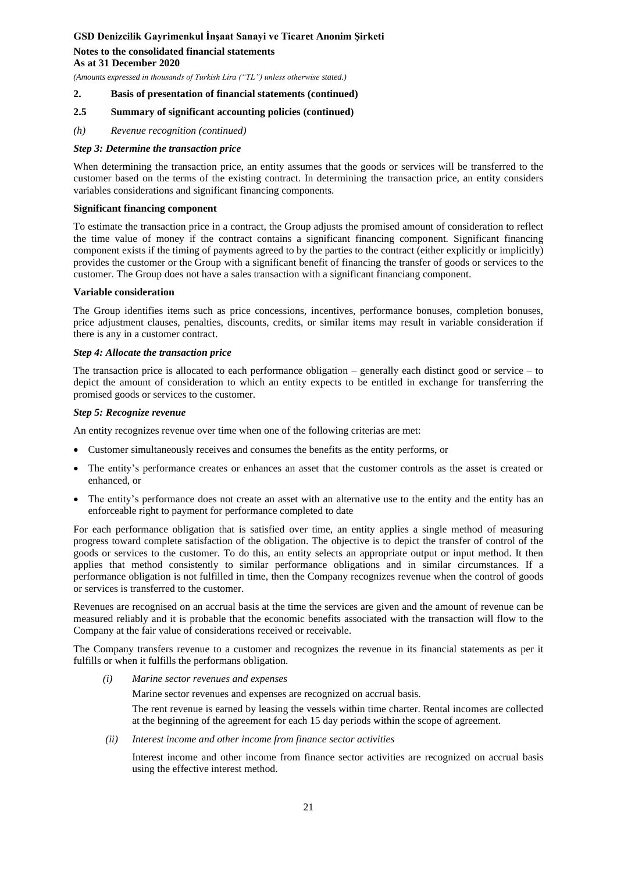**Notes to the consolidated financial statements As at 31 December 2020**

*(Amounts expressed in thousands of Turkish Lira ("TL") unless otherwise stated.)*

#### **2. Basis of presentation of financial statements (continued)**

### **2.5 Summary of significant accounting policies (continued)**

*(h) Revenue recognition (continued)*

#### *Step 3: Determine the transaction price*

When determining the transaction price, an entity assumes that the goods or services will be transferred to the customer based on the terms of the existing contract. In determining the transaction price, an entity considers variables considerations and significant financing components.

#### **Significant financing component**

To estimate the transaction price in a contract, the Group adjusts the promised amount of consideration to reflect the time value of money if the contract contains a significant financing component. Significant financing component exists if the timing of payments agreed to by the parties to the contract (either explicitly or implicitly) provides the customer or the Group with a significant benefit of financing the transfer of goods or services to the customer. The Group does not have a sales transaction with a significant financiang component.

#### **Variable consideration**

The Group identifies items such as price concessions, incentives, performance bonuses, completion bonuses, price adjustment clauses, penalties, discounts, credits, or similar items may result in variable consideration if there is any in a customer contract.

#### *Step 4: Allocate the transaction price*

The transaction price is allocated to each performance obligation – generally each distinct good or service – to depict the amount of consideration to which an entity expects to be entitled in exchange for transferring the promised goods or services to the customer.

#### *Step 5: Recognize revenue*

An entity recognizes revenue over time when one of the following criterias are met:

- Customer simultaneously receives and consumes the benefits as the entity performs, or
- The entity's performance creates or enhances an asset that the customer controls as the asset is created or enhanced, or
- The entity's performance does not create an asset with an alternative use to the entity and the entity has an enforceable right to payment for performance completed to date

For each performance obligation that is satisfied over time, an entity applies a single method of measuring progress toward complete satisfaction of the obligation. The objective is to depict the transfer of control of the goods or services to the customer. To do this, an entity selects an appropriate output or input method. It then applies that method consistently to similar performance obligations and in similar circumstances. If a performance obligation is not fulfilled in time, then the Company recognizes revenue when the control of goods or services is transferred to the customer.

Revenues are recognised on an accrual basis at the time the services are given and the amount of revenue can be measured reliably and it is probable that the economic benefits associated with the transaction will flow to the Company at the fair value of considerations received or receivable.

The Company transfers revenue to a customer and recognizes the revenue in its financial statements as per it fulfills or when it fulfills the performans obligation.

*(i) Marine sector revenues and expenses*

Marine sector revenues and expenses are recognized on accrual basis. The rent revenue is earned by leasing the vessels within time charter. Rental incomes are collected at the beginning of the agreement for each 15 day periods within the scope of agreement.

*(ii) Interest income and other income from finance sector activities*

Interest income and other income from finance sector activities are recognized on accrual basis using the effective interest method.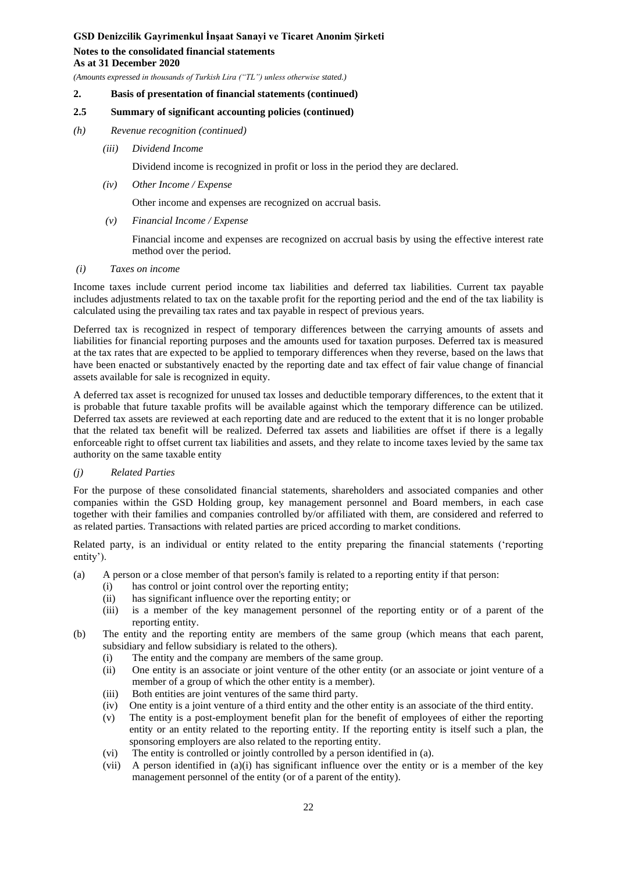**Notes to the consolidated financial statements As at 31 December 2020**

*(Amounts expressed in thousands of Turkish Lira ("TL") unless otherwise stated.)*

#### **2. Basis of presentation of financial statements (continued)**

#### **2.5 Summary of significant accounting policies (continued)**

#### *(h) Revenue recognition (continued)*

*(iii) Dividend Income*

Dividend income is recognized in profit or loss in the period they are declared.

*(iv) Other Income / Expense* 

Other income and expenses are recognized on accrual basis.

*(v) Financial Income / Expense*

Financial income and expenses are recognized on accrual basis by using the effective interest rate method over the period.

*(i) Taxes on income*

Income taxes include current period income tax liabilities and deferred tax liabilities. Current tax payable includes adjustments related to tax on the taxable profit for the reporting period and the end of the tax liability is calculated using the prevailing tax rates and tax payable in respect of previous years.

Deferred tax is recognized in respect of temporary differences between the carrying amounts of assets and liabilities for financial reporting purposes and the amounts used for taxation purposes. Deferred tax is measured at the tax rates that are expected to be applied to temporary differences when they reverse, based on the laws that have been enacted or substantively enacted by the reporting date and tax effect of fair value change of financial assets available for sale is recognized in equity.

A deferred tax asset is recognized for unused tax losses and deductible temporary differences, to the extent that it is probable that future taxable profits will be available against which the temporary difference can be utilized. Deferred tax assets are reviewed at each reporting date and are reduced to the extent that it is no longer probable that the related tax benefit will be realized. Deferred tax assets and liabilities are offset if there is a legally enforceable right to offset current tax liabilities and assets, and they relate to income taxes levied by the same tax authority on the same taxable entity

### *(j) Related Parties*

For the purpose of these consolidated financial statements, shareholders and associated companies and other companies within the GSD Holding group, key management personnel and Board members, in each case together with their families and companies controlled by/or affiliated with them, are considered and referred to as related parties. Transactions with related parties are priced according to market conditions.

Related party, is an individual or entity related to the entity preparing the financial statements ('reporting entity').

- (a) A person or a close member of that person's family is related to a reporting entity if that person:
	- (i) has control or joint control over the reporting entity;
	- (ii) has significant influence over the reporting entity; or
	- (iii) is a member of the key management personnel of the reporting entity or of a parent of the reporting entity.
- (b) The entity and the reporting entity are members of the same group (which means that each parent, subsidiary and fellow subsidiary is related to the others).
	- (i) The entity and the company are members of the same group.
	- (ii) One entity is an associate or joint venture of the other entity (or an associate or joint venture of a member of a group of which the other entity is a member).
	- (iii) Both entities are joint ventures of the same third party.
	- (iv) One entity is a joint venture of a third entity and the other entity is an associate of the third entity.
	- (v) The entity is a post-employment benefit plan for the benefit of employees of either the reporting entity or an entity related to the reporting entity. If the reporting entity is itself such a plan, the sponsoring employers are also related to the reporting entity.
	- (vi) The entity is controlled or jointly controlled by a person identified in (a).
	- (vii) A person identified in (a)(i) has significant influence over the entity or is a member of the key management personnel of the entity (or of a parent of the entity).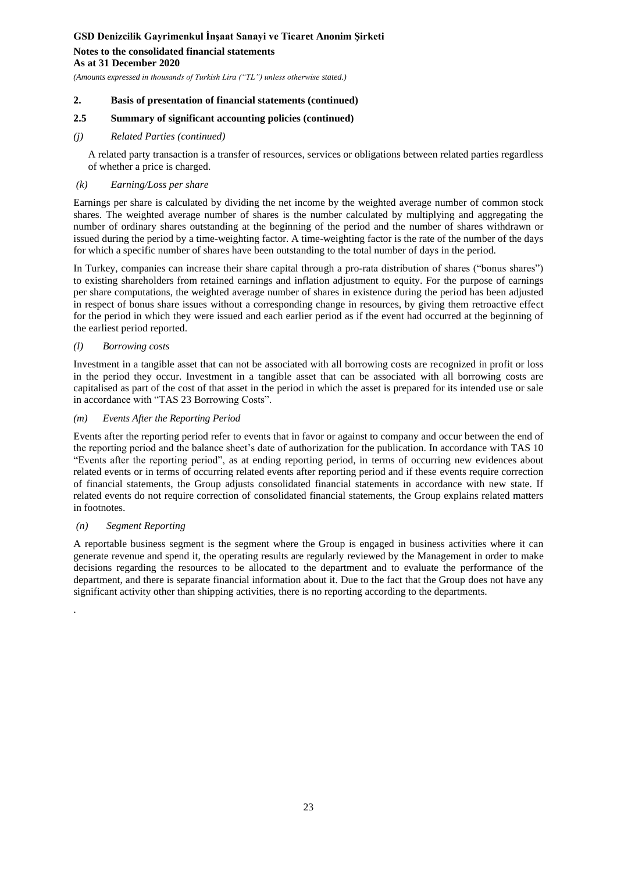# **Notes to the consolidated financial statements As at 31 December 2020**

*(Amounts expressed in thousands of Turkish Lira ("TL") unless otherwise stated.)*

### **2. Basis of presentation of financial statements (continued)**

#### **2.5 Summary of significant accounting policies (continued)**

#### *(j) Related Parties (continued)*

A related party transaction is a transfer of resources, services or obligations between related parties regardless of whether a price is charged.

#### *(k) Earning/Loss per share*

Earnings per share is calculated by dividing the net income by the weighted average number of common stock shares. The weighted average number of shares is the number calculated by multiplying and aggregating the number of ordinary shares outstanding at the beginning of the period and the number of shares withdrawn or issued during the period by a time-weighting factor. A time-weighting factor is the rate of the number of the days for which a specific number of shares have been outstanding to the total number of days in the period.

In Turkey, companies can increase their share capital through a pro-rata distribution of shares ("bonus shares") to existing shareholders from retained earnings and inflation adjustment to equity. For the purpose of earnings per share computations, the weighted average number of shares in existence during the period has been adjusted in respect of bonus share issues without a corresponding change in resources, by giving them retroactive effect for the period in which they were issued and each earlier period as if the event had occurred at the beginning of the earliest period reported.

# *(l) Borrowing costs*

Investment in a tangible asset that can not be associated with all borrowing costs are recognized in profit or loss in the period they occur. Investment in a tangible asset that can be associated with all borrowing costs are capitalised as part of the cost of that asset in the period in which the asset is prepared for its intended use or sale in accordance with "TAS 23 Borrowing Costs".

#### *(m) Events After the Reporting Period*

Events after the reporting period refer to events that in favor or against to company and occur between the end of the reporting period and the balance sheet's date of authorization for the publication. In accordance with TAS 10 "Events after the reporting period", as at ending reporting period, in terms of occurring new evidences about related events or in terms of occurring related events after reporting period and if these events require correction of financial statements, the Group adjusts consolidated financial statements in accordance with new state. If related events do not require correction of consolidated financial statements, the Group explains related matters in footnotes.

#### *(n) Segment Reporting*

.

A reportable business segment is the segment where the Group is engaged in business activities where it can generate revenue and spend it, the operating results are regularly reviewed by the Management in order to make decisions regarding the resources to be allocated to the department and to evaluate the performance of the department, and there is separate financial information about it. Due to the fact that the Group does not have any significant activity other than shipping activities, there is no reporting according to the departments.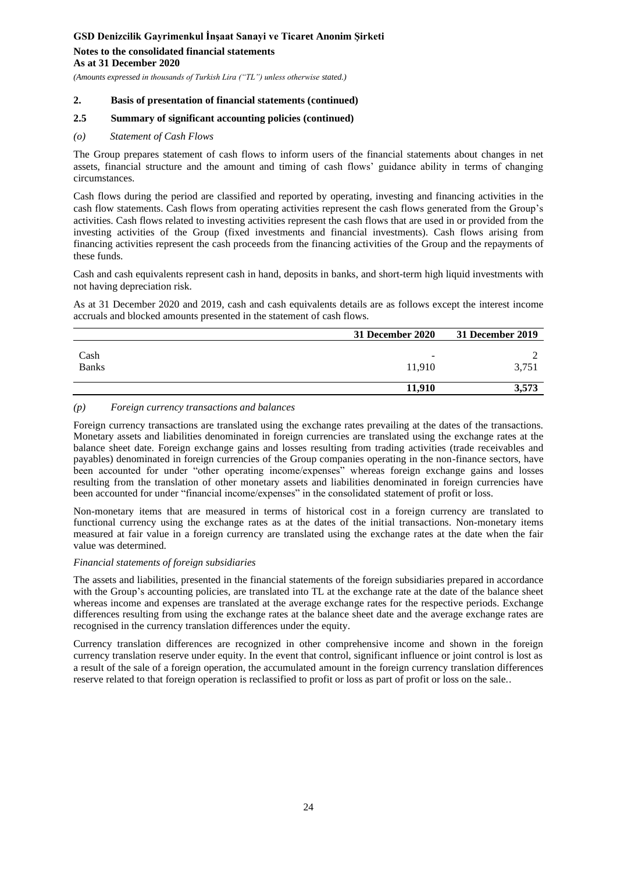# **Notes to the consolidated financial statements As at 31 December 2020**

*(Amounts expressed in thousands of Turkish Lira ("TL") unless otherwise stated.)*

#### **2. Basis of presentation of financial statements (continued)**

#### **2.5 Summary of significant accounting policies (continued)**

#### *(o) Statement of Cash Flows*

The Group prepares statement of cash flows to inform users of the financial statements about changes in net assets, financial structure and the amount and timing of cash flows' guidance ability in terms of changing circumstances.

Cash flows during the period are classified and reported by operating, investing and financing activities in the cash flow statements. Cash flows from operating activities represent the cash flows generated from the Group's activities. Cash flows related to investing activities represent the cash flows that are used in or provided from the investing activities of the Group (fixed investments and financial investments). Cash flows arising from financing activities represent the cash proceeds from the financing activities of the Group and the repayments of these funds.

Cash and cash equivalents represent cash in hand, deposits in banks, and short-term high liquid investments with not having depreciation risk.

As at 31 December 2020 and 2019, cash and cash equivalents details are as follows except the interest income accruals and blocked amounts presented in the statement of cash flows.

|                      | 31 December 2020 | 31 December 2019 |
|----------------------|------------------|------------------|
| Cash<br><b>Banks</b> | -<br>11,910      | 3,751            |
|                      | 11.910           | 3.573            |

#### *(p) Foreign currency transactions and balances*

Foreign currency transactions are translated using the exchange rates prevailing at the dates of the transactions. Monetary assets and liabilities denominated in foreign currencies are translated using the exchange rates at the balance sheet date. Foreign exchange gains and losses resulting from trading activities (trade receivables and payables) denominated in foreign currencies of the Group companies operating in the non-finance sectors, have been accounted for under "other operating income/expenses" whereas foreign exchange gains and losses resulting from the translation of other monetary assets and liabilities denominated in foreign currencies have been accounted for under "financial income/expenses" in the consolidated statement of profit or loss.

Non-monetary items that are measured in terms of historical cost in a foreign currency are translated to functional currency using the exchange rates as at the dates of the initial transactions. Non-monetary items measured at fair value in a foreign currency are translated using the exchange rates at the date when the fair value was determined.

#### *Financial statements of foreign subsidiaries*

The assets and liabilities, presented in the financial statements of the foreign subsidiaries prepared in accordance with the Group's accounting policies, are translated into TL at the exchange rate at the date of the balance sheet whereas income and expenses are translated at the average exchange rates for the respective periods. Exchange differences resulting from using the exchange rates at the balance sheet date and the average exchange rates are recognised in the currency translation differences under the equity.

Currency translation differences are recognized in other comprehensive income and shown in the foreign currency translation reserve under equity. In the event that control, significant influence or joint control is lost as a result of the sale of a foreign operation, the accumulated amount in the foreign currency translation differences reserve related to that foreign operation is reclassified to profit or loss as part of profit or loss on the sale..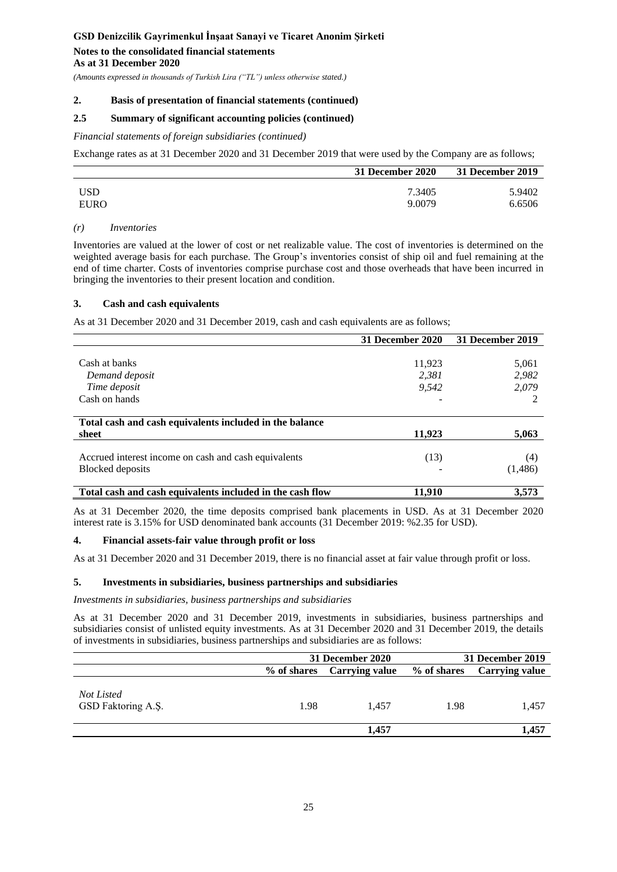# **Notes to the consolidated financial statements As at 31 December 2020**

*(Amounts expressed in thousands of Turkish Lira ("TL") unless otherwise stated.)*

#### **2. Basis of presentation of financial statements (continued)**

#### **2.5 Summary of significant accounting policies (continued)**

#### *Financial statements of foreign subsidiaries (continued)*

Exchange rates as at 31 December 2020 and 31 December 2019 that were used by the Company are as follows;

|            | 31 December 2020 | 31 December 2019 |
|------------|------------------|------------------|
| <b>USD</b> | 7.3405           | 5.9402           |
| EURO       | 9.0079           | 6.6506           |

#### *(r) Inventories*

Inventories are valued at the lower of cost or net realizable value. The cost of inventories is determined on the weighted average basis for each purchase. The Group's inventories consist of ship oil and fuel remaining at the end of time charter. Costs of inventories comprise purchase cost and those overheads that have been incurred in bringing the inventories to their present location and condition.

#### **3. Cash and cash equivalents**

As at 31 December 2020 and 31 December 2019, cash and cash equivalents are as follows;

|                                                           | 31 December 2020 | 31 December 2019 |
|-----------------------------------------------------------|------------------|------------------|
|                                                           |                  |                  |
| Cash at banks                                             | 11,923           | 5,061            |
| Demand deposit                                            | 2.381            | 2,982            |
| Time deposit                                              | 9,542            | 2,079            |
| Cash on hands                                             |                  |                  |
|                                                           |                  |                  |
| Total cash and cash equivalents included in the balance   |                  |                  |
| sheet                                                     | 11,923           | 5,063            |
|                                                           |                  |                  |
| Accrued interest income on cash and cash equivalents      | (13)             | (4)              |
| <b>Blocked</b> deposits                                   |                  | (1,486)          |
|                                                           |                  |                  |
| Total cash and cash equivalents included in the cash flow | 11,910           | 3,573            |

As at 31 December 2020, the time deposits comprised bank placements in USD. As at 31 December 2020 interest rate is 3.15% for USD denominated bank accounts (31 December 2019: %2.35 for USD).

#### **4. Financial assets-fair value through profit or loss**

As at 31 December 2020 and 31 December 2019, there is no financial asset at fair value through profit or loss.

#### **5. Investments in subsidiaries, business partnerships and subsidiaries**

*Investments in subsidiaries, business partnerships and subsidiaries* 

As at 31 December 2020 and 31 December 2019, investments in subsidiaries, business partnerships and subsidiaries consist of unlisted equity investments. As at 31 December 2020 and 31 December 2019, the details of investments in subsidiaries, business partnerships and subsidiaries are as follows:

|                                  | 31 December 2020 |                |             | 31 December 2019 |  |
|----------------------------------|------------------|----------------|-------------|------------------|--|
|                                  | % of shares      | Carrying value | % of shares | Carrying value   |  |
| Not Listed<br>GSD Faktoring A.Ş. | 1.98             | 1.457          | 1.98        | 1,457            |  |
|                                  |                  | 1.457          |             | 1.457            |  |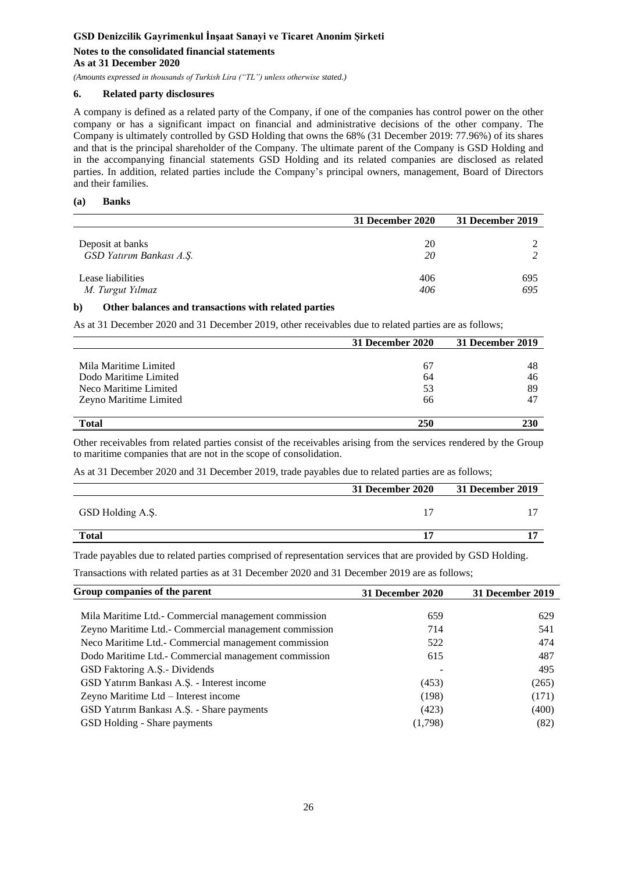# **Notes to the consolidated financial statements As at 31 December 2020**

*(Amounts expressed in thousands of Turkish Lira ("TL") unless otherwise stated.)*

#### **6. Related party disclosures**

A company is defined as a related party of the Company, if one of the companies has control power on the other company or has a significant impact on financial and administrative decisions of the other company. The Company is ultimately controlled by GSD Holding that owns the 68% (31 December 2019: 77.96%) of its shares and that is the principal shareholder of the Company. The ultimate parent of the Company is GSD Holding and in the accompanying financial statements GSD Holding and its related companies are disclosed as related parties. In addition, related parties include the Company's principal owners, management, Board of Directors and their families.

#### **(a) Banks**

|                                              | 31 December 2020 | 31 December 2019 |
|----------------------------------------------|------------------|------------------|
| Deposit at banks<br>GSD Yatırım Bankası A.Ş. | 20<br>20         |                  |
| Lease liabilities<br>M. Turgut Yılmaz        | 406<br>406       | 695<br>695       |

#### **b) Other balances and transactions with related parties**

As at 31 December 2020 and 31 December 2019, other receivables due to related parties are as follows;

|                        | 31 December 2020 | 31 December 2019 |
|------------------------|------------------|------------------|
|                        |                  |                  |
| Mila Maritime Limited  | 67               | 48               |
| Dodo Maritime Limited  | 64               | 46               |
| Neco Maritime Limited  | 53               | 89               |
| Zeyno Maritime Limited | 66               | -47              |
|                        |                  |                  |
| Total                  | 250              | 230              |

Other receivables from related parties consist of the receivables arising from the services rendered by the Group to maritime companies that are not in the scope of consolidation.

As at 31 December 2020 and 31 December 2019, trade payables due to related parties are as follows;

|                  | <b>31 December 2020</b> | 31 December 2019 |
|------------------|-------------------------|------------------|
| GSD Holding A.S. |                         |                  |
| <b>Total</b>     |                         |                  |

Trade payables due to related parties comprised of representation services that are provided by GSD Holding.

Transactions with related parties as at 31 December 2020 and 31 December 2019 are as follows;

| Group companies of the parent                         | 31 December 2020 | 31 December 2019 |
|-------------------------------------------------------|------------------|------------------|
|                                                       |                  |                  |
| Mila Maritime Ltd. - Commercial management commission | 659              | 629              |
| Zeyno Maritime Ltd.- Commercial management commission | 714              | 541              |
| Neco Maritime Ltd.- Commercial management commission  | 522              | 474              |
| Dodo Maritime Ltd. - Commercial management commission | 615              | 487              |
| GSD Faktoring A.S.- Dividends                         |                  | 495              |
| GSD Yatırım Bankası A.Ş. - Interest income            | (453)            | (265)            |
| Zeyno Maritime Ltd - Interest income                  | (198)            | (171)            |
| GSD Yatırım Bankası A.Ş. - Share payments             | (423)            | (400)            |
| GSD Holding - Share payments                          | (1,798)          | (82)             |
|                                                       |                  |                  |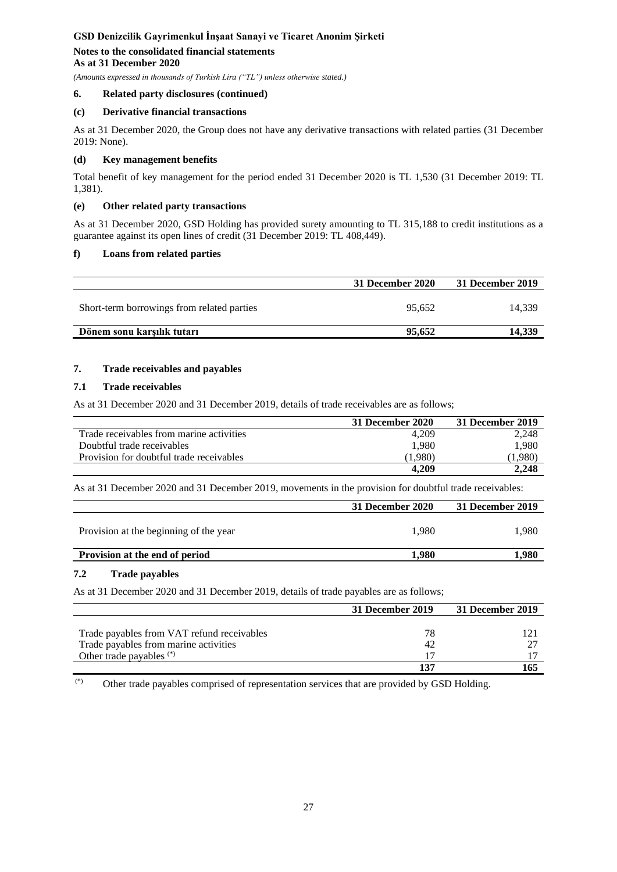# **Notes to the consolidated financial statements As at 31 December 2020**

*(Amounts expressed in thousands of Turkish Lira ("TL") unless otherwise stated.)*

#### **6. Related party disclosures (continued)**

#### **(c) Derivative financial transactions**

As at 31 December 2020, the Group does not have any derivative transactions with related parties (31 December 2019: None).

### **(d) Key management benefits**

Total benefit of key management for the period ended 31 December 2020 is TL 1,530 (31 December 2019: TL 1,381).

#### **(e) Other related party transactions**

As at 31 December 2020, GSD Holding has provided surety amounting to TL 315,188 to credit institutions as a guarantee against its open lines of credit (31 December 2019: TL 408,449).

### **f) Loans from related parties**

|                                            | 31 December 2020 | 31 December 2019 |
|--------------------------------------------|------------------|------------------|
| Short-term borrowings from related parties | 95.652           | 14.339           |
| Dönem sonu karsılık tutarı                 | 95.652           | 14.339           |

### **7. Trade receivables and payables**

#### **7.1 Trade receivables**

As at 31 December 2020 and 31 December 2019, details of trade receivables are as follows;

|                                          | 31 December 2020 | 31 December 2019 |
|------------------------------------------|------------------|------------------|
| Trade receivables from marine activities | 4.209            | 2.248            |
| Doubtful trade receivables               | 1.980            | 1.980            |
| Provision for doubtful trade receivables | (1.980)          | .980)            |
|                                          | 4.209            | 2.248            |

As at 31 December 2020 and 31 December 2019, movements in the provision for doubtful trade receivables:

|                                        | 31 December 2020 | 31 December 2019 |
|----------------------------------------|------------------|------------------|
| Provision at the beginning of the year | 1.980            | 1.980            |
| Provision at the end of period         | 1.980            | .980             |

### **7.2 Trade payables**

As at 31 December 2020 and 31 December 2019, details of trade payables are as follows;

|                                            | 31 December 2019 | 31 December 2019 |
|--------------------------------------------|------------------|------------------|
|                                            |                  |                  |
| Trade payables from VAT refund receivables | 78               |                  |
| Trade payables from marine activities      | 42               |                  |
| Other trade payables <sup>(*)</sup>        |                  |                  |
|                                            | 137              |                  |

(\*) Other trade payables comprised of representation services that are provided by GSD Holding.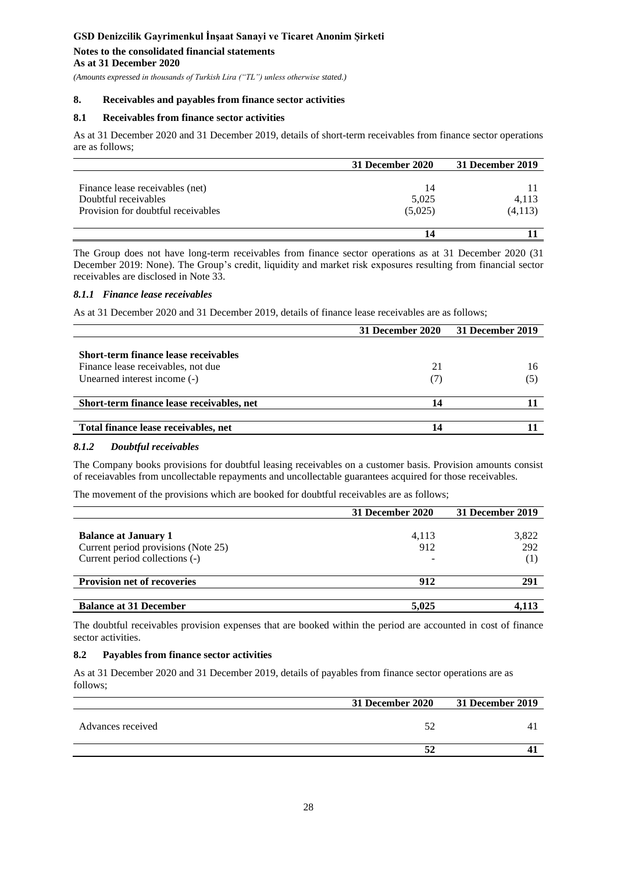# **Notes to the consolidated financial statements As at 31 December 2020**

*(Amounts expressed in thousands of Turkish Lira ("TL") unless otherwise stated.)*

#### **8. Receivables and payables from finance sector activities**

#### **8.1 Receivables from finance sector activities**

As at 31 December 2020 and 31 December 2019, details of short-term receivables from finance sector operations are as follows;

|                                    | 31 December 2020 | 31 December 2019 |
|------------------------------------|------------------|------------------|
|                                    |                  |                  |
| Finance lease receivables (net)    | 14               |                  |
| Doubtful receivables               | 5,025            | 4,113            |
| Provision for doubtful receivables | (5,025)          | (4, 113)         |
|                                    | 14               |                  |

The Group does not have long-term receivables from finance sector operations as at 31 December 2020 (31 December 2019: None). The Group's credit, liquidity and market risk exposures resulting from financial sector receivables are disclosed in Note 33.

#### *8.1.1 Finance lease receivables*

As at 31 December 2020 and 31 December 2019, details of finance lease receivables are as follows;

|                                           | 31 December 2020 | 31 December 2019 |  |
|-------------------------------------------|------------------|------------------|--|
|                                           |                  |                  |  |
| Short-term finance lease receivables      |                  |                  |  |
| Finance lease receivables, not due        | 21               | Iб               |  |
| Unearned interest income (-)              | CZ.              |                  |  |
| Short-term finance lease receivables, net | 14               |                  |  |
|                                           |                  |                  |  |
| Total finance lease receivables, net      | 14               |                  |  |
|                                           |                  |                  |  |

### *8.1.2 Doubtful receivables*

The Company books provisions for doubtful leasing receivables on a customer basis. Provision amounts consist of receiavables from uncollectable repayments and uncollectable guarantees acquired for those receivables.

The movement of the provisions which are booked for doubtful receivables are as follows;

|                                                                                                      | 31 December 2020 | 31 December 2019    |
|------------------------------------------------------------------------------------------------------|------------------|---------------------|
| <b>Balance at January 1</b><br>Current period provisions (Note 25)<br>Current period collections (-) | 4.113<br>912     | 3,822<br>292<br>(1) |
| <b>Provision net of recoveries</b>                                                                   | 912              | 291                 |
| <b>Balance at 31 December</b>                                                                        | 5,025            | 4.113               |

The doubtful receivables provision expenses that are booked within the period are accounted in cost of finance sector activities.

#### **8.2 Payables from finance sector activities**

As at 31 December 2020 and 31 December 2019, details of payables from finance sector operations are as follows;

|                   | 31 December 2020 31 December 2019 |
|-------------------|-----------------------------------|
| Advances received |                                   |
|                   |                                   |
|                   |                                   |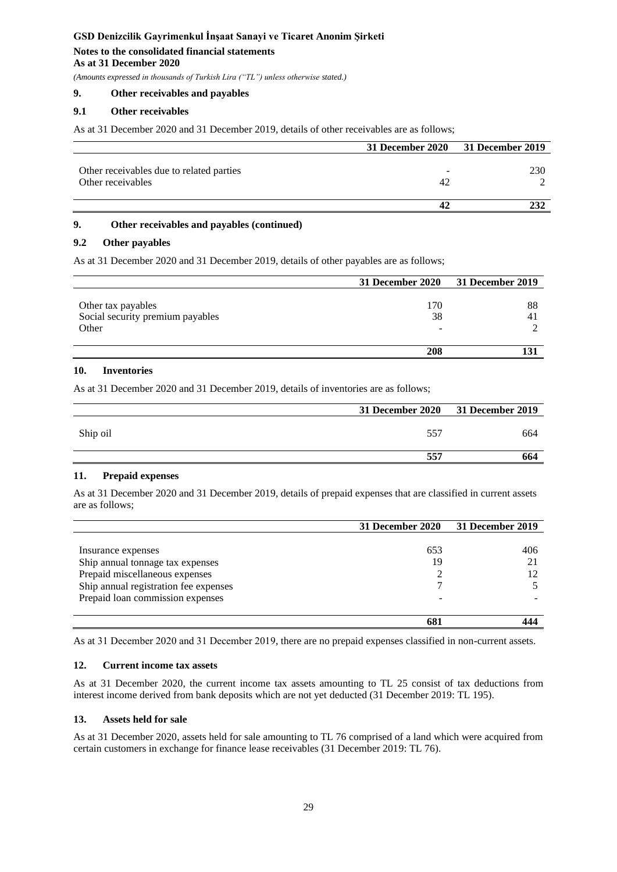#### **Notes to the consolidated financial statements As at 31 December 2020**

*(Amounts expressed in thousands of Turkish Lira ("TL") unless otherwise stated.)*

### **9. Other receivables and payables**

#### **9.1 Other receivables**

As at 31 December 2020 and 31 December 2019, details of other receivables are as follows;

|                                                               | 31 December 2020 31 December 2019 |     |
|---------------------------------------------------------------|-----------------------------------|-----|
| Other receivables due to related parties<br>Other receivables | 42                                | 230 |
|                                                               | 42                                | 232 |

# **9. Other receivables and payables (continued)**

# **9.2 Other payables**

As at 31 December 2020 and 31 December 2019, details of other payables are as follows;

|                                                                 | <b>31 December 2020</b> | <b>31 December 2019</b> |
|-----------------------------------------------------------------|-------------------------|-------------------------|
| Other tax payables<br>Social security premium payables<br>Other | 170<br>38<br>-          | 88                      |
|                                                                 | 208                     |                         |

# **10. Inventories**

As at 31 December 2020 and 31 December 2019, details of inventories are as follows;

|          | 31 December 2020 31 December 2019 |     |
|----------|-----------------------------------|-----|
| Ship oil | 557                               | 664 |
|          | 557                               | 664 |

### **11. Prepaid expenses**

As at 31 December 2020 and 31 December 2019, details of prepaid expenses that are classified in current assets are as follows;

|                                       | 31 December 2020 | 31 December 2019 |  |
|---------------------------------------|------------------|------------------|--|
|                                       |                  |                  |  |
| Insurance expenses                    | 653              | 406              |  |
| Ship annual tonnage tax expenses      | 19               |                  |  |
| Prepaid miscellaneous expenses        |                  |                  |  |
| Ship annual registration fee expenses |                  |                  |  |
| Prepaid loan commission expenses      |                  |                  |  |
|                                       |                  |                  |  |
|                                       |                  |                  |  |

As at 31 December 2020 and 31 December 2019, there are no prepaid expenses classified in non-current assets.

#### **12. Current income tax assets**

As at 31 December 2020, the current income tax assets amounting to TL 25 consist of tax deductions from interest income derived from bank deposits which are not yet deducted (31 December 2019: TL 195).

#### **13. Assets held for sale**

As at 31 December 2020, assets held for sale amounting to TL 76 comprised of a land which were acquired from certain customers in exchange for finance lease receivables (31 December 2019: TL 76).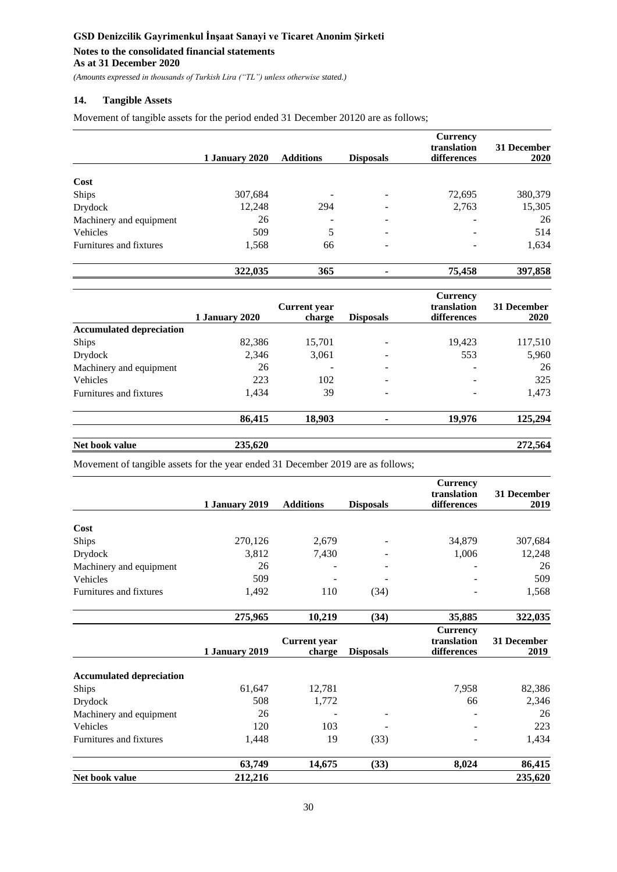### **Notes to the consolidated financial statements As at 31 December 2020**

*(Amounts expressed in thousands of Turkish Lira ("TL") unless otherwise stated.)*

# **14. Tangible Assets**

Movement of tangible assets for the period ended 31 December 20120 are as follows;

|                         | 1 January 2020 | <b>Additions</b>         | <b>Disposals</b>         | <b>Currency</b><br>translation<br>differences | 31 December<br><b>2020</b> |
|-------------------------|----------------|--------------------------|--------------------------|-----------------------------------------------|----------------------------|
| Cost                    |                |                          |                          |                                               |                            |
| Ships                   | 307,684        | $\overline{\phantom{a}}$ |                          | 72,695                                        | 380,379                    |
| Drydock                 | 12,248         | 294                      |                          | 2,763                                         | 15,305                     |
| Machinery and equipment | 26             | $\overline{\phantom{a}}$ |                          |                                               | 26                         |
| Vehicles                | 509            | 5                        | $\overline{\phantom{0}}$ |                                               | 514                        |
| Furnitures and fixtures | 1,568          | 66                       |                          |                                               | 1,634                      |
|                         | 322,035        | 365                      |                          | 75,458                                        | 397,858                    |

|                |                          |                  | translation | 31 December |
|----------------|--------------------------|------------------|-------------|-------------|
| 1 January 2020 | charge                   | <b>Disposals</b> | differences | <b>2020</b> |
|                |                          |                  |             |             |
| 82,386         | 15,701                   | ۰                | 19,423      | 117,510     |
| 2,346          | 3,061                    |                  | 553         | 5,960       |
| 26             | $\overline{\phantom{0}}$ | -                | -           | 26          |
| 223            | 102                      | -                |             | 325         |
| 1,434          | 39                       | ۰                |             | 1,473       |
| 86,415         | 18,903                   |                  | 19,976      | 125,294     |
|                |                          |                  |             |             |

**Net book value 235,620 272,564**

Movement of tangible assets for the year ended 31 December 2019 are as follows;

|                                 |                |                               |                  | <b>Currency</b><br>translation                | 31 December         |
|---------------------------------|----------------|-------------------------------|------------------|-----------------------------------------------|---------------------|
|                                 | 1 January 2019 | <b>Additions</b>              | <b>Disposals</b> | differences                                   | 2019                |
| Cost                            |                |                               |                  |                                               |                     |
| Ships                           | 270,126        | 2,679                         |                  | 34,879                                        | 307,684             |
| Drydock                         | 3,812          | 7,430                         |                  | 1,006                                         | 12,248              |
| Machinery and equipment         | 26             |                               |                  |                                               | 26                  |
| Vehicles                        | 509            |                               |                  |                                               | 509                 |
| Furnitures and fixtures         | 1,492          | 110                           | (34)             |                                               | 1,568               |
|                                 | 275,965        | 10,219                        | (34)             | 35,885                                        | 322,035             |
|                                 | 1 January 2019 | <b>Current</b> year<br>charge | <b>Disposals</b> | <b>Currency</b><br>translation<br>differences | 31 December<br>2019 |
|                                 |                |                               |                  |                                               |                     |
| <b>Accumulated depreciation</b> |                |                               |                  |                                               |                     |
| Ships                           | 61,647         | 12,781                        |                  | 7,958                                         | 82,386              |
| Drydock                         | 508            | 1,772                         |                  | 66                                            | 2,346               |
| Machinery and equipment         | 26             |                               |                  |                                               | 26                  |
| Vehicles                        | 120            | 103                           |                  |                                               | 223                 |
| Furnitures and fixtures         | 1,448          | 19                            | (33)             |                                               | 1,434               |
|                                 | 63,749         | 14,675                        | (33)             | 8,024                                         | 86,415              |
| Net book value                  | 212,216        |                               |                  |                                               | 235,620             |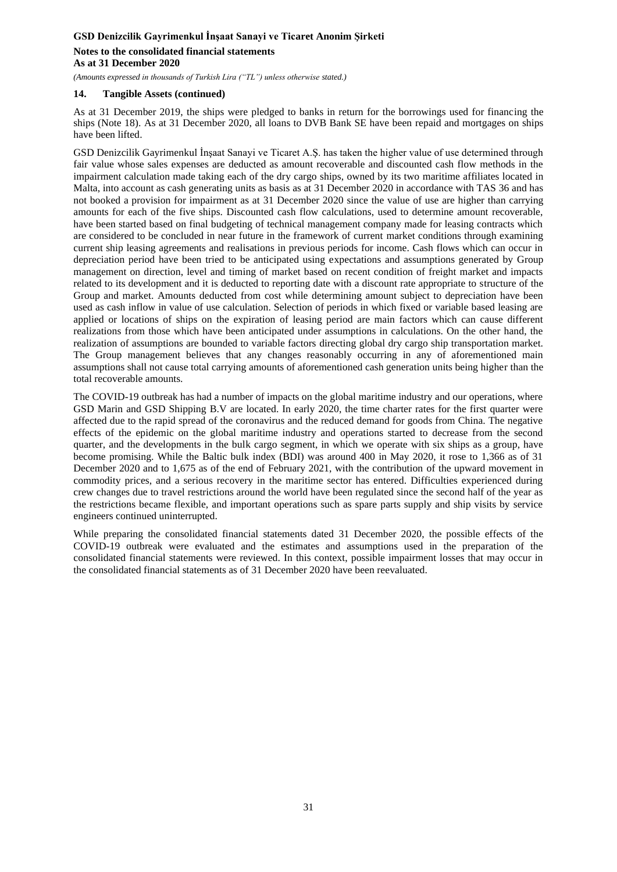# **Notes to the consolidated financial statements As at 31 December 2020**

*(Amounts expressed in thousands of Turkish Lira ("TL") unless otherwise stated.)*

### **14. Tangible Assets (continued)**

As at 31 December 2019, the ships were pledged to banks in return for the borrowings used for financing the ships (Note 18). As at 31 December 2020, all loans to DVB Bank SE have been repaid and mortgages on ships have been lifted.

GSD Denizcilik Gayrimenkul İnşaat Sanayi ve Ticaret A.Ş. has taken the higher value of use determined through fair value whose sales expenses are deducted as amount recoverable and discounted cash flow methods in the impairment calculation made taking each of the dry cargo ships, owned by its two maritime affiliates located in Malta, into account as cash generating units as basis as at 31 December 2020 in accordance with TAS 36 and has not booked a provision for impairment as at 31 December 2020 since the value of use are higher than carrying amounts for each of the five ships. Discounted cash flow calculations, used to determine amount recoverable, have been started based on final budgeting of technical management company made for leasing contracts which are considered to be concluded in near future in the framework of current market conditions through examining current ship leasing agreements and realisations in previous periods for income. Cash flows which can occur in depreciation period have been tried to be anticipated using expectations and assumptions generated by Group management on direction, level and timing of market based on recent condition of freight market and impacts related to its development and it is deducted to reporting date with a discount rate appropriate to structure of the Group and market. Amounts deducted from cost while determining amount subject to depreciation have been used as cash inflow in value of use calculation. Selection of periods in which fixed or variable based leasing are applied or locations of ships on the expiration of leasing period are main factors which can cause different realizations from those which have been anticipated under assumptions in calculations. On the other hand, the realization of assumptions are bounded to variable factors directing global dry cargo ship transportation market. The Group management believes that any changes reasonably occurring in any of aforementioned main assumptions shall not cause total carrying amounts of aforementioned cash generation units being higher than the total recoverable amounts.

The COVID-19 outbreak has had a number of impacts on the global maritime industry and our operations, where GSD Marin and GSD Shipping B.V are located. In early 2020, the time charter rates for the first quarter were affected due to the rapid spread of the coronavirus and the reduced demand for goods from China. The negative effects of the epidemic on the global maritime industry and operations started to decrease from the second quarter, and the developments in the bulk cargo segment, in which we operate with six ships as a group, have become promising. While the Baltic bulk index (BDI) was around 400 in May 2020, it rose to 1,366 as of 31 December 2020 and to 1,675 as of the end of February 2021, with the contribution of the upward movement in commodity prices, and a serious recovery in the maritime sector has entered. Difficulties experienced during crew changes due to travel restrictions around the world have been regulated since the second half of the year as the restrictions became flexible, and important operations such as spare parts supply and ship visits by service engineers continued uninterrupted.

While preparing the consolidated financial statements dated 31 December 2020, the possible effects of the COVID-19 outbreak were evaluated and the estimates and assumptions used in the preparation of the consolidated financial statements were reviewed. In this context, possible impairment losses that may occur in the consolidated financial statements as of 31 December 2020 have been reevaluated.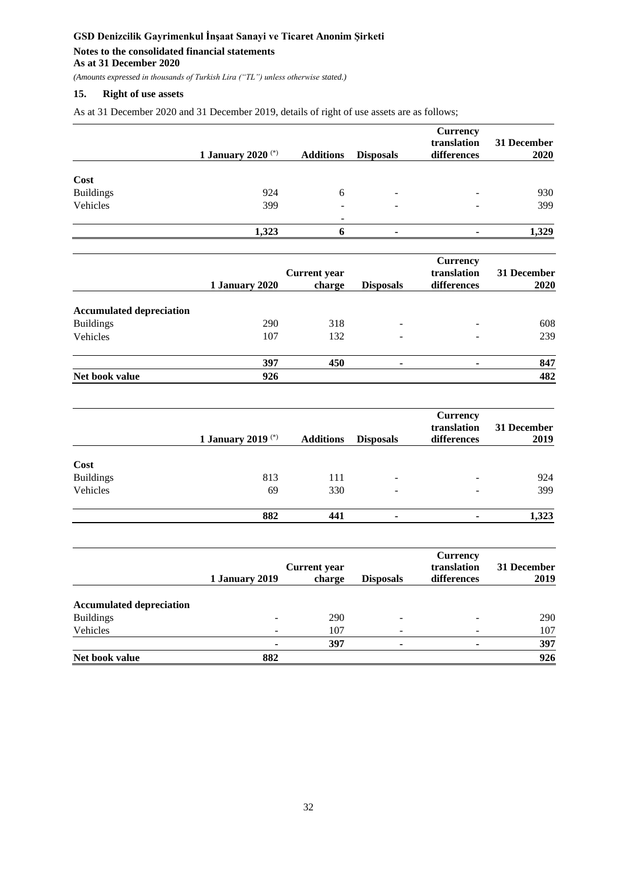# **Notes to the consolidated financial statements As at 31 December 2020**

*(Amounts expressed in thousands of Turkish Lira ("TL") unless otherwise stated.)*

# **15. Right of use assets**

As at 31 December 2020 and 31 December 2019, details of right of use assets are as follows;

|                  | 1 January 2020 <sup>(*)</sup> | <b>Additions</b> | <b>Disposals</b> | <b>Currency</b><br>translation<br>differences | 31 December<br>2020 |
|------------------|-------------------------------|------------------|------------------|-----------------------------------------------|---------------------|
|                  |                               |                  |                  |                                               |                     |
| Cost             |                               |                  |                  |                                               |                     |
| <b>Buildings</b> | 924                           | 6                | -                | -                                             | 930                 |
| Vehicles         | 399                           | -                | -                | -                                             | 399                 |
|                  |                               | -                |                  |                                               |                     |
|                  | 1,323                         | O                |                  |                                               | 1,329               |

|                                 |                | <b>Current</b> year |                          | <b>Currency</b><br>translation | 31 December |
|---------------------------------|----------------|---------------------|--------------------------|--------------------------------|-------------|
|                                 | 1 January 2020 | charge              | <b>Disposals</b>         | differences                    | 2020        |
| <b>Accumulated depreciation</b> |                |                     |                          |                                |             |
| <b>Buildings</b>                | 290            | 318                 | -                        | ۰                              | 608         |
| Vehicles                        | 107            | 132                 | $\overline{\phantom{a}}$ | ۰                              | 239         |
|                                 | 397            | 450                 |                          | ٠                              | 847         |
| Net book value                  | 926            |                     |                          |                                | 482         |

|                  | 1 January 2019 <sup>(*)</sup> | <b>Additions</b> | <b>Disposals</b> | <b>Currency</b><br>translation<br>differences | 31 December<br>2019 |
|------------------|-------------------------------|------------------|------------------|-----------------------------------------------|---------------------|
| Cost             |                               |                  |                  |                                               |                     |
| <b>Buildings</b> | 813                           | 111              | -                |                                               | 924                 |
| Vehicles         | 69                            | 330              |                  |                                               | 399                 |
|                  | 882                           | 441              | ۰                |                                               | 1,323               |

|                                 | 1 January 2019 | <b>Current</b> year<br>charge | <b>Disposals</b>         | <b>Currency</b><br>translation<br>differences | 31 December<br>2019 |
|---------------------------------|----------------|-------------------------------|--------------------------|-----------------------------------------------|---------------------|
| <b>Accumulated depreciation</b> |                |                               |                          |                                               |                     |
|                                 |                |                               |                          |                                               |                     |
| <b>Buildings</b>                |                | 290                           |                          |                                               | 290                 |
| Vehicles                        |                | 107                           | $\overline{\phantom{a}}$ | -                                             | 107                 |
|                                 |                | 397                           |                          |                                               | 397                 |
| Net book value                  | 882            |                               |                          |                                               | 926                 |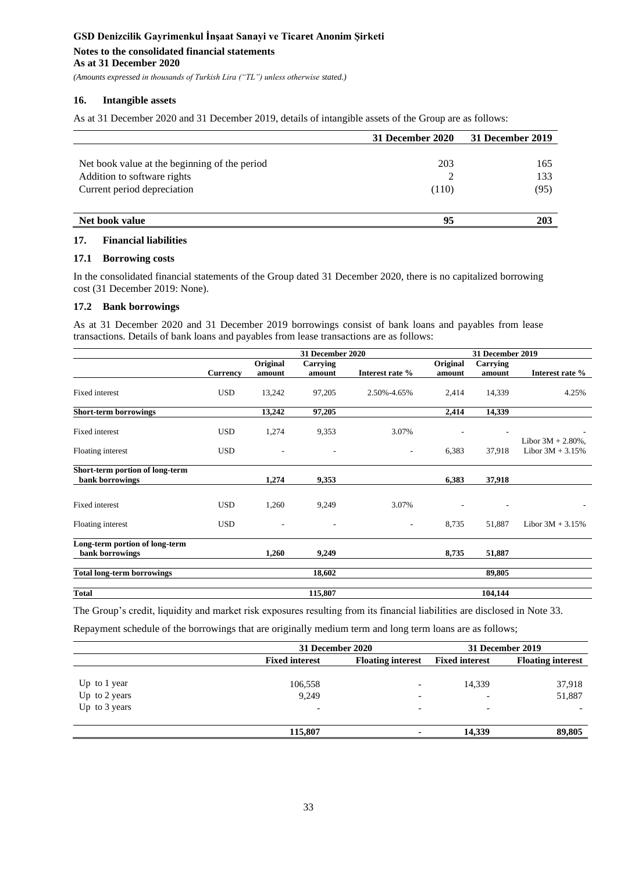## **Notes to the consolidated financial statements As at 31 December 2020**

*(Amounts expressed in thousands of Turkish Lira ("TL") unless otherwise stated.)*

### **16. Intangible assets**

As at 31 December 2020 and 31 December 2019, details of intangible assets of the Group are as follows:

|                                               | 31 December 2020 | 31 December 2019 |
|-----------------------------------------------|------------------|------------------|
|                                               |                  |                  |
| Net book value at the beginning of the period | 203              | 165              |
| Addition to software rights                   |                  | 133              |
| Current period depreciation                   | (110)            | (95)             |
|                                               |                  |                  |
| Net book value                                | 95               | 203              |

#### **17. Financial liabilities**

#### **17.1 Borrowing costs**

In the consolidated financial statements of the Group dated 31 December 2020, there is no capitalized borrowing cost (31 December 2019: None).

#### **17.2 Bank borrowings**

As at 31 December 2020 and 31 December 2019 borrowings consist of bank loans and payables from lease transactions. Details of bank loans and payables from lease transactions are as follows:

|                                                    |                 | 31 December 2020   |                    |                          |                    | 31 December 2019   |                                             |  |
|----------------------------------------------------|-----------------|--------------------|--------------------|--------------------------|--------------------|--------------------|---------------------------------------------|--|
|                                                    | <b>Currency</b> | Original<br>amount | Carrying<br>amount | Interest rate %          | Original<br>amount | Carrying<br>amount | Interest rate %                             |  |
| Fixed interest                                     | <b>USD</b>      | 13,242             | 97,205             | 2.50%-4.65%              | 2,414              | 14,339             | 4.25%                                       |  |
| <b>Short-term borrowings</b>                       |                 | 13,242             | 97,205             |                          | 2,414              | 14,339             |                                             |  |
| Fixed interest                                     | <b>USD</b>      | 1,274              | 9,353              | 3.07%                    |                    |                    |                                             |  |
| Floating interest                                  | <b>USD</b>      | ٠                  | ٠                  | $\overline{\phantom{a}}$ | 6,383              | 37,918             | Libor $3M + 2.80\%$ ,<br>Libor $3M + 3.15%$ |  |
| Short-term portion of long-term<br>bank borrowings |                 | 1,274              | 9,353              |                          | 6,383              | 37,918             |                                             |  |
| Fixed interest                                     | <b>USD</b>      | 1,260              | 9,249              | 3.07%                    |                    |                    |                                             |  |
| Floating interest                                  | <b>USD</b>      | ٠                  | ٠                  | $\overline{\phantom{a}}$ | 8,735              | 51,887             | Libor $3M + 3.15%$                          |  |
| Long-term portion of long-term<br>bank borrowings  |                 | 1,260              | 9,249              |                          | 8,735              | 51,887             |                                             |  |
| <b>Total long-term borrowings</b>                  |                 |                    | 18,602             |                          |                    | 89,805             |                                             |  |
| <b>Total</b>                                       |                 |                    | 115,807            |                          |                    | 104,144            |                                             |  |

The Group's credit, liquidity and market risk exposures resulting from its financial liabilities are disclosed in Note 33.

Repayment schedule of the borrowings that are originally medium term and long term loans are as follows;

|                 | 31 December 2020      |                          |                          | 31 December 2019         |
|-----------------|-----------------------|--------------------------|--------------------------|--------------------------|
|                 | <b>Fixed interest</b> | <b>Floating interest</b> |                          | <b>Floating interest</b> |
|                 |                       |                          |                          |                          |
| Up to 1 year    | 106,558               | $\overline{\phantom{a}}$ | 14,339                   | 37,918                   |
| Up to 2 years   | 9,249                 | $\overline{\phantom{a}}$ |                          | 51,887                   |
| Up to $3$ years |                       | $\overline{\phantom{a}}$ | $\overline{\phantom{a}}$ |                          |
|                 |                       |                          |                          |                          |
|                 | 115,807               | ٠                        | 14,339                   | 89,805                   |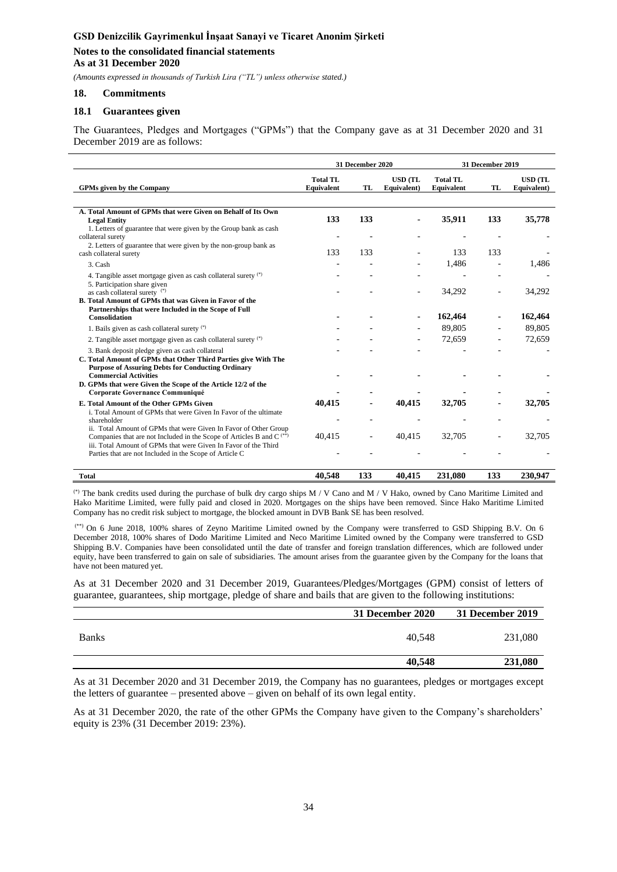# **Notes to the consolidated financial statements As at 31 December 2020**

*(Amounts expressed in thousands of Turkish Lira ("TL") unless otherwise stated.)*

#### **18. Commitments**

#### **18.1 Guarantees given**

The Guarantees, Pledges and Mortgages ("GPMs") that the Company gave as at 31 December 2020 and 31 December 2019 are as follows:

|                                                                                                                                                                                                                 |                               | 31 December 2020 |                               |                               | 31 December 2019 |                               |
|-----------------------------------------------------------------------------------------------------------------------------------------------------------------------------------------------------------------|-------------------------------|------------------|-------------------------------|-------------------------------|------------------|-------------------------------|
| GPMs given by the Company                                                                                                                                                                                       | <b>Total TL</b><br>Equivalent | TL               | <b>USD</b> (TL<br>Equivalent) | <b>Total TL</b><br>Equivalent | TL               | <b>USD</b> (TL<br>Equivalent) |
| A. Total Amount of GPMs that were Given on Behalf of Its Own<br><b>Legal Entity</b><br>1. Letters of guarantee that were given by the Group bank as cash                                                        | 133                           | 133              | $\blacksquare$                | 35,911                        | 133              | 35,778                        |
| collateral surety<br>2. Letters of guarantee that were given by the non-group bank as<br>cash collateral surety                                                                                                 | 133                           | 133              |                               | 133                           | 133              |                               |
| 3. Cash                                                                                                                                                                                                         |                               |                  |                               | 1,486                         |                  | 1,486                         |
| 4. Tangible asset mortgage given as cash collateral surety $(*)$<br>5. Participation share given<br>as cash collateral surety (*)<br>B. Total Amount of GPMs that was Given in Favor of the                     |                               |                  | $\overline{a}$                | 34,292                        |                  | 34,292                        |
| Partnerships that were Included in the Scope of Full<br>Consolidation                                                                                                                                           |                               |                  |                               | 162,464                       |                  | 162,464                       |
| 1. Bails given as cash collateral surety (*)                                                                                                                                                                    |                               |                  |                               | 89,805                        |                  | 89,805                        |
| 2. Tangible asset mortgage given as cash collateral surety $(*)$                                                                                                                                                |                               |                  |                               | 72,659                        |                  | 72,659                        |
| 3. Bank deposit pledge given as cash collateral<br>C. Total Amount of GPMs that Other Third Parties give With The<br><b>Purpose of Assuring Debts for Conducting Ordinary</b>                                   |                               |                  |                               |                               |                  |                               |
| <b>Commercial Activities</b>                                                                                                                                                                                    |                               |                  |                               |                               |                  |                               |
| D. GPMs that were Given the Scope of the Article 12/2 of the<br>Corporate Governance Communiqué                                                                                                                 |                               |                  |                               |                               |                  |                               |
| E. Total Amount of the Other GPMs Given<br>i. Total Amount of GPMs that were Given In Favor of the ultimate                                                                                                     | 40,415                        |                  | 40,415                        | 32,705                        |                  | 32,705                        |
| shareholder                                                                                                                                                                                                     |                               |                  |                               |                               |                  |                               |
| ii. Total Amount of GPMs that were Given In Favor of Other Group<br>Companies that are not Included in the Scope of Articles B and $C^{(*)}$<br>iii. Total Amount of GPMs that were Given In Favor of the Third | 40,415                        | $\overline{a}$   | 40,415                        | 32,705                        |                  | 32,705                        |
| Parties that are not Included in the Scope of Article C                                                                                                                                                         |                               |                  |                               |                               |                  |                               |
| <b>Total</b>                                                                                                                                                                                                    | 40,548                        | 133              | 40,415                        | 231,080                       | 133              | 230,947                       |

(\*) The bank credits used during the purchase of bulk dry cargo ships M / V Cano and M / V Hako, owned by Cano Maritime Limited and Hako Maritime Limited, were fully paid and closed in 2020. Mortgages on the ships have been removed. Since Hako Maritime Limited Company has no credit risk subject to mortgage, the blocked amount in DVB Bank SE has been resolved.

(\*\*) On 6 June 2018, 100% shares of Zeyno Maritime Limited owned by the Company were transferred to GSD Shipping B.V. On 6 December 2018, 100% shares of Dodo Maritime Limited and Neco Maritime Limited owned by the Company were transferred to GSD Shipping B.V. Companies have been consolidated until the date of transfer and foreign translation differences, which are followed under equity, have been transferred to gain on sale of subsidiaries. The amount arises from the guarantee given by the Company for the loans that have not been matured yet.

As at 31 December 2020 and 31 December 2019, Guarantees/Pledges/Mortgages (GPM) consist of letters of guarantee, guarantees, ship mortgage, pledge of share and bails that are given to the following institutions:

|              | 31 December 2020 | 31 December 2019 |
|--------------|------------------|------------------|
| <b>Banks</b> | 40.548           | 231,080          |
|              | 40,548           | 231,080          |

As at 31 December 2020 and 31 December 2019, the Company has no guarantees, pledges or mortgages except the letters of guarantee – presented above – given on behalf of its own legal entity.

As at 31 December 2020, the rate of the other GPMs the Company have given to the Company's shareholders' equity is 23% (31 December 2019: 23%).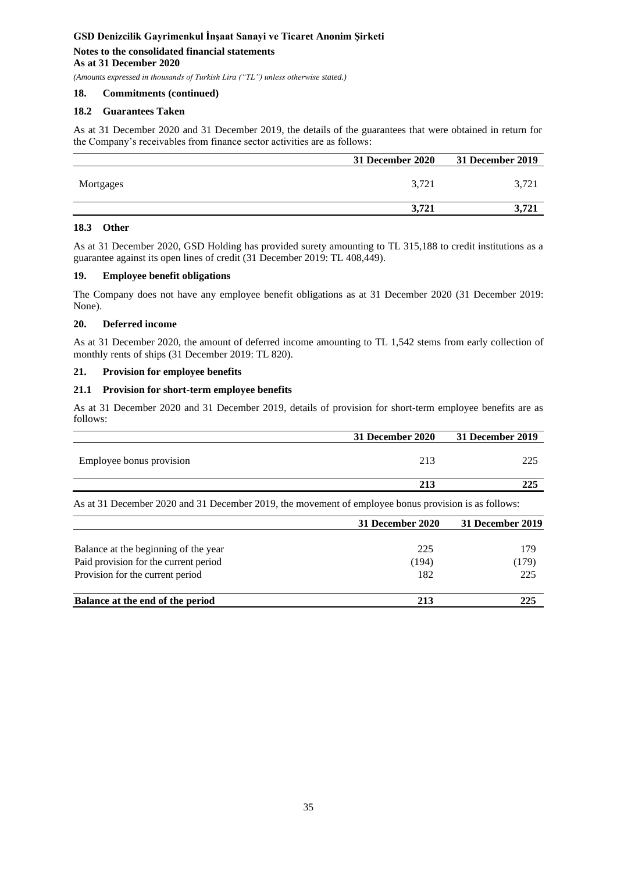# **Notes to the consolidated financial statements As at 31 December 2020**

*(Amounts expressed in thousands of Turkish Lira ("TL") unless otherwise stated.)*

#### **18. Commitments (continued)**

### **18.2 Guarantees Taken**

As at 31 December 2020 and 31 December 2019, the details of the guarantees that were obtained in return for the Company's receivables from finance sector activities are as follows:

|           | 31 December 2020 | 31 December 2019 |
|-----------|------------------|------------------|
| Mortgages | 3,721            | 3.721            |
|           | 3.721            |                  |

# **18.3 Other**

As at 31 December 2020, GSD Holding has provided surety amounting to TL 315,188 to credit institutions as a guarantee against its open lines of credit (31 December 2019: TL 408,449).

#### **19. Employee benefit obligations**

The Company does not have any employee benefit obligations as at 31 December 2020 (31 December 2019: None).

#### **20. Deferred income**

As at 31 December 2020, the amount of deferred income amounting to TL 1,542 stems from early collection of monthly rents of ships (31 December 2019: TL 820).

#### **21. Provision for employee benefits**

#### **21.1 Provision for short-term employee benefits**

As at 31 December 2020 and 31 December 2019, details of provision for short-term employee benefits are as follows:

|                          | 31 December 2020 | 31 December 2019 |
|--------------------------|------------------|------------------|
| Employee bonus provision | 213              | つつら              |
|                          | 213              | 225              |

As at 31 December 2020 and 31 December 2019, the movement of employee bonus provision is as follows:

|                                       | 31 December 2020 | 31 December 2019 |
|---------------------------------------|------------------|------------------|
| Balance at the beginning of the year  | 225              | 179              |
| Paid provision for the current period | (194)            | (179)            |
| Provision for the current period      | 182              | 225              |
| Balance at the end of the period      | 213              | 225              |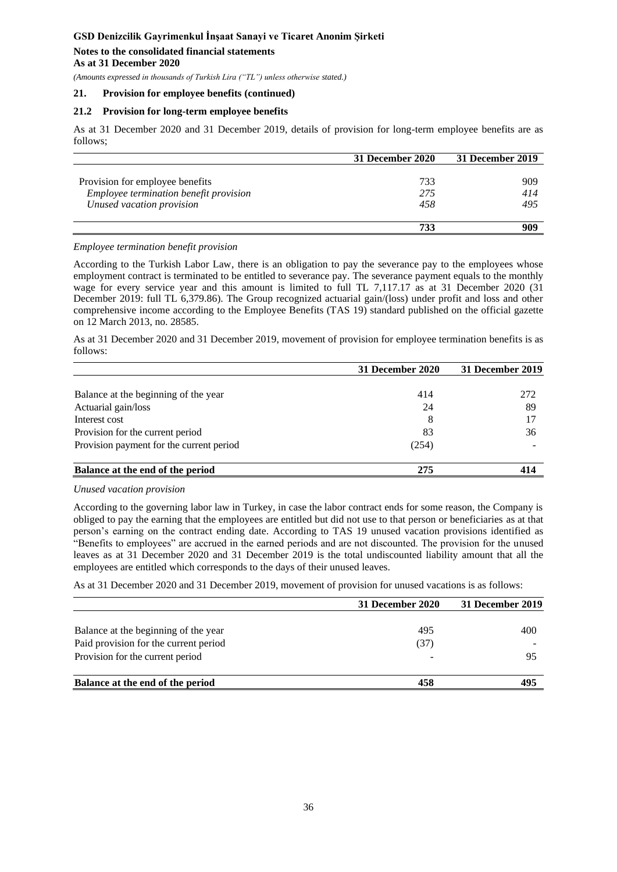# **Notes to the consolidated financial statements As at 31 December 2020**

*(Amounts expressed in thousands of Turkish Lira ("TL") unless otherwise stated.)*

#### **21. Provision for employee benefits (continued)**

#### **21.2 Provision for long-term employee benefits**

As at 31 December 2020 and 31 December 2019, details of provision for long-term employee benefits are as follows;

|                                        | 31 December 2020 | 31 December 2019 |
|----------------------------------------|------------------|------------------|
|                                        |                  |                  |
| Provision for employee benefits        | 733              | 909              |
| Employee termination benefit provision | 275              | 414              |
| Unused vacation provision              | 458              | 495              |
|                                        |                  |                  |
|                                        | 733              | 909              |

#### *Employee termination benefit provision*

According to the Turkish Labor Law, there is an obligation to pay the severance pay to the employees whose employment contract is terminated to be entitled to severance pay. The severance payment equals to the monthly wage for every service year and this amount is limited to full TL 7,117.17 as at 31 December 2020 (31 December 2019: full TL 6,379.86). The Group recognized actuarial gain/(loss) under profit and loss and other comprehensive income according to the Employee Benefits (TAS 19) standard published on the official gazette on 12 March 2013, no. 28585.

As at 31 December 2020 and 31 December 2019, movement of provision for employee termination benefits is as follows:

|                                          | 31 December 2020 | 31 December 2019 |
|------------------------------------------|------------------|------------------|
|                                          |                  |                  |
| Balance at the beginning of the year     | 414              | 272              |
| Actuarial gain/loss                      | 24               | 89               |
| Interest cost                            | 8                |                  |
| Provision for the current period         | 83               | 36               |
| Provision payment for the current period | (254)            |                  |
| Balance at the end of the period         | 275              | 414              |

#### *Unused vacation provision*

According to the governing labor law in Turkey, in case the labor contract ends for some reason, the Company is obliged to pay the earning that the employees are entitled but did not use to that person or beneficiaries as at that person's earning on the contract ending date. According to TAS 19 unused vacation provisions identified as "Benefits to employees" are accrued in the earned periods and are not discounted. The provision for the unused leaves as at 31 December 2020 and 31 December 2019 is the total undiscounted liability amount that all the employees are entitled which corresponds to the days of their unused leaves.

As at 31 December 2020 and 31 December 2019, movement of provision for unused vacations is as follows:

|                                       | 31 December 2020 | 31 December 2019 |
|---------------------------------------|------------------|------------------|
| Balance at the beginning of the year  | 495              | 400              |
| Paid provision for the current period | (37)             |                  |
| Provision for the current period      |                  | 95               |
| Balance at the end of the period      | 458              | 495              |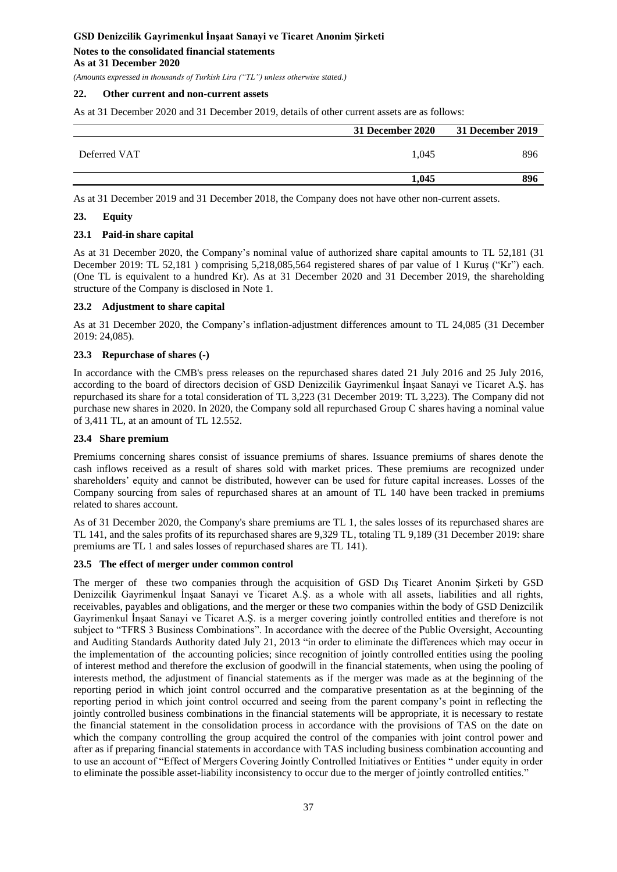# **Notes to the consolidated financial statements As at 31 December 2020**

*(Amounts expressed in thousands of Turkish Lira ("TL") unless otherwise stated.)*

#### **22. Other current and non-current assets**

As at 31 December 2020 and 31 December 2019, details of other current assets are as follows:

|              | <b>31 December 2020</b> | 31 December 2019 |
|--------------|-------------------------|------------------|
| Deferred VAT | 1.045                   | 896              |
|              | 1.045                   | 896              |

As at 31 December 2019 and 31 December 2018, the Company does not have other non-current assets.

#### **23. Equity**

#### **23.1 Paid-in share capital**

As at 31 December 2020, the Company's nominal value of authorized share capital amounts to TL 52,181 (31 December 2019: TL 52,181 ) comprising 5,218,085,564 registered shares of par value of 1 Kuruş ("Kr") each. (One TL is equivalent to a hundred Kr). As at 31 December 2020 and 31 December 2019, the shareholding structure of the Company is disclosed in Note 1.

#### **23.2 Adjustment to share capital**

As at 31 December 2020, the Company's inflation-adjustment differences amount to TL 24,085 (31 December 2019: 24,085).

### **23.3 Repurchase of shares (-)**

In accordance with the CMB's press releases on the repurchased shares dated 21 July 2016 and 25 July 2016, according to the board of directors decision of GSD Denizcilik Gayrimenkul İnşaat Sanayi ve Ticaret A.Ş. has repurchased its share for a total consideration of TL 3,223 (31 December 2019: TL 3,223). The Company did not purchase new shares in 2020. In 2020, the Company sold all repurchased Group C shares having a nominal value of 3,411 TL, at an amount of TL 12.552.

#### **23.4 Share premium**

Premiums concerning shares consist of issuance premiums of shares. Issuance premiums of shares denote the cash inflows received as a result of shares sold with market prices. These premiums are recognized under shareholders' equity and cannot be distributed, however can be used for future capital increases. Losses of the Company sourcing from sales of repurchased shares at an amount of TL 140 have been tracked in premiums related to shares account.

As of 31 December 2020, the Company's share premiums are TL 1, the sales losses of its repurchased shares are TL 141, and the sales profits of its repurchased shares are 9,329 TL, totaling TL 9,189 (31 December 2019: share premiums are TL 1 and sales losses of repurchased shares are TL 141).

# **23.5 The effect of merger under common control**

The merger of these two companies through the acquisition of GSD Dış Ticaret Anonim Şirketi by GSD Denizcilik Gayrimenkul İnşaat Sanayi ve Ticaret A.Ş. as a whole with all assets, liabilities and all rights, receivables, payables and obligations, and the merger or these two companies within the body of GSD Denizcilik Gayrimenkul İnşaat Sanayi ve Ticaret A.Ş. is a merger covering jointly controlled entities and therefore is not subject to "TFRS 3 Business Combinations". In accordance with the decree of the Public Oversight, Accounting and Auditing Standards Authority dated July 21, 2013 "in order to eliminate the differences which may occur in the implementation of the accounting policies; since recognition of jointly controlled entities using the pooling of interest method and therefore the exclusion of goodwill in the financial statements, when using the pooling of interests method, the adjustment of financial statements as if the merger was made as at the beginning of the reporting period in which joint control occurred and the comparative presentation as at the beginning of the reporting period in which joint control occurred and seeing from the parent company's point in reflecting the jointly controlled business combinations in the financial statements will be appropriate, it is necessary to restate the financial statement in the consolidation process in accordance with the provisions of TAS on the date on which the company controlling the group acquired the control of the companies with joint control power and after as if preparing financial statements in accordance with TAS including business combination accounting and to use an account of "Effect of Mergers Covering Jointly Controlled Initiatives or Entities " under equity in order to eliminate the possible asset-liability inconsistency to occur due to the merger of jointly controlled entities."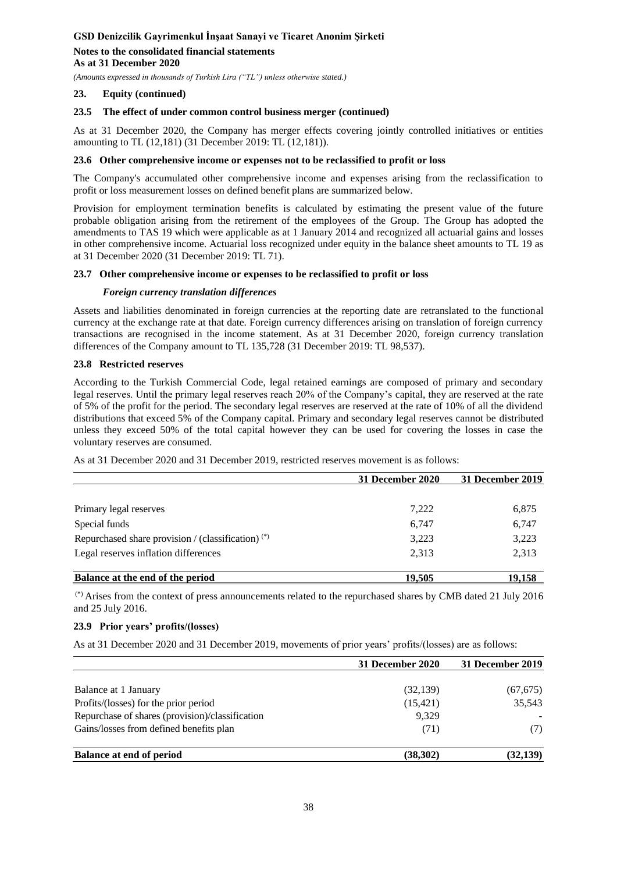# **Notes to the consolidated financial statements As at 31 December 2020**

*(Amounts expressed in thousands of Turkish Lira ("TL") unless otherwise stated.)*

#### **23. Equity (continued)**

#### **23.5 The effect of under common control business merger (continued)**

As at 31 December 2020, the Company has merger effects covering jointly controlled initiatives or entities amounting to TL (12,181) (31 December 2019: TL (12,181)).

#### **23.6 Other comprehensive income or expenses not to be reclassified to profit or loss**

The Company's accumulated other comprehensive income and expenses arising from the reclassification to profit or loss measurement losses on defined benefit plans are summarized below.

Provision for employment termination benefits is calculated by estimating the present value of the future probable obligation arising from the retirement of the employees of the Group. The Group has adopted the amendments to TAS 19 which were applicable as at 1 January 2014 and recognized all actuarial gains and losses in other comprehensive income. Actuarial loss recognized under equity in the balance sheet amounts to TL 19 as at 31 December 2020 (31 December 2019: TL 71).

#### **23.7 Other comprehensive income or expenses to be reclassified to profit or loss**

#### *Foreign currency translation differences*

Assets and liabilities denominated in foreign currencies at the reporting date are retranslated to the functional currency at the exchange rate at that date. Foreign currency differences arising on translation of foreign currency transactions are recognised in the income statement. As at 31 December 2020, foreign currency translation differences of the Company amount to TL 135,728 (31 December 2019: TL 98,537).

#### **23.8 Restricted reserves**

According to the Turkish Commercial Code, legal retained earnings are composed of primary and secondary legal reserves. Until the primary legal reserves reach 20% of the Company's capital, they are reserved at the rate of 5% of the profit for the period. The secondary legal reserves are reserved at the rate of 10% of all the dividend distributions that exceed 5% of the Company capital. Primary and secondary legal reserves cannot be distributed unless they exceed 50% of the total capital however they can be used for covering the losses in case the voluntary reserves are consumed.

As at 31 December 2020 and 31 December 2019, restricted reserves movement is as follows:

|                                                      | 31 December 2020 | 31 December 2019 |
|------------------------------------------------------|------------------|------------------|
|                                                      |                  |                  |
| Primary legal reserves                               | 7,222            | 6,875            |
| Special funds                                        | 6,747            | 6,747            |
| Repurchased share provision / (classification) $(*)$ | 3,223            | 3,223            |
| Legal reserves inflation differences                 | 2,313            | 2,313            |
| Balance at the end of the period                     | 19,505           | 19,158           |

(\*) Arises from the context of press announcements related to the repurchased shares by CMB dated 21 July 2016 and 25 July 2016.

### **23.9 Prior years' profits/(losses)**

As at 31 December 2020 and 31 December 2019, movements of prior years' profits/(losses) are as follows:

|                                                 | 31 December 2020 | 31 December 2019 |
|-------------------------------------------------|------------------|------------------|
| Balance at 1 January                            | (32, 139)        | (67, 675)        |
| Profits/(losses) for the prior period           | (15, 421)        | 35,543           |
| Repurchase of shares (provision)/classification | 9,329            |                  |
| Gains/losses from defined benefits plan         | (71)             | (7)              |
| <b>Balance at end of period</b>                 | (38,302)         | (32,139)         |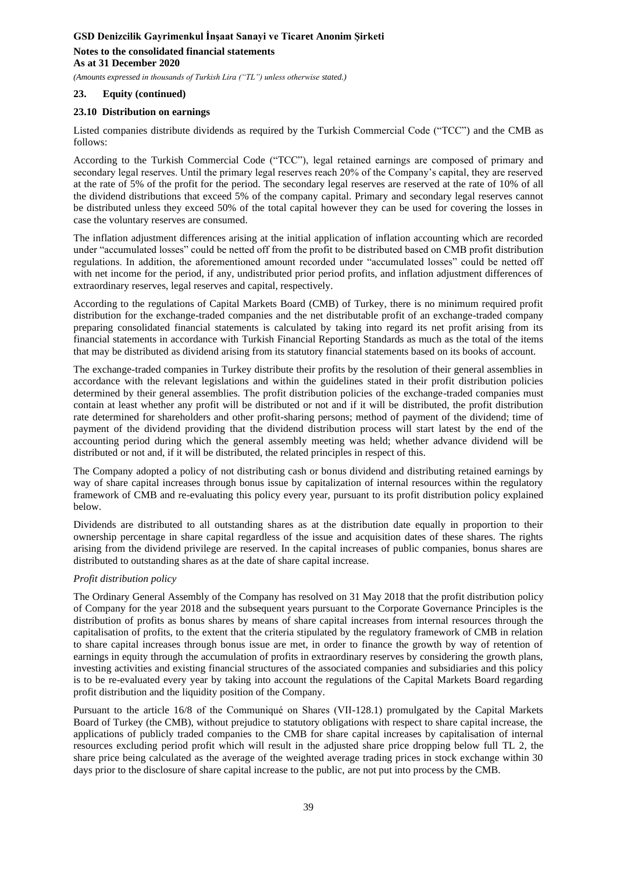# **Notes to the consolidated financial statements As at 31 December 2020**

*(Amounts expressed in thousands of Turkish Lira ("TL") unless otherwise stated.)*

### **23. Equity (continued)**

#### **23.10 Distribution on earnings**

Listed companies distribute dividends as required by the Turkish Commercial Code ("TCC") and the CMB as follows:

According to the Turkish Commercial Code ("TCC"), legal retained earnings are composed of primary and secondary legal reserves. Until the primary legal reserves reach 20% of the Company's capital, they are reserved at the rate of 5% of the profit for the period. The secondary legal reserves are reserved at the rate of 10% of all the dividend distributions that exceed 5% of the company capital. Primary and secondary legal reserves cannot be distributed unless they exceed 50% of the total capital however they can be used for covering the losses in case the voluntary reserves are consumed.

The inflation adjustment differences arising at the initial application of inflation accounting which are recorded under "accumulated losses" could be netted off from the profit to be distributed based on CMB profit distribution regulations. In addition, the aforementioned amount recorded under "accumulated losses" could be netted off with net income for the period, if any, undistributed prior period profits, and inflation adjustment differences of extraordinary reserves, legal reserves and capital, respectively.

According to the regulations of Capital Markets Board (CMB) of Turkey, there is no minimum required profit distribution for the exchange-traded companies and the net distributable profit of an exchange-traded company preparing consolidated financial statements is calculated by taking into regard its net profit arising from its financial statements in accordance with Turkish Financial Reporting Standards as much as the total of the items that may be distributed as dividend arising from its statutory financial statements based on its books of account.

The exchange-traded companies in Turkey distribute their profits by the resolution of their general assemblies in accordance with the relevant legislations and within the guidelines stated in their profit distribution policies determined by their general assemblies. The profit distribution policies of the exchange-traded companies must contain at least whether any profit will be distributed or not and if it will be distributed, the profit distribution rate determined for shareholders and other profit-sharing persons; method of payment of the dividend; time of payment of the dividend providing that the dividend distribution process will start latest by the end of the accounting period during which the general assembly meeting was held; whether advance dividend will be distributed or not and, if it will be distributed, the related principles in respect of this.

The Company adopted a policy of not distributing cash or bonus dividend and distributing retained earnings by way of share capital increases through bonus issue by capitalization of internal resources within the regulatory framework of CMB and re-evaluating this policy every year, pursuant to its profit distribution policy explained below.

Dividends are distributed to all outstanding shares as at the distribution date equally in proportion to their ownership percentage in share capital regardless of the issue and acquisition dates of these shares. The rights arising from the dividend privilege are reserved. In the capital increases of public companies, bonus shares are distributed to outstanding shares as at the date of share capital increase.

### *Profit distribution policy*

The Ordinary General Assembly of the Company has resolved on 31 May 2018 that the profit distribution policy of Company for the year 2018 and the subsequent years pursuant to the Corporate Governance Principles is the distribution of profits as bonus shares by means of share capital increases from internal resources through the capitalisation of profits, to the extent that the criteria stipulated by the regulatory framework of CMB in relation to share capital increases through bonus issue are met, in order to finance the growth by way of retention of earnings in equity through the accumulation of profits in extraordinary reserves by considering the growth plans, investing activities and existing financial structures of the associated companies and subsidiaries and this policy is to be re-evaluated every year by taking into account the regulations of the Capital Markets Board regarding profit distribution and the liquidity position of the Company.

Pursuant to the article 16/8 of the Communiqué on Shares (VII-128.1) promulgated by the Capital Markets Board of Turkey (the CMB), without prejudice to statutory obligations with respect to share capital increase, the applications of publicly traded companies to the CMB for share capital increases by capitalisation of internal resources excluding period profit which will result in the adjusted share price dropping below full TL 2, the share price being calculated as the average of the weighted average trading prices in stock exchange within 30 days prior to the disclosure of share capital increase to the public, are not put into process by the CMB.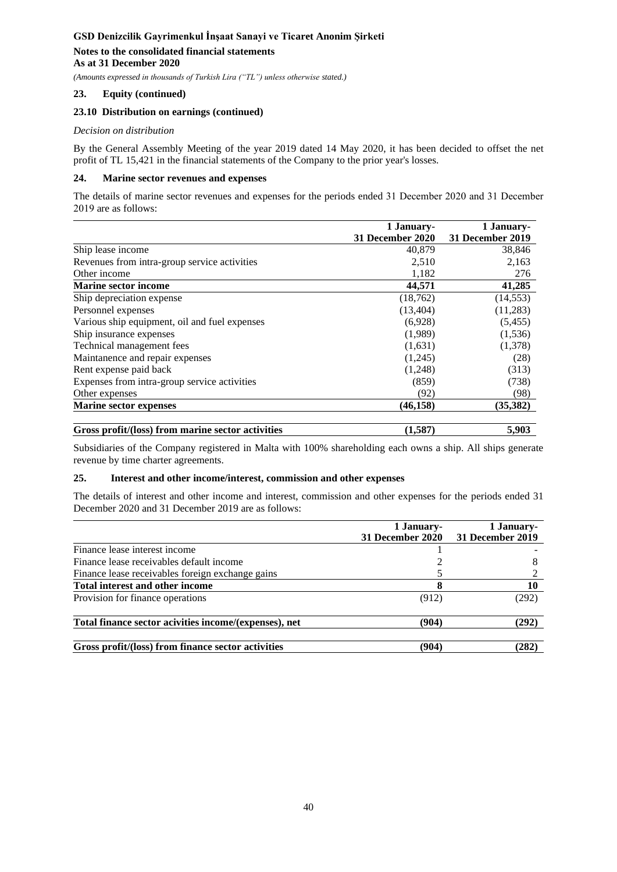# **Notes to the consolidated financial statements As at 31 December 2020**

*(Amounts expressed in thousands of Turkish Lira ("TL") unless otherwise stated.)*

### **23. Equity (continued)**

#### **23.10 Distribution on earnings (continued)**

#### *Decision on distribution*

By the General Assembly Meeting of the year 2019 dated 14 May 2020, it has been decided to offset the net profit of TL 15,421 in the financial statements of the Company to the prior year's losses.

### **24. Marine sector revenues and expenses**

The details of marine sector revenues and expenses for the periods ended 31 December 2020 and 31 December 2019 are as follows:

|                                                   | 1 January-       | 1 January-       |
|---------------------------------------------------|------------------|------------------|
|                                                   | 31 December 2020 | 31 December 2019 |
| Ship lease income                                 | 40,879           | 38,846           |
| Revenues from intra-group service activities      | 2,510            | 2,163            |
| Other income                                      | 1,182            | 276              |
| <b>Marine sector income</b>                       | 44,571           | 41,285           |
| Ship depreciation expense                         | (18, 762)        | (14, 553)        |
| Personnel expenses                                | (13, 404)        | (11,283)         |
| Various ship equipment, oil and fuel expenses     | (6,928)          | (5,455)          |
| Ship insurance expenses                           | (1,989)          | (1,536)          |
| Technical management fees                         | (1,631)          | (1,378)          |
| Maintanence and repair expenses                   | (1,245)          | (28)             |
| Rent expense paid back                            | (1,248)          | (313)            |
| Expenses from intra-group service activities      | (859)            | (738)            |
| Other expenses                                    | (92)             | (98)             |
| <b>Marine sector expenses</b>                     | (46, 158)        | (35, 382)        |
| Gross profit/(loss) from marine sector activities | (1,587)          | 5,903            |

Subsidiaries of the Company registered in Malta with 100% shareholding each owns a ship. All ships generate revenue by time charter agreements.

#### **25. Interest and other income/interest, commission and other expenses**

The details of interest and other income and interest, commission and other expenses for the periods ended 31 December 2020 and 31 December 2019 are as follows:

|                                                       | 1 January-              | 1 January-<br>31 December 2019 |
|-------------------------------------------------------|-------------------------|--------------------------------|
|                                                       | <b>31 December 2020</b> |                                |
| Finance lease interest income                         |                         |                                |
| Finance lease receivables default income              |                         |                                |
| Finance lease receivables foreign exchange gains      |                         |                                |
| <b>Total interest and other income</b>                | 8                       | 10                             |
| Provision for finance operations                      | (912)                   | (292)                          |
| Total finance sector acivities income/(expenses), net | (904)                   | (292)                          |
| Gross profit/(loss) from finance sector activities    | (904`                   | $282^{\circ}$                  |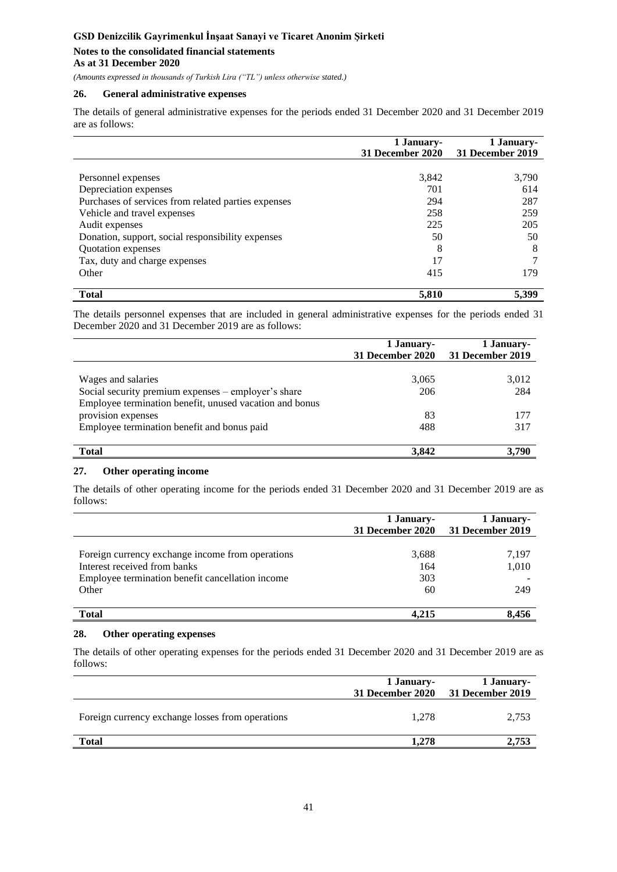# **Notes to the consolidated financial statements As at 31 December 2020**

*(Amounts expressed in thousands of Turkish Lira ("TL") unless otherwise stated.)*

# **26. General administrative expenses**

The details of general administrative expenses for the periods ended 31 December 2020 and 31 December 2019 are as follows:

|                                                     | 1 January-<br>31 December 2020 | 1 January-<br><b>31 December 2019</b> |
|-----------------------------------------------------|--------------------------------|---------------------------------------|
|                                                     |                                |                                       |
| Personnel expenses                                  | 3,842                          | 3,790                                 |
| Depreciation expenses                               | 701                            | 614                                   |
| Purchases of services from related parties expenses | 294                            | 287                                   |
| Vehicle and travel expenses                         | 258                            | 259                                   |
| Audit expenses                                      | 225                            | 205                                   |
| Donation, support, social responsibility expenses   | 50                             | 50                                    |
| Quotation expenses                                  | 8                              | 8                                     |
| Tax, duty and charge expenses                       | 17                             | ⇁                                     |
| Other                                               | 415                            | 179                                   |
| <b>Total</b>                                        | 5,810                          | 5.399                                 |

The details personnel expenses that are included in general administrative expenses for the periods ended 31 December 2020 and 31 December 2019 are as follows:

|                                                         | 1 January-<br>31 December 2020 | 1 January-<br>31 December 2019 |
|---------------------------------------------------------|--------------------------------|--------------------------------|
| Wages and salaries                                      | 3,065                          | 3,012                          |
| Social security premium expenses – employer's share     | 206                            | 284                            |
| Employee termination benefit, unused vacation and bonus |                                |                                |
| provision expenses                                      | 83                             | 177                            |
| Employee termination benefit and bonus paid             | 488                            | 317                            |
| <b>Total</b>                                            | 3.842                          | 3.790                          |

### **27. Other operating income**

The details of other operating income for the periods ended 31 December 2020 and 31 December 2019 are as follows:

|                                                  | 1 January-<br>31 December 2020 | 1 January-<br>31 December 2019 |
|--------------------------------------------------|--------------------------------|--------------------------------|
| Foreign currency exchange income from operations | 3,688                          | 7,197                          |
| Interest received from banks                     | 164                            | 1,010                          |
| Employee termination benefit cancellation income | 303                            |                                |
| Other                                            | 60                             | 249                            |
| <b>Total</b>                                     | 4.215                          | 8.456                          |

# **28. Other operating expenses**

The details of other operating expenses for the periods ended 31 December 2020 and 31 December 2019 are as follows:

|                                                  | 1 January-<br>31 December 2020 | 1 January-<br>31 December 2019 |
|--------------------------------------------------|--------------------------------|--------------------------------|
| Foreign currency exchange losses from operations | 1.278                          | 2,753                          |
| <b>Total</b>                                     | 1.278                          | 2,753                          |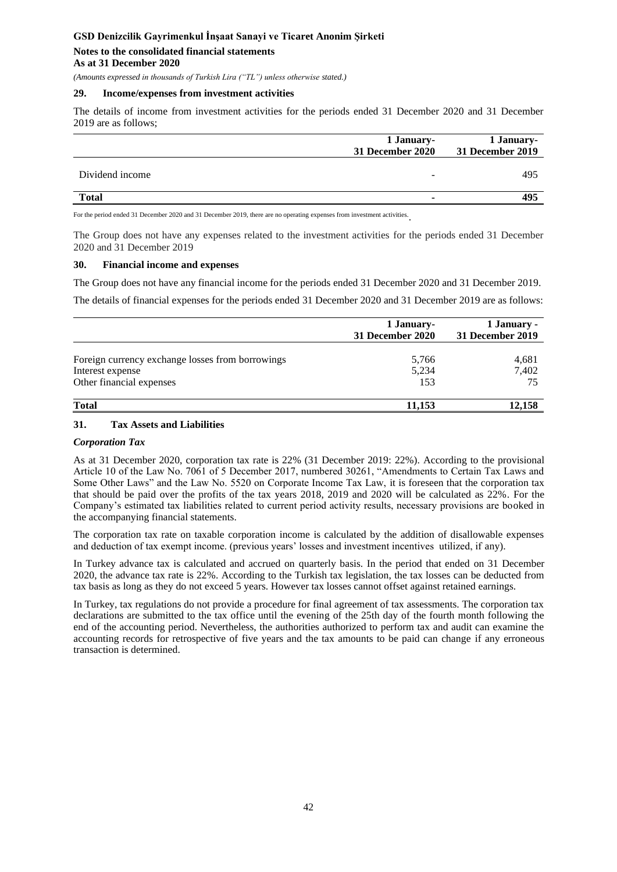# **Notes to the consolidated financial statements As at 31 December 2020**

*(Amounts expressed in thousands of Turkish Lira ("TL") unless otherwise stated.)*

#### **29. Income/expenses from investment activities**

The details of income from investment activities for the periods ended 31 December 2020 and 31 December 2019 are as follows;

|                 | 1 January-               | 1 January-       |
|-----------------|--------------------------|------------------|
|                 | 31 December 2020         | 31 December 2019 |
| Dividend income | $\overline{\phantom{a}}$ | 495              |
| <b>Total</b>    |                          | 495              |
|                 |                          |                  |

For the period ended 31 December 2020 and 31 December 2019, there are no operating expenses from investment activities. .

The Group does not have any expenses related to the investment activities for the periods ended 31 December 2020 and 31 December 2019

### **30. Financial income and expenses**

The Group does not have any financial income for the periods ended 31 December 2020 and 31 December 2019.

The details of financial expenses for the periods ended 31 December 2020 and 31 December 2019 are as follows:

|                                                  | 1 January-<br>31 December 2020 | 1 January -<br>31 December 2019 |
|--------------------------------------------------|--------------------------------|---------------------------------|
|                                                  |                                |                                 |
| Foreign currency exchange losses from borrowings | 5,766                          | 4,681                           |
| Interest expense                                 | 5,234                          | 7,402                           |
| Other financial expenses                         | 153                            | 75                              |
| <b>Total</b>                                     | 11.153                         | 12,158                          |

# **31. Tax Assets and Liabilities**

### *Corporation Tax*

As at 31 December 2020, corporation tax rate is 22% (31 December 2019: 22%). According to the provisional Article 10 of the Law No. 7061 of 5 December 2017, numbered 30261, "Amendments to Certain Tax Laws and Some Other Laws" and the Law No. 5520 on Corporate Income Tax Law, it is foreseen that the corporation tax that should be paid over the profits of the tax years 2018, 2019 and 2020 will be calculated as 22%. For the Company's estimated tax liabilities related to current period activity results, necessary provisions are booked in the accompanying financial statements.

The corporation tax rate on taxable corporation income is calculated by the addition of disallowable expenses and deduction of tax exempt income. (previous years' losses and investment incentives utilized, if any).

In Turkey advance tax is calculated and accrued on quarterly basis. In the period that ended on 31 December 2020, the advance tax rate is 22%. According to the Turkish tax legislation, the tax losses can be deducted from tax basis as long as they do not exceed 5 years. However tax losses cannot offset against retained earnings.

In Turkey, tax regulations do not provide a procedure for final agreement of tax assessments. The corporation tax declarations are submitted to the tax office until the evening of the 25th day of the fourth month following the end of the accounting period. Nevertheless, the authorities authorized to perform tax and audit can examine the accounting records for retrospective of five years and the tax amounts to be paid can change if any erroneous transaction is determined.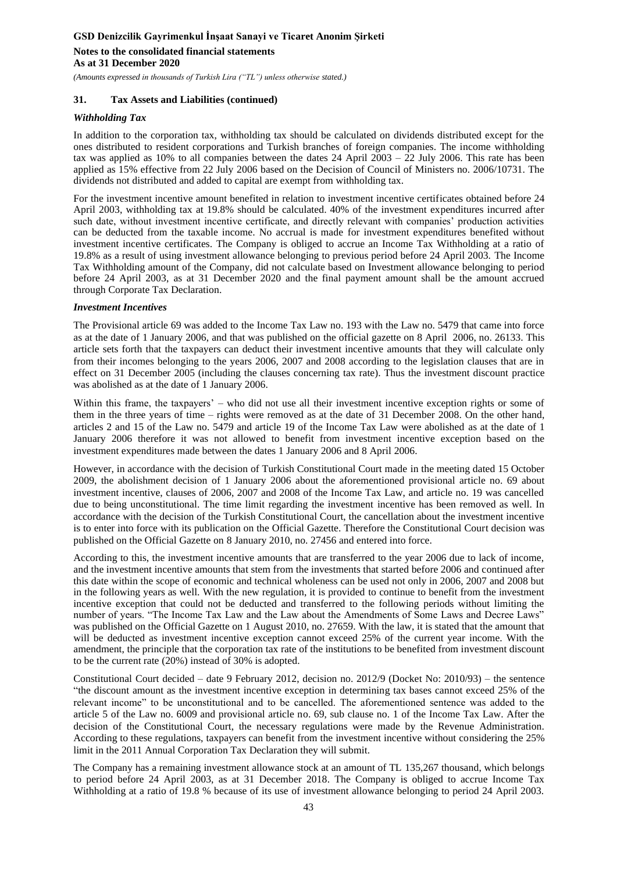**Notes to the consolidated financial statements As at 31 December 2020**

*(Amounts expressed in thousands of Turkish Lira ("TL") unless otherwise stated.)*

#### **31. Tax Assets and Liabilities (continued)**

#### *Withholding Tax*

In addition to the corporation tax, withholding tax should be calculated on dividends distributed except for the ones distributed to resident corporations and Turkish branches of foreign companies. The income withholding tax was applied as 10% to all companies between the dates  $24$  April  $2003 - 22$  July 2006. This rate has been applied as 15% effective from 22 July 2006 based on the Decision of Council of Ministers no. 2006/10731. The dividends not distributed and added to capital are exempt from withholding tax.

For the investment incentive amount benefited in relation to investment incentive certificates obtained before 24 April 2003, withholding tax at 19.8% should be calculated. 40% of the investment expenditures incurred after such date, without investment incentive certificate, and directly relevant with companies' production activities can be deducted from the taxable income. No accrual is made for investment expenditures benefited without investment incentive certificates. The Company is obliged to accrue an Income Tax Withholding at a ratio of 19.8% as a result of using investment allowance belonging to previous period before 24 April 2003. The Income Tax Withholding amount of the Company, did not calculate based on Investment allowance belonging to period before 24 April 2003, as at 31 December 2020 and the final payment amount shall be the amount accrued through Corporate Tax Declaration.

#### *Investment Incentives*

The Provisional article 69 was added to the Income Tax Law no. 193 with the Law no. 5479 that came into force as at the date of 1 January 2006, and that was published on the official gazette on 8 April 2006, no. 26133. This article sets forth that the taxpayers can deduct their investment incentive amounts that they will calculate only from their incomes belonging to the years 2006, 2007 and 2008 according to the legislation clauses that are in effect on 31 December 2005 (including the clauses concerning tax rate). Thus the investment discount practice was abolished as at the date of 1 January 2006.

Within this frame, the taxpayers' – who did not use all their investment incentive exception rights or some of them in the three years of time – rights were removed as at the date of 31 December 2008. On the other hand, articles 2 and 15 of the Law no. 5479 and article 19 of the Income Tax Law were abolished as at the date of 1 January 2006 therefore it was not allowed to benefit from investment incentive exception based on the investment expenditures made between the dates 1 January 2006 and 8 April 2006.

However, in accordance with the decision of Turkish Constitutional Court made in the meeting dated 15 October 2009, the abolishment decision of 1 January 2006 about the aforementioned provisional article no. 69 about investment incentive, clauses of 2006, 2007 and 2008 of the Income Tax Law, and article no. 19 was cancelled due to being unconstitutional. The time limit regarding the investment incentive has been removed as well. In accordance with the decision of the Turkish Constitutional Court, the cancellation about the investment incentive is to enter into force with its publication on the Official Gazette. Therefore the Constitutional Court decision was published on the Official Gazette on 8 January 2010, no. 27456 and entered into force.

According to this, the investment incentive amounts that are transferred to the year 2006 due to lack of income, and the investment incentive amounts that stem from the investments that started before 2006 and continued after this date within the scope of economic and technical wholeness can be used not only in 2006, 2007 and 2008 but in the following years as well. With the new regulation, it is provided to continue to benefit from the investment incentive exception that could not be deducted and transferred to the following periods without limiting the number of years. "The Income Tax Law and the Law about the Amendments of Some Laws and Decree Laws" was published on the Official Gazette on 1 August 2010, no. 27659. With the law, it is stated that the amount that will be deducted as investment incentive exception cannot exceed 25% of the current year income. With the amendment, the principle that the corporation tax rate of the institutions to be benefited from investment discount to be the current rate (20%) instead of 30% is adopted.

Constitutional Court decided – date 9 February 2012, decision no. 2012/9 (Docket No: 2010/93) – the sentence "the discount amount as the investment incentive exception in determining tax bases cannot exceed 25% of the relevant income" to be unconstitutional and to be cancelled. The aforementioned sentence was added to the article 5 of the Law no. 6009 and provisional article no. 69, sub clause no. 1 of the Income Tax Law. After the decision of the Constitutional Court, the necessary regulations were made by the Revenue Administration. According to these regulations, taxpayers can benefit from the investment incentive without considering the 25% limit in the 2011 Annual Corporation Tax Declaration they will submit.

The Company has a remaining investment allowance stock at an amount of TL 135,267 thousand, which belongs to period before 24 April 2003, as at 31 December 2018. The Company is obliged to accrue Income Tax Withholding at a ratio of 19.8 % because of its use of investment allowance belonging to period 24 April 2003.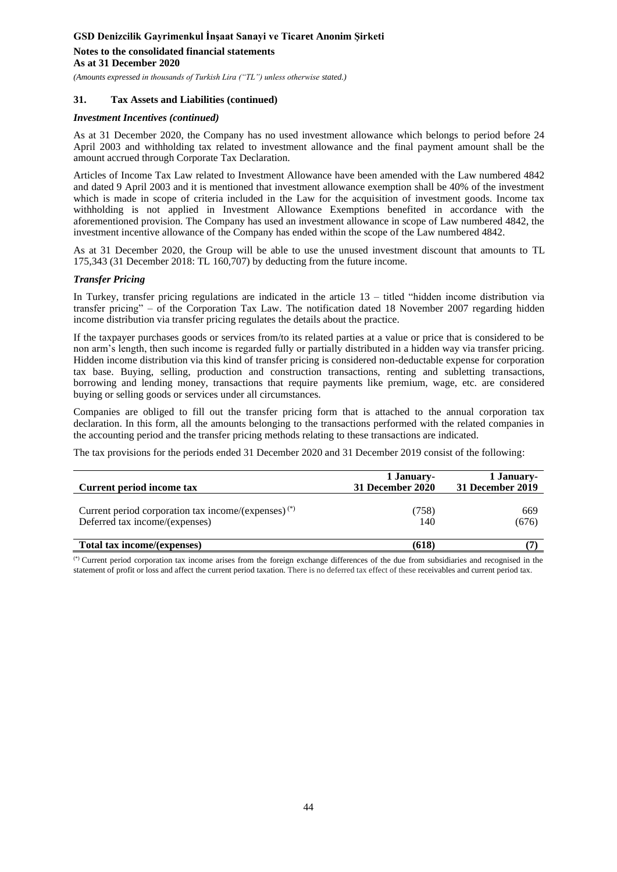# **Notes to the consolidated financial statements As at 31 December 2020**

*(Amounts expressed in thousands of Turkish Lira ("TL") unless otherwise stated.)*

### **31. Tax Assets and Liabilities (continued)**

#### *Investment Incentives (continued)*

As at 31 December 2020, the Company has no used investment allowance which belongs to period before 24 April 2003 and withholding tax related to investment allowance and the final payment amount shall be the amount accrued through Corporate Tax Declaration.

Articles of Income Tax Law related to Investment Allowance have been amended with the Law numbered 4842 and dated 9 April 2003 and it is mentioned that investment allowance exemption shall be 40% of the investment which is made in scope of criteria included in the Law for the acquisition of investment goods. Income tax withholding is not applied in Investment Allowance Exemptions benefited in accordance with the aforementioned provision. The Company has used an investment allowance in scope of Law numbered 4842, the investment incentive allowance of the Company has ended within the scope of the Law numbered 4842.

As at 31 December 2020, the Group will be able to use the unused investment discount that amounts to TL 175,343 (31 December 2018: TL 160,707) by deducting from the future income.

#### *Transfer Pricing*

In Turkey, transfer pricing regulations are indicated in the article 13 – titled "hidden income distribution via transfer pricing" – of the Corporation Tax Law. The notification dated 18 November 2007 regarding hidden income distribution via transfer pricing regulates the details about the practice.

If the taxpayer purchases goods or services from/to its related parties at a value or price that is considered to be non arm's length, then such income is regarded fully or partially distributed in a hidden way via transfer pricing. Hidden income distribution via this kind of transfer pricing is considered non-deductable expense for corporation tax base. Buying, selling, production and construction transactions, renting and subletting transactions, borrowing and lending money, transactions that require payments like premium, wage, etc. are considered buying or selling goods or services under all circumstances.

Companies are obliged to fill out the transfer pricing form that is attached to the annual corporation tax declaration. In this form, all the amounts belonging to the transactions performed with the related companies in the accounting period and the transfer pricing methods relating to these transactions are indicated.

The tax provisions for the periods ended 31 December 2020 and 31 December 2019 consist of the following:

| Current period income tax                                       | 1 January-<br>31 December 2020 | 1 January-<br>31 December 2019 |
|-----------------------------------------------------------------|--------------------------------|--------------------------------|
|                                                                 |                                |                                |
| Current period corporation tax income/(expenses) <sup>(*)</sup> | (758)                          | 669                            |
| Deferred tax income/(expenses)                                  | 140                            | (676)                          |
| Total tax income/(expenses)                                     | (618)                          |                                |

(\*) Current period corporation tax income arises from the foreign exchange differences of the due from subsidiaries and recognised in the statement of profit or loss and affect the current period taxation. There is no deferred tax effect of these receivables and current period tax.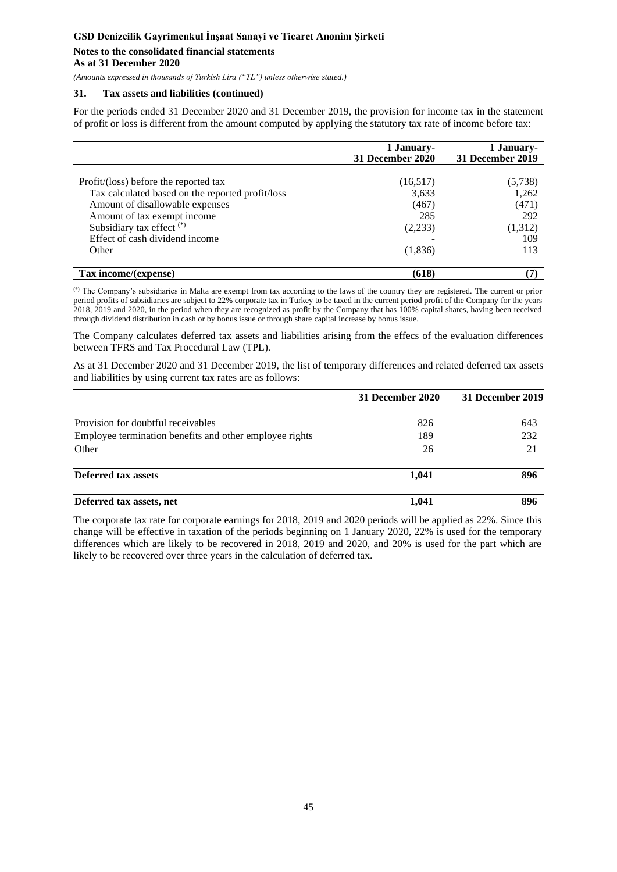# **Notes to the consolidated financial statements As at 31 December 2020**

*(Amounts expressed in thousands of Turkish Lira ("TL") unless otherwise stated.)*

### **31. Tax assets and liabilities (continued)**

For the periods ended 31 December 2020 and 31 December 2019, the provision for income tax in the statement of profit or loss is different from the amount computed by applying the statutory tax rate of income before tax:

|                                                  | 1 January-<br>31 December 2020 | 1 January-<br>31 December 2019 |
|--------------------------------------------------|--------------------------------|--------------------------------|
|                                                  |                                |                                |
| Profit/(loss) before the reported tax            | (16,517)                       | (5,738)                        |
| Tax calculated based on the reported profit/loss | 3,633                          | 1,262                          |
| Amount of disallowable expenses                  | (467)                          | (471)                          |
| Amount of tax exempt income                      | 285                            | 292                            |
| Subsidiary tax effect <sup>(*)</sup>             | (2,233)                        | (1,312)                        |
| Effect of cash dividend income                   |                                | 109                            |
| Other                                            | (1,836)                        | 113                            |
| Tax income/(expense)                             | (618)                          |                                |

(\*) The Company's subsidiaries in Malta are exempt from tax according to the laws of the country they are registered. The current or prior period profits of subsidiaries are subject to 22% corporate tax in Turkey to be taxed in the current period profit of the Company for the years 2018, 2019 and 2020, in the period when they are recognized as profit by the Company that has 100% capital shares, having been received through dividend distribution in cash or by bonus issue or through share capital increase by bonus issue.

The Company calculates deferred tax assets and liabilities arising from the effecs of the evaluation differences between TFRS and Tax Procedural Law (TPL).

As at 31 December 2020 and 31 December 2019, the list of temporary differences and related deferred tax assets and liabilities by using current tax rates are as follows:

|                                                         | 31 December 2020 | 31 December 2019 |
|---------------------------------------------------------|------------------|------------------|
| Provision for doubtful receivables                      | 826              | 643              |
| Employee termination benefits and other employee rights | 189              | 232              |
| Other                                                   | 26               | 21               |
| <b>Deferred tax assets</b>                              | 1.041            | 896              |
| Deferred tax assets, net                                | 1.041            | 896              |

The corporate tax rate for corporate earnings for 2018, 2019 and 2020 periods will be applied as 22%. Since this change will be effective in taxation of the periods beginning on 1 January 2020, 22% is used for the temporary differences which are likely to be recovered in 2018, 2019 and 2020, and 20% is used for the part which are likely to be recovered over three years in the calculation of deferred tax.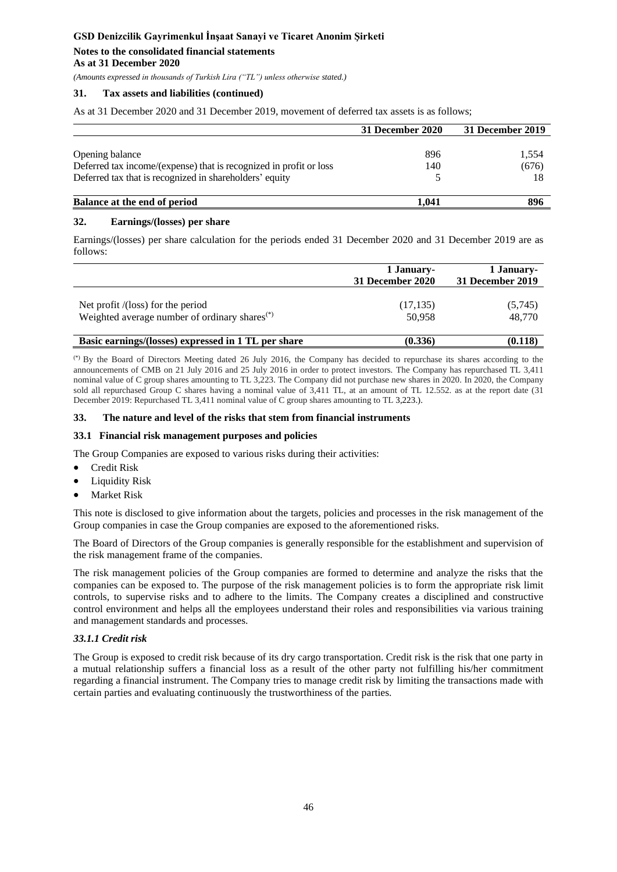# **Notes to the consolidated financial statements As at 31 December 2020**

*(Amounts expressed in thousands of Turkish Lira ("TL") unless otherwise stated.)*

### **31. Tax assets and liabilities (continued)**

As at 31 December 2020 and 31 December 2019, movement of deferred tax assets is as follows;

|                                                                    | 31 December 2020 | 31 December 2019 |
|--------------------------------------------------------------------|------------------|------------------|
|                                                                    |                  |                  |
| Opening balance                                                    | 896              | 1,554            |
| Deferred tax income/(expense) that is recognized in profit or loss | 140              | (676)            |
| Deferred tax that is recognized in shareholders' equity            |                  |                  |
| Balance at the end of period                                       | 1.041            | 896              |

### **32. Earnings/(losses) per share**

Earnings/(losses) per share calculation for the periods ended 31 December 2020 and 31 December 2019 are as follows:

|                                                                                             | 1 January-<br>31 December 2020 | 1 January-<br>31 December 2019 |
|---------------------------------------------------------------------------------------------|--------------------------------|--------------------------------|
| Net profit $\ell$ (loss) for the period<br>Weighted average number of ordinary shares $(*)$ | (17, 135)<br>50.958            | (5,745)<br>48,770              |
| Basic earnings/(losses) expressed in 1 TL per share                                         | (0.336)                        | (0.118)                        |

(\*) By the Board of Directors Meeting dated 26 July 2016, the Company has decided to repurchase its shares according to the announcements of CMB on 21 July 2016 and 25 July 2016 in order to protect investors. The Company has repurchased TL 3,411 nominal value of C group shares amounting to TL 3,223. The Company did not purchase new shares in 2020. In 2020, the Company sold all repurchased Group C shares having a nominal value of 3,411 TL, at an amount of TL 12.552. as at the report date (31) December 2019: Repurchased TL 3,411 nominal value of C group shares amounting to TL 3,223.).

### **33. The nature and level of the risks that stem from financial instruments**

#### **33.1 Financial risk management purposes and policies**

The Group Companies are exposed to various risks during their activities:

- Credit Risk
- Liquidity Risk
- **Market Risk**

This note is disclosed to give information about the targets, policies and processes in the risk management of the Group companies in case the Group companies are exposed to the aforementioned risks.

The Board of Directors of the Group companies is generally responsible for the establishment and supervision of the risk management frame of the companies.

The risk management policies of the Group companies are formed to determine and analyze the risks that the companies can be exposed to. The purpose of the risk management policies is to form the appropriate risk limit controls, to supervise risks and to adhere to the limits. The Company creates a disciplined and constructive control environment and helps all the employees understand their roles and responsibilities via various training and management standards and processes.

### *33.1.1 Credit risk*

The Group is exposed to credit risk because of its dry cargo transportation. Credit risk is the risk that one party in a mutual relationship suffers a financial loss as a result of the other party not fulfilling his/her commitment regarding a financial instrument. The Company tries to manage credit risk by limiting the transactions made with certain parties and evaluating continuously the trustworthiness of the parties.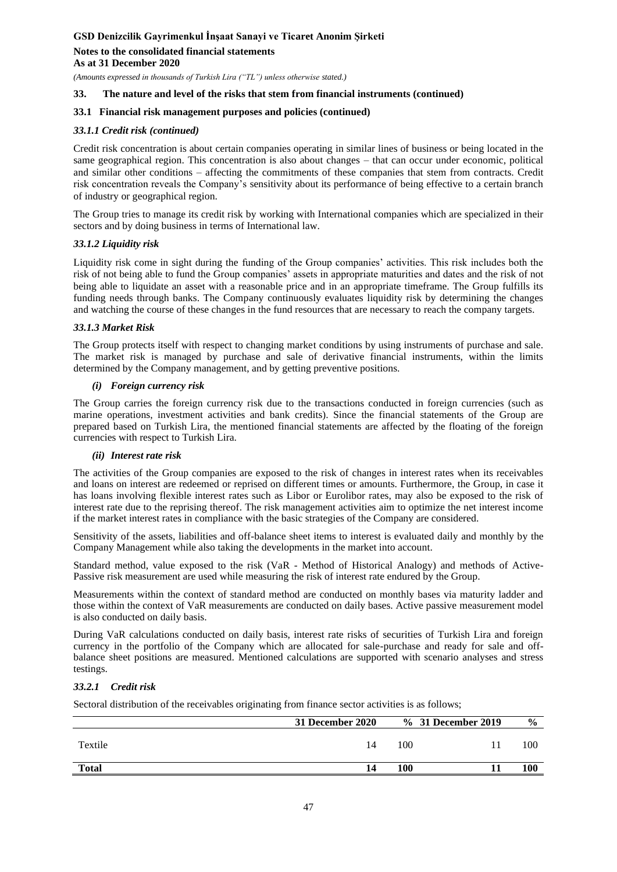**Notes to the consolidated financial statements As at 31 December 2020**

*(Amounts expressed in thousands of Turkish Lira ("TL") unless otherwise stated.)*

#### **33. The nature and level of the risks that stem from financial instruments (continued)**

#### **33.1 Financial risk management purposes and policies (continued)**

### *33.1.1 Credit risk (continued)*

Credit risk concentration is about certain companies operating in similar lines of business or being located in the same geographical region. This concentration is also about changes – that can occur under economic, political and similar other conditions – affecting the commitments of these companies that stem from contracts. Credit risk concentration reveals the Company's sensitivity about its performance of being effective to a certain branch of industry or geographical region.

The Group tries to manage its credit risk by working with International companies which are specialized in their sectors and by doing business in terms of International law.

#### *33.1.2 Liquidity risk*

Liquidity risk come in sight during the funding of the Group companies' activities. This risk includes both the risk of not being able to fund the Group companies' assets in appropriate maturities and dates and the risk of not being able to liquidate an asset with a reasonable price and in an appropriate timeframe. The Group fulfills its funding needs through banks. The Company continuously evaluates liquidity risk by determining the changes and watching the course of these changes in the fund resources that are necessary to reach the company targets.

#### *33.1.3 Market Risk*

The Group protects itself with respect to changing market conditions by using instruments of purchase and sale. The market risk is managed by purchase and sale of derivative financial instruments, within the limits determined by the Company management, and by getting preventive positions.

#### *(i) Foreign currency risk*

The Group carries the foreign currency risk due to the transactions conducted in foreign currencies (such as marine operations, investment activities and bank credits). Since the financial statements of the Group are prepared based on Turkish Lira, the mentioned financial statements are affected by the floating of the foreign currencies with respect to Turkish Lira.

#### *(ii) Interest rate risk*

The activities of the Group companies are exposed to the risk of changes in interest rates when its receivables and loans on interest are redeemed or reprised on different times or amounts. Furthermore, the Group, in case it has loans involving flexible interest rates such as Libor or Eurolibor rates, may also be exposed to the risk of interest rate due to the reprising thereof. The risk management activities aim to optimize the net interest income if the market interest rates in compliance with the basic strategies of the Company are considered.

Sensitivity of the assets, liabilities and off-balance sheet items to interest is evaluated daily and monthly by the Company Management while also taking the developments in the market into account.

Standard method, value exposed to the risk (VaR - Method of Historical Analogy) and methods of Active-Passive risk measurement are used while measuring the risk of interest rate endured by the Group.

Measurements within the context of standard method are conducted on monthly bases via maturity ladder and those within the context of VaR measurements are conducted on daily bases. Active passive measurement model is also conducted on daily basis.

During VaR calculations conducted on daily basis, interest rate risks of securities of Turkish Lira and foreign currency in the portfolio of the Company which are allocated for sale-purchase and ready for sale and offbalance sheet positions are measured. Mentioned calculations are supported with scenario analyses and stress testings.

### *33.2.1 Credit risk*

Sectoral distribution of the receivables originating from finance sector activities is as follows;

|              | 31 December 2020 |     | % 31 December 2019 | $\frac{0}{0}$ |
|--------------|------------------|-----|--------------------|---------------|
| Textile      | 14               | 100 |                    | 100           |
| <b>Total</b> | 14               | 100 |                    | 100           |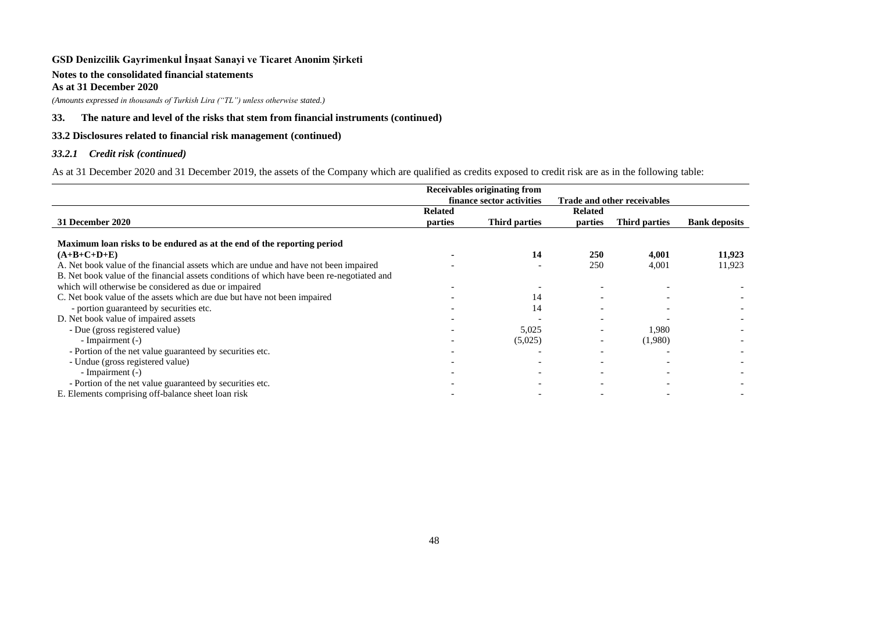#### **Notes to the consolidated financial statements As at 31 December 2020**

*(Amounts expressed in thousands of Turkish Lira ("TL") unless otherwise stated.)*

### **33. The nature and level of the risks that stem from financial instruments (continued)**

# **33.2 Disclosures related to financial risk management (continued)**

# *33.2.1 Credit risk (continued)*

As at 31 December 2020 and 31 December 2019, the assets of the Company which are qualified as credits exposed to credit risk are as in the following table:

|                                                                                           |                           | <b>Receivables originating from</b> |                                    |               |                      |
|-------------------------------------------------------------------------------------------|---------------------------|-------------------------------------|------------------------------------|---------------|----------------------|
|                                                                                           | finance sector activities |                                     | <b>Trade and other receivables</b> |               |                      |
|                                                                                           | <b>Related</b>            |                                     | <b>Related</b>                     |               |                      |
| 31 December 2020                                                                          | parties                   | Third parties                       | parties                            | Third parties | <b>Bank deposits</b> |
|                                                                                           |                           |                                     |                                    |               |                      |
| Maximum loan risks to be endured as at the end of the reporting period                    |                           |                                     |                                    |               |                      |
| $(A+B+C+D+E)$                                                                             |                           | 14                                  | <b>250</b>                         | 4,001         | 11,923               |
| A. Net book value of the financial assets which are undue and have not been impaired      |                           |                                     | 250                                | 4,001         | 11,923               |
| B. Net book value of the financial assets conditions of which have been re-negotiated and |                           |                                     |                                    |               |                      |
| which will otherwise be considered as due or impaired                                     |                           |                                     |                                    |               |                      |
| C. Net book value of the assets which are due but have not been impaired                  |                           | 14                                  |                                    |               |                      |
| - portion guaranteed by securities etc.                                                   |                           | 14                                  |                                    |               |                      |
| D. Net book value of impaired assets                                                      |                           |                                     |                                    |               |                      |
| - Due (gross registered value)                                                            |                           | 5,025                               |                                    | 1,980         |                      |
| - Impairment (-)                                                                          |                           | (5,025)                             |                                    | (1,980)       |                      |
| - Portion of the net value guaranteed by securities etc.                                  |                           |                                     | $\overline{\phantom{0}}$           |               |                      |
| - Undue (gross registered value)                                                          |                           |                                     |                                    |               |                      |
| - Impairment (-)                                                                          |                           |                                     |                                    |               |                      |
| - Portion of the net value guaranteed by securities etc.                                  |                           |                                     |                                    |               |                      |
| E. Elements comprising off-balance sheet loan risk                                        |                           |                                     |                                    |               |                      |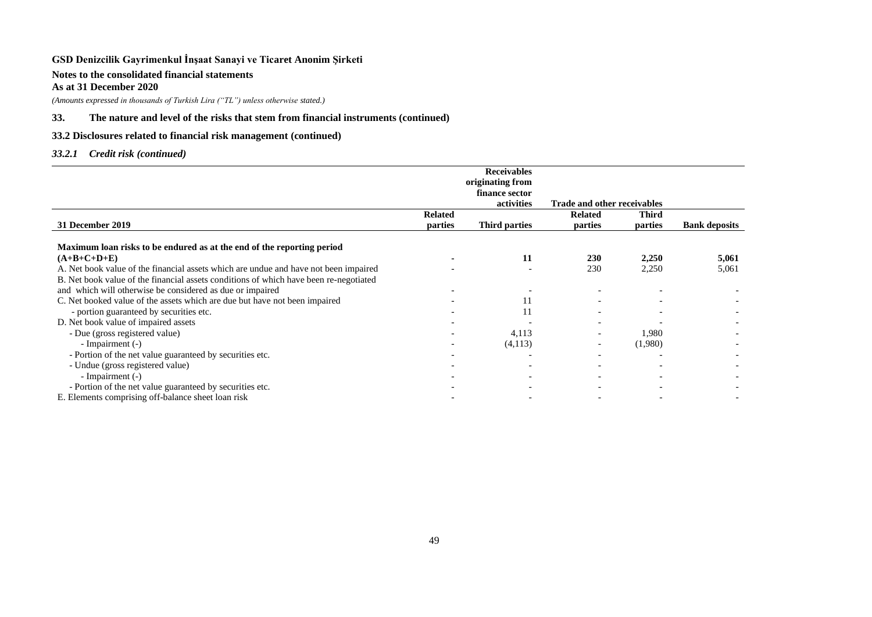#### **Notes to the consolidated financial statements As at 31 December 2020**

*(Amounts expressed in thousands of Turkish Lira ("TL") unless otherwise stated.)*

# **33. The nature and level of the risks that stem from financial instruments (continued)**

### **33.2 Disclosures related to financial risk management (continued)**

# *33.2.1 Credit risk (continued)*

|                                                                                       |                | <b>Receivables</b><br>originating from<br>finance sector |                                    |                          |                      |
|---------------------------------------------------------------------------------------|----------------|----------------------------------------------------------|------------------------------------|--------------------------|----------------------|
|                                                                                       |                | activities                                               | <b>Trade and other receivables</b> |                          |                      |
|                                                                                       | <b>Related</b> |                                                          | <b>Related</b>                     | <b>Third</b>             |                      |
| <b>31 December 2019</b>                                                               | parties        | <b>Third parties</b>                                     | parties                            | parties                  | <b>Bank deposits</b> |
| Maximum loan risks to be endured as at the end of the reporting period                |                |                                                          |                                    |                          |                      |
| $(A+B+C+D+E)$                                                                         |                | 11                                                       | <b>230</b>                         | 2,250                    | 5,061                |
| A. Net book value of the financial assets which are undue and have not been impaired  |                |                                                          | 230                                | 2,250                    | 5,061                |
| B. Net book value of the financial assets conditions of which have been re-negotiated |                |                                                          |                                    |                          |                      |
| and which will otherwise be considered as due or impaired                             |                |                                                          |                                    |                          |                      |
| C. Net booked value of the assets which are due but have not been impaired            |                | 11                                                       |                                    |                          |                      |
| - portion guaranteed by securities etc.                                               |                | 11                                                       |                                    |                          |                      |
| D. Net book value of impaired assets                                                  |                |                                                          |                                    |                          |                      |
| - Due (gross registered value)                                                        |                | 4,113                                                    |                                    | 1,980                    |                      |
| - Impairment (-)                                                                      |                | (4,113)                                                  |                                    | (1,980)                  |                      |
| - Portion of the net value guaranteed by securities etc.                              |                |                                                          |                                    |                          |                      |
| - Undue (gross registered value)                                                      |                | $\overline{\phantom{0}}$                                 |                                    | $\overline{\phantom{a}}$ |                      |
| - Impairment (-)                                                                      |                | $\overline{\phantom{a}}$                                 |                                    | $\overline{\phantom{0}}$ |                      |
| - Portion of the net value guaranteed by securities etc.                              |                |                                                          |                                    |                          |                      |
| E. Elements comprising off-balance sheet loan risk                                    |                |                                                          |                                    |                          |                      |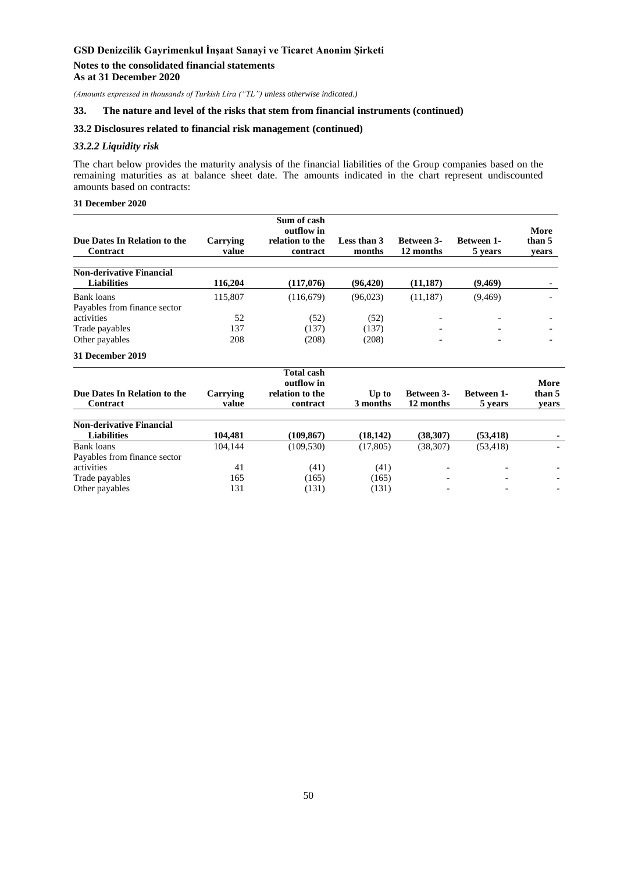#### **Notes to the consolidated financial statements As at 31 December 2020**

*(Amounts expressed in thousands of Turkish Lira ("TL") unless otherwise indicated.)*

#### **33. The nature and level of the risks that stem from financial instruments (continued)**

#### **33.2 Disclosures related to financial risk management (continued)**

#### *33.2.2 Liquidity risk*

The chart below provides the maturity analysis of the financial liabilities of the Group companies based on the remaining maturities as at balance sheet date. The amounts indicated in the chart represent undiscounted amounts based on contracts:

#### **31 December 2020**

| Due Dates In Relation to the<br><b>Contract</b>       | Carrying<br>value | Sum of cash<br>outflow in<br>relation to the<br>contract | Less than 3<br>months | <b>Between 3-</b><br>12 months | <b>Between 1-</b><br>5 years | More<br>than 5<br>vears  |
|-------------------------------------------------------|-------------------|----------------------------------------------------------|-----------------------|--------------------------------|------------------------------|--------------------------|
| <b>Non-derivative Financial</b><br><b>Liabilities</b> | 116,204           | (117,076)                                                | (96, 420)             | (11, 187)                      | (9, 469)                     |                          |
| Bank loans<br>Payables from finance sector            | 115,807           | (116,679)                                                | (96,023)              | (11,187)                       | (9, 469)                     |                          |
| activities                                            | 52                | (52)                                                     | (52)                  | $\overline{\phantom{a}}$       |                              | $\overline{\phantom{0}}$ |
| Trade payables                                        | 137               | (137)                                                    | (137)                 | $\overline{\phantom{a}}$       | $\overline{\phantom{0}}$     | $\overline{\phantom{0}}$ |
| Other payables                                        | 208               | (208)                                                    | (208)                 | $\overline{\phantom{a}}$       | $\overline{\phantom{0}}$     | $\overline{\phantom{0}}$ |
| 31 December 2019                                      |                   |                                                          |                       |                                |                              |                          |
|                                                       |                   | Total oach                                               |                       |                                |                              |                          |

| Due Dates In Relation to the<br>Contract | <b>Carrving</b><br>value | <b>Total cash</b><br>outflow in<br>relation to the<br>contract | Up to<br>3 months | <b>Between 3-</b><br>12 months | <b>Between 1-</b><br>5 years | More<br>than 5<br>vears |
|------------------------------------------|--------------------------|----------------------------------------------------------------|-------------------|--------------------------------|------------------------------|-------------------------|
| <b>Non-derivative Financial</b>          |                          |                                                                |                   |                                |                              |                         |
| <b>Liabilities</b>                       | 104.481                  | (109, 867)                                                     | (18, 142)         | (38,307)                       | (53,418)                     |                         |
| <b>Bank</b> loans                        | 104.144                  | (109, 530)                                                     | (17, 805)         | (38, 307)                      | (53, 418)                    |                         |
| Payables from finance sector             |                          |                                                                |                   |                                |                              |                         |
| activities                               | 41                       | (41)                                                           | (41)              |                                |                              |                         |
| Trade payables                           | 165                      | (165)                                                          | (165)             |                                |                              |                         |
| Other payables                           | 131                      | (131)                                                          | (131)             |                                |                              |                         |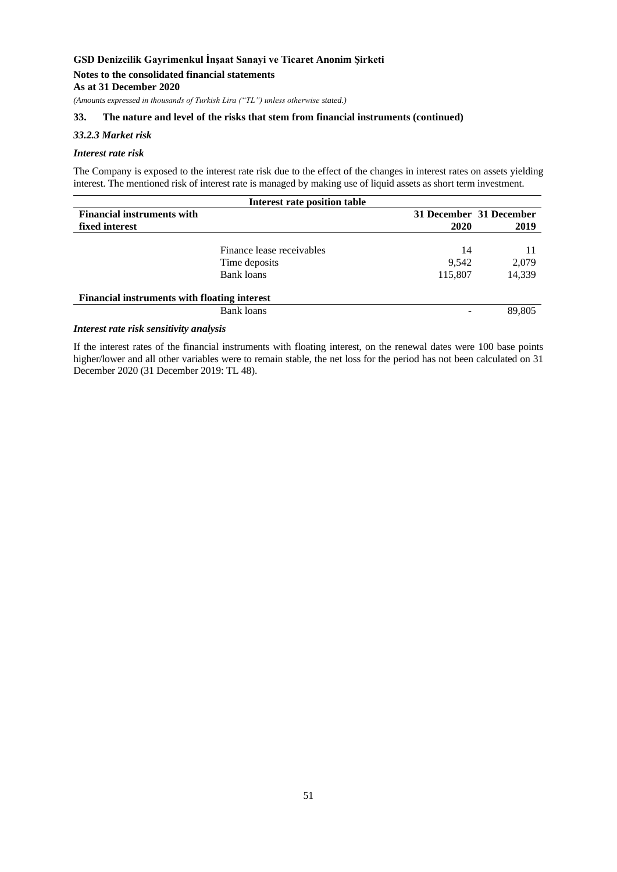#### **Notes to the consolidated financial statements As at 31 December 2020**

*(Amounts expressed in thousands of Turkish Lira ("TL") unless otherwise stated.)*

#### **33. The nature and level of the risks that stem from financial instruments (continued)**

#### *33.2.3 Market risk*

#### *Interest rate risk*

The Company is exposed to the interest rate risk due to the effect of the changes in interest rates on assets yielding interest. The mentioned risk of interest rate is managed by making use of liquid assets as short term investment.

| Interest rate position table                        |                           |                         |        |  |  |  |  |
|-----------------------------------------------------|---------------------------|-------------------------|--------|--|--|--|--|
| <b>Financial instruments with</b>                   |                           | 31 December 31 December |        |  |  |  |  |
| fixed interest                                      |                           | 2020                    | 2019   |  |  |  |  |
|                                                     |                           |                         |        |  |  |  |  |
|                                                     | Finance lease receivables | 14                      |        |  |  |  |  |
|                                                     | Time deposits             | 9,542                   | 2,079  |  |  |  |  |
|                                                     | <b>Bank</b> loans         | 115,807                 | 14,339 |  |  |  |  |
| <b>Financial instruments with floating interest</b> |                           |                         |        |  |  |  |  |
| Bank loans                                          |                           |                         | 89.805 |  |  |  |  |
|                                                     |                           |                         |        |  |  |  |  |

# *Interest rate risk sensitivity analysis*

If the interest rates of the financial instruments with floating interest, on the renewal dates were 100 base points higher/lower and all other variables were to remain stable, the net loss for the period has not been calculated on 31 December 2020 (31 December 2019: TL 48).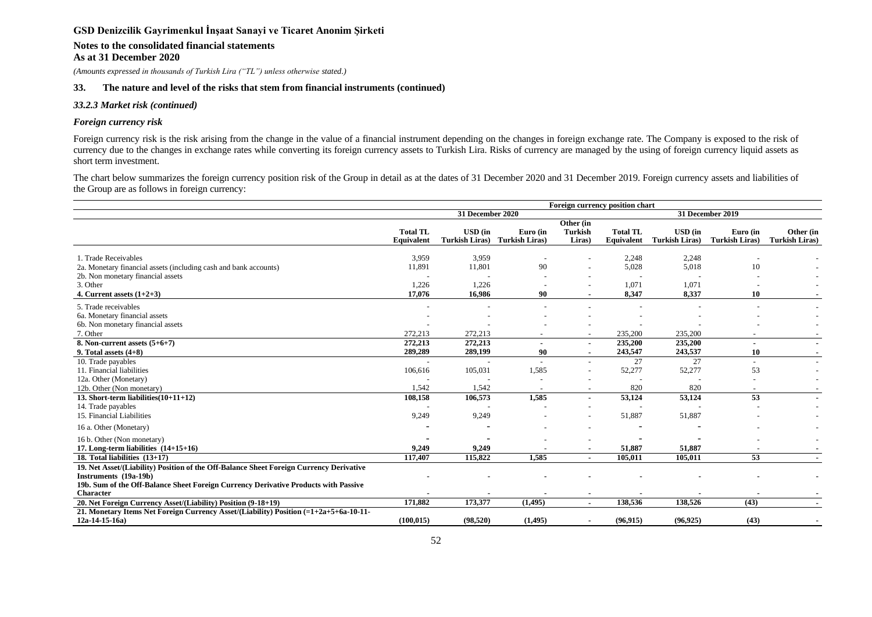# **Notes to the consolidated financial statements**

**As at 31 December 2020**

*(Amounts expressed in thousands of Turkish Lira ("TL") unless otherwise stated.)*

#### **33. The nature and level of the risks that stem from financial instruments (continued)**

#### *33.2.3 Market risk (continued)*

#### *Foreign currency risk*

Foreign currency risk is the risk arising from the change in the value of a financial instrument depending on the changes in foreign exchange rate. The Company is exposed to the risk of currency due to the changes in exchange rates while converting its foreign currency assets to Turkish Lira. Risks of currency are managed by the using of foreign currency liquid assets as short term investment.

The chart below summarizes the foreign currency position risk of the Group in detail as at the dates of 31 December 2020 and 31 December 2019. Foreign currency assets and liabilities of the Group are as follows in foreign currency:

|                                                                                                                                                                                                                      | Foreign currency position chart      |                                         |                                   |                                  |                                  |                                         |                                   |                                    |
|----------------------------------------------------------------------------------------------------------------------------------------------------------------------------------------------------------------------|--------------------------------------|-----------------------------------------|-----------------------------------|----------------------------------|----------------------------------|-----------------------------------------|-----------------------------------|------------------------------------|
|                                                                                                                                                                                                                      | 31 December 2020<br>31 December 2019 |                                         |                                   |                                  |                                  |                                         |                                   |                                    |
|                                                                                                                                                                                                                      | <b>Total TL</b><br>Equivalent        | <b>USD</b> (in<br><b>Turkish Liras)</b> | Euro (in<br><b>Turkish Liras)</b> | Other (in<br>Turkish<br>Liras)   | Total TL<br>Equivalent           | <b>USD</b> (in<br><b>Turkish Liras)</b> | Euro (in<br><b>Turkish Liras)</b> | Other (in<br><b>Turkish Liras)</b> |
| 1. Trade Receivables<br>2a. Monetary financial assets (including cash and bank accounts)<br>2b. Non monetary financial assets<br>3. Other<br>4. Current assets $(1+2+3)$                                             | 3,959<br>11,891<br>1,226<br>17,076   | 3,959<br>11,801<br>1,226<br>16,986      | 90<br>90                          |                                  | 2,248<br>5,028<br>1,071<br>8,347 | 2,248<br>5,018<br>1,071<br>8,337        | 10<br>10                          |                                    |
| 5. Trade receivables<br>6a. Monetary financial assets<br>6b. Non monetary financial assets<br>7. Other<br>8. Non-current assets $(5+6+7)$<br>9. Total assets $(4+8)$                                                 | 272,213<br>272,213<br>289,289        | 272,213<br>272,213<br>289,199           | 90                                |                                  | 235,200<br>235,200<br>243,547    | 235,200<br>235,200<br>243,537           | 10                                | . .<br>$\sim$                      |
| 10. Trade payables<br>11. Financial liabilities<br>12a. Other (Monetary)<br>12b. Other (Non monetary)                                                                                                                | 106,616<br>1,542                     | 105,031<br>1,542                        | 1,585                             |                                  | 27<br>52,277<br>820              | 27<br>52,277<br>820                     | $\sim$<br>53                      |                                    |
| 13. Short-term liabilities $(10+11+12)$<br>14. Trade payables<br>15. Financial Liabilities<br>16 a. Other (Monetary)                                                                                                 | 108,158<br>9,249                     | 106,573<br>9,249                        | 1,585                             | $\blacksquare$                   | 53,124<br>51,887                 | 53,124<br>51,887                        | 53                                | $\sim$                             |
| 16 b. Other (Non monetary)<br>17. Long-term liabilities $(14+15+16)$<br>18. Total liabilities (13+17)                                                                                                                | 9,249<br>117,407                     | 9,249<br>115,822                        | 1,585                             |                                  | 51,887<br>105,011                | 51,887<br>105,011                       | 53                                | $\sim$                             |
| 19. Net Asset/(Liability) Position of the Off-Balance Sheet Foreign Currency Derivative<br>Instruments (19a-19b)<br>19b. Sum of the Off-Balance Sheet Foreign Currency Derivative Products with Passive<br>Character |                                      |                                         |                                   | $\overline{\phantom{a}}$         |                                  |                                         |                                   | ٠<br>$\sim$                        |
| 20. Net Foreign Currency Asset/(Liability) Position (9-18+19)<br>21. Monetary Items Net Foreign Currency Asset/(Liability) Position (=1+2a+5+6a-10-11-<br>$12a-14-15-16a$                                            | 171,882<br>(100, 015)                | 173,377<br>(98, 520)                    | (1, 495)<br>(1, 495)              | $\blacksquare$<br>$\blacksquare$ | 138,536<br>(96, 915)             | 138,526<br>(96, 925)                    | (43)<br>(43)                      | $\sim$<br>$\blacksquare$           |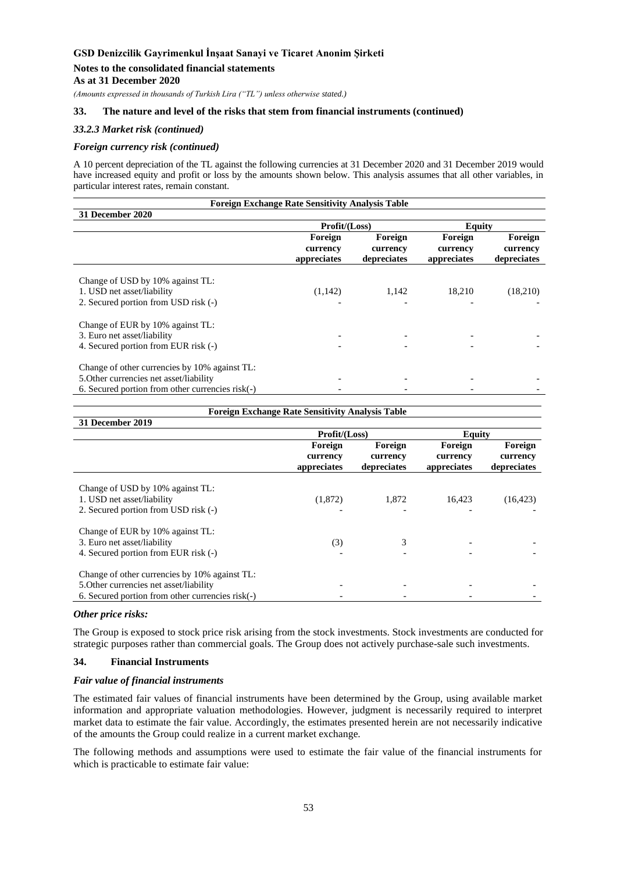**Notes to the consolidated financial statements**

**As at 31 December 2020**

*(Amounts expressed in thousands of Turkish Lira ("TL") unless otherwise stated.)*

#### **33. The nature and level of the risks that stem from financial instruments (continued)**

#### *33.2.3 Market risk (continued)*

#### *Foreign currency risk (continued)*

A 10 percent depreciation of the TL against the following currencies at 31 December 2020 and 31 December 2019 would have increased equity and profit or loss by the amounts shown below. This analysis assumes that all other variables, in particular interest rates, remain constant.

| <b>Foreign Exchange Rate Sensitivity Analysis Table</b>                                                                                      |                                    |                                    |                                    |                                    |  |  |  |
|----------------------------------------------------------------------------------------------------------------------------------------------|------------------------------------|------------------------------------|------------------------------------|------------------------------------|--|--|--|
| 31 December 2020                                                                                                                             |                                    |                                    |                                    |                                    |  |  |  |
|                                                                                                                                              | Profit/(Loss)                      |                                    | Equity                             |                                    |  |  |  |
|                                                                                                                                              | Foreign<br>currency<br>appreciates | Foreign<br>currency<br>depreciates | Foreign<br>currency<br>appreciates | Foreign<br>currency<br>depreciates |  |  |  |
| Change of USD by 10% against TL:<br>1. USD net asset/liability<br>2. Secured portion from USD risk (-)                                       | (1,142)                            | 1,142                              | 18,210                             | (18,210)                           |  |  |  |
| Change of EUR by 10% against TL:<br>3. Euro net asset/liability<br>4. Secured portion from EUR risk (-)                                      |                                    |                                    |                                    |                                    |  |  |  |
| Change of other currencies by 10% against TL:<br>5. Other currencies net asset/liability<br>6. Secured portion from other currencies risk(-) |                                    |                                    |                                    |                                    |  |  |  |

| <b>Foreign Exchange Rate Sensitivity Analysis Table</b>                                                                                      |                                    |                                    |                                    |                                    |  |  |  |
|----------------------------------------------------------------------------------------------------------------------------------------------|------------------------------------|------------------------------------|------------------------------------|------------------------------------|--|--|--|
| 31 December 2019                                                                                                                             |                                    |                                    |                                    |                                    |  |  |  |
|                                                                                                                                              | Profit/(Loss)                      |                                    | <b>Equity</b>                      |                                    |  |  |  |
|                                                                                                                                              | Foreign<br>currency<br>appreciates | Foreign<br>currency<br>depreciates | Foreign<br>currency<br>appreciates | Foreign<br>currency<br>depreciates |  |  |  |
| Change of USD by 10% against TL:<br>1. USD net asset/liability<br>2. Secured portion from USD risk (-)                                       | (1,872)                            | 1,872                              | 16,423                             | (16, 423)                          |  |  |  |
| Change of EUR by 10% against TL:<br>3. Euro net asset/liability<br>4. Secured portion from EUR risk (-)                                      | (3)                                | 3                                  |                                    |                                    |  |  |  |
| Change of other currencies by 10% against TL:<br>5. Other currencies net asset/liability<br>6. Secured portion from other currencies risk(-) |                                    |                                    |                                    |                                    |  |  |  |

#### *Other price risks:*

The Group is exposed to stock price risk arising from the stock investments. Stock investments are conducted for strategic purposes rather than commercial goals. The Group does not actively purchase-sale such investments.

### **34. Financial Instruments**

#### *Fair value of financial instruments*

The estimated fair values of financial instruments have been determined by the Group, using available market information and appropriate valuation methodologies. However, judgment is necessarily required to interpret market data to estimate the fair value. Accordingly, the estimates presented herein are not necessarily indicative of the amounts the Group could realize in a current market exchange.

The following methods and assumptions were used to estimate the fair value of the financial instruments for which is practicable to estimate fair value: